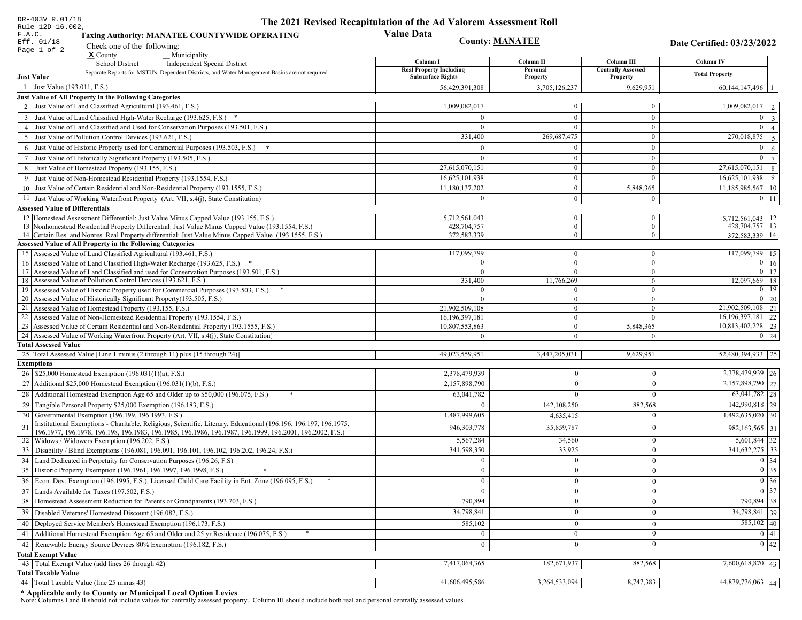| DR-403V R.01/18                                                                                                                                                                            | The 2021 Revised Recapitulation of the Ad Valorem Assessment Roll |                                  |                                         |                                      |
|--------------------------------------------------------------------------------------------------------------------------------------------------------------------------------------------|-------------------------------------------------------------------|----------------------------------|-----------------------------------------|--------------------------------------|
| Rule 12D-16.002,<br>F.A.C.<br><b>Taxing Authority: MANATEE COUNTYWIDE OPERATING</b>                                                                                                        | <b>Value Data</b>                                                 |                                  |                                         |                                      |
| Eff. 01/18<br>Check one of the following:                                                                                                                                                  |                                                                   | <b>County: MANATEE</b>           |                                         |                                      |
| Page 1 of 2<br>$x$ County<br>Municipality                                                                                                                                                  |                                                                   |                                  |                                         |                                      |
| <b>School District</b><br><b>Independent Special District</b>                                                                                                                              | Column I<br><b>Real Property Including</b>                        | Column II<br>Personal            | Column III<br><b>Centrally Assessed</b> | Column IV                            |
| Separate Reports for MSTU's, Dependent Districts, and Water Management Basins are not required<br><b>Just Value</b>                                                                        | <b>Subsurface Rights</b>                                          | Property                         | Property                                | <b>Total Property</b>                |
| 1 Just Value (193.011, F.S.)                                                                                                                                                               | 56,429,391,308                                                    | 3,705,126,237                    | 9,629,951                               | $60,144,147,496$   1                 |
| Just Value of All Property in the Following Categories                                                                                                                                     |                                                                   |                                  |                                         |                                      |
| 2 Just Value of Land Classified Agricultural (193.461, F.S.)                                                                                                                               | 1,009,082,017                                                     | $\bf{0}$                         | $\boldsymbol{0}$                        | $1,009,082,017$   2                  |
| 3 Just Value of Land Classified High-Water Recharge (193.625, F.S.) *                                                                                                                      | $\Omega$                                                          | $\mathbf{0}$                     | $\mathbf{0}$                            | $0 \mid 3$                           |
| 4 Just Value of Land Classified and Used for Conservation Purposes (193.501, F.S.)                                                                                                         | $\Omega$                                                          | $\Omega$                         | $\boldsymbol{0}$                        | $\overline{0}$<br>$\vert$ 4          |
| 5 Just Value of Pollution Control Devices (193.621, F.S.)                                                                                                                                  | 331,400                                                           | 269,687,475                      | $\boldsymbol{0}$                        | $\boxed{270,018,875}$   5            |
| 6 Just Value of Historic Property used for Commercial Purposes (193.503, F.S.) *                                                                                                           | $\Omega$                                                          | $\theta$                         | $\mathbf{0}$                            | $\overline{0}$<br>6                  |
| 7 Just Value of Historically Significant Property (193.505, F.S.)                                                                                                                          | $\Omega$                                                          | $\bf{0}$                         | $\boldsymbol{0}$                        | $\overline{0}$ 7                     |
| 8 Just Value of Homestead Property (193.155, F.S.)                                                                                                                                         | 27,615,070,151                                                    | $\mathbf{0}$                     | $\mathbf{0}$                            | $27,615,070,151$ 8                   |
| 9 Just Value of Non-Homestead Residential Property (193.1554, F.S.)                                                                                                                        | 16,625,101,938                                                    | $\boldsymbol{0}$                 | $\theta$                                | $16,625,101,938$ 9                   |
| 10 Just Value of Certain Residential and Non-Residential Property (193.1555, F.S.)                                                                                                         | 11,180,137,202                                                    | $\mathbf{0}$                     | 5,848,365                               | 11,185,985,567   10                  |
| 11 Just Value of Working Waterfront Property (Art. VII, s.4(j), State Constitution)                                                                                                        | $\Omega$                                                          | $\boldsymbol{0}$                 | $\mathbf{0}$                            | $0$   11                             |
| <b>Assessed Value of Differentials</b>                                                                                                                                                     |                                                                   |                                  |                                         |                                      |
| 12   Homestead Assessment Differential: Just Value Minus Capped Value (193.155, F.S.)<br>13 Nonhomestead Residential Property Differential: Just Value Minus Capped Value (193.1554, F.S.) | 5,712,561,043<br>428.704.757                                      | $\bf{0}$                         | $\bf{0}$<br>$\overline{0}$              | 5.712.561.043   12                   |
| 14 Certain Res. and Nonres. Real Property differential: Just Value Minus Capped Value (193.1555, F.S.)                                                                                     | 372,583,339                                                       | $\overline{0}$<br>$\overline{0}$ | $\overline{0}$                          | 428,704,757   13<br>372,583,339   14 |
| <b>Assessed Value of All Property in the Following Categories</b>                                                                                                                          |                                                                   |                                  |                                         |                                      |
| 15 Assessed Value of Land Classified Agricultural (193.461, F.S.)                                                                                                                          | 117,099,799                                                       | $\mathbf{0}$                     | $\mathbf{0}$                            | 117,099,799 15                       |
| Assessed Value of Land Classified High-Water Recharge (193.625, F.S.) *                                                                                                                    | $\Omega$                                                          | $\overline{0}$                   | $\mathbf{0}$                            | $\overline{0}$ 16                    |
| Assessed Value of Land Classified and used for Conservation Purposes (193.501, F.S.)<br>17                                                                                                 | $\overline{0}$                                                    | $\overline{0}$                   | $\boldsymbol{0}$                        | $0$   17                             |
| Assessed Value of Pollution Control Devices (193.621, F.S.)<br>18                                                                                                                          | 331,400                                                           | 11,766,269                       | $\mathbf{0}$                            | 12,097,669 18                        |
| 19 Assessed Value of Historic Property used for Commercial Purposes (193.503, F.S.)                                                                                                        | $\overline{0}$                                                    | $\overline{0}$                   | $\overline{0}$                          | $0 \mid 19$                          |
| 20 Assessed Value of Historically Significant Property (193.505, F.S.)<br>21 Assessed Value of Homestead Property (193.155, F.S.)                                                          | $\Omega$<br>21,902,509,108                                        | $\overline{0}$<br>$\overline{0}$ | $\overline{0}$<br>$\boldsymbol{0}$      | $0 \mid 20$<br>21,902,509,108 21     |
| 22 Assessed Value of Non-Homestead Residential Property (193.1554, F.S.)                                                                                                                   | 16, 196, 397, 181                                                 | $\overline{0}$                   | $\mathbf{0}$                            | 16, 196, 397, 181 22                 |
| 23 Assessed Value of Certain Residential and Non-Residential Property (193.1555, F.S.)                                                                                                     | 10,807,553,863                                                    | $\overline{0}$                   | 5,848,365                               | 10,813,402,228 23                    |
| 24 Assessed Value of Working Waterfront Property (Art. VII, s.4(j), State Constitution)                                                                                                    | $\Omega$                                                          | $\overline{0}$                   | $\overline{0}$                          | $0 \mid 24$                          |
| <b>Total Assessed Value</b>                                                                                                                                                                |                                                                   |                                  |                                         |                                      |
| 25 Total Assessed Value [Line 1 minus (2 through 11) plus (15 through 24)]                                                                                                                 | 49,023,559,951                                                    | 3,447,205,031                    | 9,629,951                               | 52,480,394,933 25                    |
| <b>Exemptions</b>                                                                                                                                                                          |                                                                   |                                  |                                         |                                      |
| 26   \$25,000 Homestead Exemption (196.031(1)(a), F.S.)                                                                                                                                    | 2,378,479,939                                                     | $\mathbf{0}$                     | $\mathbf{0}$                            | 2,378,479,939 26                     |
| 27   Additional \$25,000 Homestead Exemption $(196.031(1)(b), F.S.)$                                                                                                                       | 2,157,898,790                                                     | $\Omega$                         | $\Omega$                                | $\overline{2,157,898,790}$ 27        |
| 28 Additional Homestead Exemption Age 65 and Older up to \$50,000 (196.075, F.S.)                                                                                                          | 63,041,782                                                        | $\Omega$                         | $\Omega$                                | $63,041,782$ 28                      |
| 29 Tangible Personal Property \$25,000 Exemption (196.183, F.S.)                                                                                                                           |                                                                   | 142, 108, 250                    | 882,568                                 | 142,990,818 29                       |
| 30 Governmental Exemption (196.199, 196.1993, F.S.)                                                                                                                                        | 1,487,999,605                                                     | 4,635,415                        |                                         | 1,492,635,020   30                   |
| Institutional Exemptions - Charitable, Religious, Scientific, Literary, Educational (196.196, 196.197, 196.1975,                                                                           | 946, 303, 778                                                     | 35,859,787                       | $\Omega$                                | 982, 163, 565 31                     |
| 196.1977, 196.1978, 196.198, 196.1983, 196.1985, 196.1986, 196.1987, 196.1999, 196.2001, 196.2002, F.S.)<br>32 Widows / Widowers Exemption (196.202, F.S.)                                 | 5,567,284                                                         | 34,560                           | $\mathbf{0}$                            | $5,601,844$ 32                       |
| 33 Disability / Blind Exemptions (196.081, 196.091, 196.101, 196.102, 196.202, 196.24, F.S.)                                                                                               | 341,598,350                                                       | 33,925                           | $\Omega$                                | $341,632,275$ 33                     |
| 34 Land Dedicated in Perpetuity for Conservation Purposes (196.26, F.S)                                                                                                                    | $\Omega$                                                          | $\overline{0}$                   | $\Omega$                                | 0 34                                 |
| 35 Historic Property Exemption (196.1961, 196.1997, 196.1998, F.S.)                                                                                                                        | $\mathbf{U}$                                                      | $\mathbf{0}$                     | $\mathbf{0}$                            | $\boxed{0}$ 35                       |
| 36 Econ. Dev. Exemption (196.1995, F.S.), Licensed Child Care Facility in Ent. Zone (196.095, F.S.)                                                                                        | $\Omega$                                                          | $\mathbf{0}$                     | $\Omega$                                | $\boxed{0}$ 36                       |
| 37 Lands Available for Taxes (197.502, F.S.)                                                                                                                                               | $\mathbf{0}$                                                      | $\Omega$                         | $\Omega$                                | 0 37                                 |
| 38   Homestead Assessment Reduction for Parents or Grandparents (193.703, F.S.)                                                                                                            | 790,894                                                           | $\mathbf{0}$                     | $\overline{0}$                          | 790,894 38                           |
| 39   Disabled Veterans' Homestead Discount (196.082, F.S.)                                                                                                                                 | 34,798,841                                                        | $\mathbf{0}$                     | $\overline{0}$                          | 34,798,841 39                        |
| 40   Deployed Service Member's Homestead Exemption (196.173, F.S.)                                                                                                                         | 585,102                                                           | $\mathbf{0}$                     | $\Omega$                                | $\overline{585,102}$ 40              |
| 41 Additional Homestead Exemption Age 65 and Older and 25 yr Residence (196.075, F.S.)                                                                                                     | $\overline{0}$                                                    | $\mathbf{0}$                     | $\mathbf{0}$                            | 0 41                                 |
| 42 Renewable Energy Source Devices 80% Exemption (196.182, F.S.)                                                                                                                           | $\mathbf{0}$                                                      | $\mathbf{0}$                     | $\Omega$                                | 0 42                                 |
| <b>Total Exempt Value</b>                                                                                                                                                                  |                                                                   |                                  |                                         |                                      |
| 43 Total Exempt Value (add lines 26 through 42)                                                                                                                                            | 7,417,064,365                                                     | 182,671,937                      | 882,568                                 | $7,600,618,870$ 43                   |
| <b>Total Taxable Value</b>                                                                                                                                                                 |                                                                   |                                  |                                         |                                      |
| 44 Total Taxable Value (line 25 minus 43)                                                                                                                                                  | 41,606,495,586                                                    | 3,264,533,094                    | 8,747,383                               | 44,879,776,063 44                    |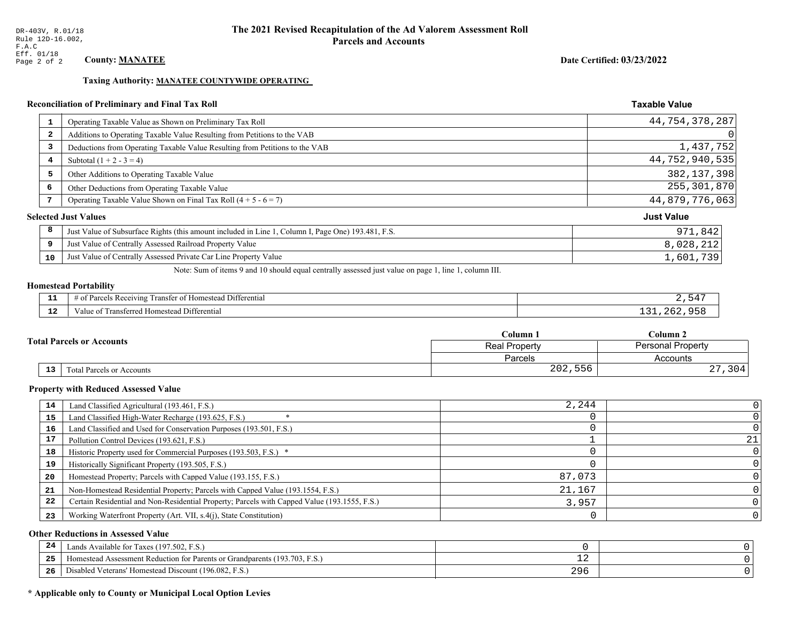Date Certified: 03/23/2022

**Taxable Value** 

#### **Taxing Authority: MANATEE COUNTYWIDE OPERATING**

### Reconciliation of Preliminary and Final Tax Roll

|                | Operating Taxable Value as Shown on Preliminary Tax Roll                                           | 44,754,378,287    |
|----------------|----------------------------------------------------------------------------------------------------|-------------------|
| $\overline{2}$ | Additions to Operating Taxable Value Resulting from Petitions to the VAB                           | 0                 |
| 3              | Deductions from Operating Taxable Value Resulting from Petitions to the VAB                        | 1,437,752         |
| 4              | Subtotal $(1 + 2 - 3 = 4)$                                                                         | 44,752,940,535    |
| 5              | Other Additions to Operating Taxable Value                                                         | 382, 137, 398     |
| 6              | Other Deductions from Operating Taxable Value                                                      | 255,301,870       |
| 7              | Operating Taxable Value Shown on Final Tax Roll $(4 + 5 - 6 = 7)$                                  | 44,879,776,063    |
|                | <b>Selected Just Values</b>                                                                        | <b>Just Value</b> |
| 8              | Just Value of Subsurface Rights (this amount included in Line 1, Column I, Page One) 193.481, F.S. | 971,842           |
| 9              | Just Value of Centrally Assessed Railroad Property Value                                           | 8,028,212         |
| 10             | Just Value of Centrally Assessed Private Car Line Property Value                                   | 1,601,739         |
|                |                                                                                                    |                   |

Note: Sum of items 9 and 10 should equal centrally assessed just value on page 1, line 1, column III.

# **Homestead Portability**

| .   | <sup>1</sup> Differential<br>$\sim$ $-$<br>Parce <sub>r</sub><br>ranster of He<br>≅ Rec∈<br>eivins<br>0Ť.<br>. | БΛ |
|-----|----------------------------------------------------------------------------------------------------------------|----|
| -44 | --<br>Homestead Differential<br>Transferred Ho<br>anue oi                                                      |    |

|  |            |                                  | Column 1                                         | Column 2  |  |
|--|------------|----------------------------------|--------------------------------------------------|-----------|--|
|  |            | <b>Total Parcels or Accounts</b> | <b>Personal Property</b><br><b>Real Property</b> |           |  |
|  |            |                                  | Parcels                                          | Accounts  |  |
|  | ${\bf 13}$ | <b>Fotal Parcels or Accounts</b> | 202,556                                          | 304<br>4. |  |

#### **Property with Reduced Assessed Value**

| 14 | Land Classified Agricultural (193.461, F.S.)                                                 | 2,244  |    |
|----|----------------------------------------------------------------------------------------------|--------|----|
| 15 | Land Classified High-Water Recharge (193.625, F.S.)                                          |        |    |
| 16 | Land Classified and Used for Conservation Purposes (193.501, F.S.)                           |        |    |
| 17 | Pollution Control Devices (193.621, F.S.)                                                    |        | 21 |
| 18 | Historic Property used for Commercial Purposes (193.503, F.S.) *                             |        |    |
| 19 | Historically Significant Property (193.505, F.S.)                                            |        |    |
| 20 | Homestead Property; Parcels with Capped Value (193.155, F.S.)                                | 87,073 |    |
| 21 | Non-Homestead Residential Property; Parcels with Capped Value (193.1554, F.S.)               | 21,167 |    |
| 22 | Certain Residential and Non-Residential Property; Parcels with Capped Value (193.1555, F.S.) | 3,957  |    |
| 23 | Working Waterfront Property (Art. VII, s.4(j), State Constitution)                           |        |    |

#### **Other Reductions in Assessed Value**

| 24    | Lands Available for Taxes (197.502, F.S.)                                  |           |  |
|-------|----------------------------------------------------------------------------|-----------|--|
| - - - | Homestead Assessment Reduction for Parents or Grandparents (193.703, F.S.) | <b>__</b> |  |
| -26   | Disabled Veterans' Homestead Discount (196.082, F.S.)                      | 296       |  |

### \* Applicable only to County or Municipal Local Option Levies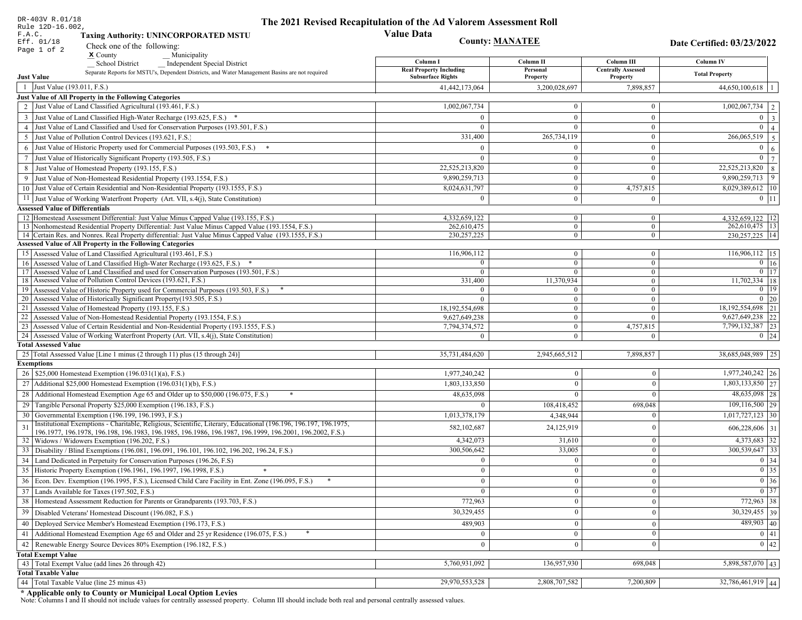| DR-403V R.01/18                                                                                                                     | The 2021 Revised Recapitulation of the Ad Valorem Assessment Roll |                                |                                       |                                          |
|-------------------------------------------------------------------------------------------------------------------------------------|-------------------------------------------------------------------|--------------------------------|---------------------------------------|------------------------------------------|
| Rule 12D-16.002,<br>F.A.C.<br><b>Taxing Authority: UNINCORPORATED MSTU</b>                                                          | <b>Value Data</b>                                                 |                                |                                       |                                          |
| Eff. 01/18<br>Check one of the following:                                                                                           | <b>County: MANATEE</b>                                            |                                |                                       | Date Certified: 03/23/2022               |
| Page 1 of 2<br>$\boldsymbol{\mathsf{x}}$ County<br>Municipality                                                                     |                                                                   |                                |                                       |                                          |
| <b>School District</b><br><b>Independent Special District</b>                                                                       | Column I                                                          | Column II                      | Column III                            | <b>Column IV</b>                         |
| Separate Reports for MSTU's, Dependent Districts, and Water Management Basins are not required<br><b>Just Value</b>                 | <b>Real Property Including</b><br><b>Subsurface Rights</b>        | Personal<br>Property           | <b>Centrally Assessed</b><br>Property | <b>Total Property</b>                    |
| 1 Just Value (193.011, F.S.)                                                                                                        | 41,442,173,064                                                    | 3,200,028,697                  | 7,898,857                             | $44,650,100,618$   1                     |
| Just Value of All Property in the Following Categories                                                                              |                                                                   |                                |                                       |                                          |
| 2 Just Value of Land Classified Agricultural (193.461, F.S.)                                                                        | 1,002,067,734                                                     | $\overline{0}$                 | $\bf{0}$                              | $\boxed{1,002,067,734}$   2              |
| 3 Just Value of Land Classified High-Water Recharge (193.625, F.S.) *                                                               | $\Omega$                                                          | $\overline{0}$                 | $\boldsymbol{0}$                      | $0 \mid 3 \mid$                          |
| 4 Just Value of Land Classified and Used for Conservation Purposes (193.501, F.S.)                                                  | $\Omega$                                                          | $\overline{0}$                 | $\bf{0}$                              | $\overline{0}$<br>4 <sup>1</sup>         |
| 5 Just Value of Pollution Control Devices (193.621, F.S.)                                                                           | 331,400                                                           | 265,734,119                    | $\bf{0}$                              | $266,065,519$ 5                          |
| 6 Just Value of Historic Property used for Commercial Purposes (193.503, F.S.) *                                                    | $\Omega$                                                          | $\Omega$                       | $\mathbf{0}$                          | $\overline{0}$<br>6 <sup>1</sup>         |
| 7 Just Value of Historically Significant Property (193.505, F.S.)                                                                   | $\Omega$                                                          | $\Omega$                       | $\bf{0}$                              | $0 \mid 7 \mid$                          |
| 8 Just Value of Homestead Property (193.155, F.S.)                                                                                  | 22,525,213,820                                                    | $\bf{0}$                       | $\bf{0}$                              | $22,525,213,820$ 8                       |
| 9 Just Value of Non-Homestead Residential Property (193.1554, F.S.)                                                                 | 9,890,259,713                                                     | $\overline{0}$                 | $\theta$                              | $9,890,259,713$ 9                        |
| 10 Just Value of Certain Residential and Non-Residential Property (193.1555, F.S.)                                                  | 8,024,631,797                                                     | $\mathbf{0}$                   | 4,757,815                             | 8,029,389,612   10                       |
|                                                                                                                                     | $\bf{0}$                                                          | $\mathbf{0}$                   | $\mathbf{0}$                          | $0 \mid 11 \mid$                         |
| 11 Just Value of Working Waterfront Property (Art. VII, s.4(j), State Constitution)<br><b>Assessed Value of Differentials</b>       |                                                                   |                                |                                       |                                          |
| 12 Homestead Assessment Differential: Just Value Minus Capped Value (193.155, F.S.)                                                 | 4,332,659,122                                                     | $\bf{0}$                       | $\bf{0}$                              | 4,332,659,122   12                       |
| 13 Nonhomestead Residential Property Differential: Just Value Minus Capped Value (193.1554, F.S.)                                   | 262,610,475                                                       | $\overline{0}$                 | $\overline{0}$                        | 262,610,475   13                         |
| 14 Certain Res. and Nonres. Real Property differential: Just Value Minus Capped Value (193.1555, F.S.)                              | 230, 257, 225                                                     | $\overline{0}$                 | $\bf{0}$                              | 230.257.225 14                           |
| <b>Assessed Value of All Property in the Following Categories</b>                                                                   |                                                                   |                                |                                       |                                          |
| 15 Assessed Value of Land Classified Agricultural (193.461, F.S.)                                                                   | 116,906,112                                                       | $\mathbf{0}$                   | $\bf{0}$                              | 116,906,112   15                         |
| 16 Assessed Value of Land Classified High-Water Recharge (193.625, F.S.)                                                            | $\Omega$                                                          | $\overline{0}$                 | $\overline{0}$                        | $0$ 16                                   |
| Assessed Value of Land Classified and used for Conservation Purposes (193.501, F.S.)                                                | $\bf{0}$                                                          | $\overline{0}$                 | $\overline{0}$                        | $0$   17                                 |
| 18 Assessed Value of Pollution Control Devices (193.621, F.S.)                                                                      | 331,400                                                           | 11,370,934                     | $\overline{0}$                        | $11,702,334$ 18                          |
| 19 Assessed Value of Historic Property used for Commercial Purposes (193.503, F.S.)                                                 | $\Omega$                                                          | $\bf{0}$                       | $\bf{0}$                              | $0$   19                                 |
| 20 Assessed Value of Historically Significant Property (193.505, F.S.)                                                              | $\Omega$                                                          | $\overline{0}$                 | $\overline{0}$                        | $0 \mid 20$                              |
| 21 Assessed Value of Homestead Property (193.155, F.S.)<br>22 Assessed Value of Non-Homestead Residential Property (193.1554, F.S.) | 18,192,554,698<br>9,627,649,238                                   | $\mathbf{0}$<br>$\overline{0}$ | $\boldsymbol{0}$<br>$\mathbf{0}$      | 18, 192, 554, 698 21<br>9,627,649,238 22 |
| 23 Assessed Value of Certain Residential and Non-Residential Property (193.1555, F.S.)                                              | 7,794,374,572                                                     | $\mathbf{0}$                   | 4,757,815                             | 7,799,132,387 23                         |
| 24 Assessed Value of Working Waterfront Property (Art. VII, s.4(j), State Constitution                                              | $\Omega$                                                          | $\overline{0}$                 | $\theta$                              | $0 \mid 24$                              |
| <b>Total Assessed Value</b>                                                                                                         |                                                                   |                                |                                       |                                          |
| 25 Total Assessed Value [Line 1 minus (2 through 11) plus (15 through 24)]                                                          | 35,731,484,620                                                    | 2,945,665,512                  | 7,898,857                             | 38,685,048,989 25                        |
| <b>Exemptions</b>                                                                                                                   |                                                                   |                                |                                       |                                          |
| 26   \$25,000 Homestead Exemption (196.031(1)(a), F.S.)                                                                             | 1,977,240,242                                                     |                                | $\mathbf{0}$                          | 1,977,240,242 26                         |
| 27   Additional \$25,000 Homestead Exemption (196.031(1)(b), F.S.)                                                                  | 1,803,133,850                                                     | $\overline{0}$                 | $\theta$                              | $1,803,133,850$ 27                       |
| 28 Additional Homestead Exemption Age 65 and Older up to \$50,000 (196.075, F.S.)<br>*                                              | 48,635,098                                                        |                                | $\Omega$                              | 48,635,098 28                            |
| 29 Tangible Personal Property \$25,000 Exemption (196.183, F.S.)                                                                    |                                                                   | 108,418,452                    | 698,048                               | $109, 116, 500$ 29                       |
| 30 Governmental Exemption (196.199, 196.1993, F.S.)                                                                                 | 1,013,378,179                                                     | 4,348,944                      | $\Omega$                              | $1,017,727,123$ 30                       |
| Institutional Exemptions - Charitable, Religious, Scientific, Literary, Educational (196.196, 196.197, 196.1975,<br>$\mathbf{3}$    |                                                                   |                                |                                       |                                          |
| 196.1977, 196.1978, 196.198, 196.1983, 196.1985, 196.1986, 196.1987, 196.1999, 196.2001, 196.2002, F.S.)                            | 582, 102, 687                                                     | 24,125,919                     | $\mathbf{0}$                          | 606,228,606 31                           |
| 32   Widows / Widowers Exemption (196.202, F.S.)                                                                                    | 4,342,073                                                         | 31,610                         | $\mathbf{0}$                          | 4,373,683 32                             |
| 33 Disability / Blind Exemptions (196.081, 196.091, 196.101, 196.102, 196.202, 196.24, F.S.)                                        | 300,506,642                                                       | 33,005                         | $\mathbf{0}$                          | 300,539,647 33                           |
| 34 Land Dedicated in Perpetuity for Conservation Purposes (196.26, F.S)                                                             |                                                                   | $\bf{0}$                       | $\mathbf{0}$                          | 0 34                                     |
| 35 Historic Property Exemption (196.1961, 196.1997, 196.1998, F.S.)                                                                 | $\mathbf{0}$                                                      | $\bf{0}$                       | $\vert 0 \vert$                       | $\boxed{0}$ 35                           |
| 36 Econ. Dev. Exemption (196.1995, F.S.), Licensed Child Care Facility in Ent. Zone (196.095, F.S.)                                 | $\theta$                                                          | $\overline{0}$                 | $\mathbf{0}$                          | $\boxed{0}$ 36                           |
| 37 Lands Available for Taxes (197.502, F.S.)                                                                                        | $\Omega$                                                          | $\bf{0}$                       | $\mathbf{0}$                          | $0 \mid 37$                              |
| 38   Homestead Assessment Reduction for Parents or Grandparents (193.703, F.S.)                                                     | 772,963                                                           | $\Omega$                       | $\boldsymbol{0}$                      | 772,963 38                               |
| 39   Disabled Veterans' Homestead Discount (196.082, F.S.)                                                                          | 30,329,455                                                        |                                | $\Omega$                              | $30,329,455$ 39                          |
| 40 Deployed Service Member's Homestead Exemption (196.173, F.S.)                                                                    | 489,903                                                           | $\overline{0}$                 | $\mathbf{0}$                          | $489,903$ 40                             |
| 41 Additional Homestead Exemption Age 65 and Older and 25 yr Residence (196.075, F.S.)                                              |                                                                   | $\mathbf{0}$                   | $\mathbf{0}$                          | 0 41                                     |
| 42   Renewable Energy Source Devices 80% Exemption (196.182, F.S.)                                                                  | $\mathbf{0}$                                                      | $\theta$                       | $\mathbf{0}$                          | 0 42                                     |
| <b>Total Exempt Value</b>                                                                                                           |                                                                   |                                |                                       |                                          |
| 43 Total Exempt Value (add lines 26 through 42)                                                                                     | 5,760,931,092                                                     | 136,957,930                    | 698,048                               | 5,898,587,070 43                         |
| <b>Total Taxable Value</b>                                                                                                          |                                                                   |                                |                                       |                                          |
| 44   Total Taxable Value (line 25 minus 43)                                                                                         | 29,970,553,528                                                    | 2,808,707,582                  | 7,200,809                             | 32,786,461,919 44                        |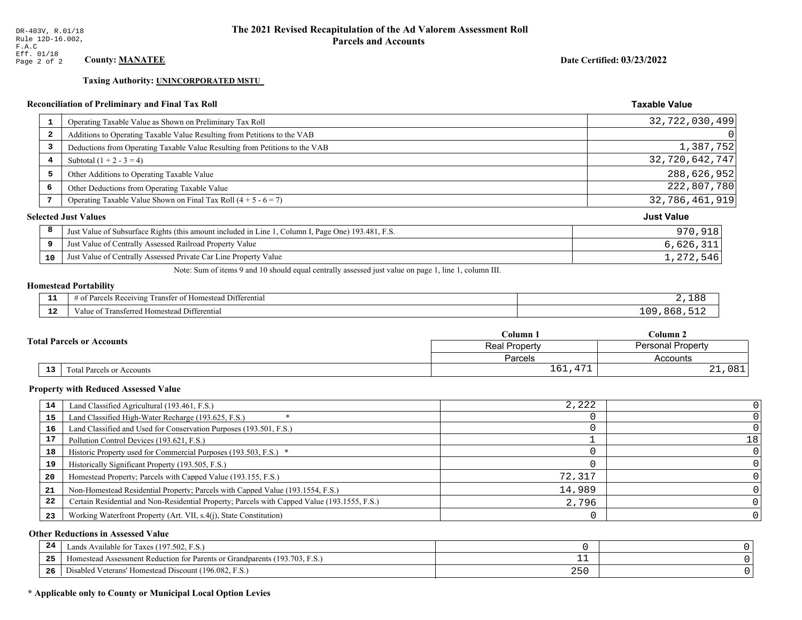**Taxing Authority: UNINCORPORATED MSTU** 

### Reconciliation of Preliminary and Final Tax Roll

| $\mathbf{1}$            | Operating Taxable Value as Shown on Preliminary Tax Roll                                           | 32,722,030,499    |
|-------------------------|----------------------------------------------------------------------------------------------------|-------------------|
| $\overline{\mathbf{2}}$ | Additions to Operating Taxable Value Resulting from Petitions to the VAB                           | $\Omega$          |
| 3                       | Deductions from Operating Taxable Value Resulting from Petitions to the VAB                        | 1,387,752         |
| 4                       | Subtotal $(1 + 2 - 3 = 4)$                                                                         | 32,720,642,747    |
| 5                       | Other Additions to Operating Taxable Value                                                         | 288,626,952       |
| 6                       | Other Deductions from Operating Taxable Value                                                      | 222,807,780       |
| 7                       | Operating Taxable Value Shown on Final Tax Roll $(4 + 5 - 6 = 7)$                                  | 32,786,461,919    |
|                         | <b>Selected Just Values</b>                                                                        | <b>Just Value</b> |
| 8                       | Just Value of Subsurface Rights (this amount included in Line 1, Column I, Page One) 193.481, F.S. | 970,918           |
| 9                       | Just Value of Centrally Assessed Railroad Property Value                                           | 6,626,311         |
| 10                      | Just Value of Centrally Assessed Private Car Line Property Value                                   | 1,272,546         |

Note: Sum of items 9 and 10 should equal centrally assessed just value on page 1, line 1, column III.

#### **Homestead Portability**

| --<br>---    | $\sim$ $\sim$<br>Differential<br>-Rec<br>enving<br>ิ∩†<br>ranster<br>siyay | ۶ ۾              |
|--------------|----------------------------------------------------------------------------|------------------|
| $\sim$<br>-- | Differential<br>l ransterred<br>Homestead<br>value of                      | ΩC<br>xhx<br>- - |

|  |    |                                  | Column 1                                         | Column 2             |  |
|--|----|----------------------------------|--------------------------------------------------|----------------------|--|
|  |    | <b>Total Parcels or Accounts</b> | <b>Personal Property</b><br><b>Real Property</b> |                      |  |
|  |    |                                  | Parcels                                          | Accounts             |  |
|  | 13 | <b>Fotal Parcels or Accounts</b> | 1.7.7<br>$\epsilon$<br>ᆂᇦᆂ<br>.                  | 0.91<br>0 O T<br>∸ ∸ |  |

#### **Property with Reduced Assessed Value**

| 14 | Land Classified Agricultural (193.461, F.S.)                                                 | 2,222  |    |
|----|----------------------------------------------------------------------------------------------|--------|----|
| 15 | Land Classified High-Water Recharge (193.625, F.S.)                                          |        |    |
| 16 | Land Classified and Used for Conservation Purposes (193.501, F.S.)                           |        |    |
| 17 | Pollution Control Devices (193.621, F.S.)                                                    |        | 18 |
| 18 | Historic Property used for Commercial Purposes (193.503, F.S.) *                             |        |    |
| 19 | Historically Significant Property (193.505, F.S.)                                            |        |    |
| 20 | Homestead Property; Parcels with Capped Value (193.155, F.S.)                                | 72,317 |    |
| 21 | Non-Homestead Residential Property; Parcels with Capped Value (193.1554, F.S.)               | 14,989 |    |
| 22 | Certain Residential and Non-Residential Property; Parcels with Capped Value (193.1555, F.S.) | 2,796  |    |
| 23 | Working Waterfront Property (Art. VII, s.4(j), State Constitution)                           |        |    |

#### **Other Reductions in Assessed Value**

| 24    | (197.502, F.S.)<br>Lands Available for Taxes (                                                                |     |  |
|-------|---------------------------------------------------------------------------------------------------------------|-----|--|
| - - - | (193.703)<br>ad Assessment Reduction for Parents or Grandparents ( <sup>16</sup> )<br>. <sub>i</sub> omestead |     |  |
| -26   | <sup>1</sup> Veterans' Homestead Discount (196.082, F.S.)<br>Disabled                                         | 25C |  |

# \* Applicable only to County or Municipal Local Option Levies

Date Certified: 03/23/2022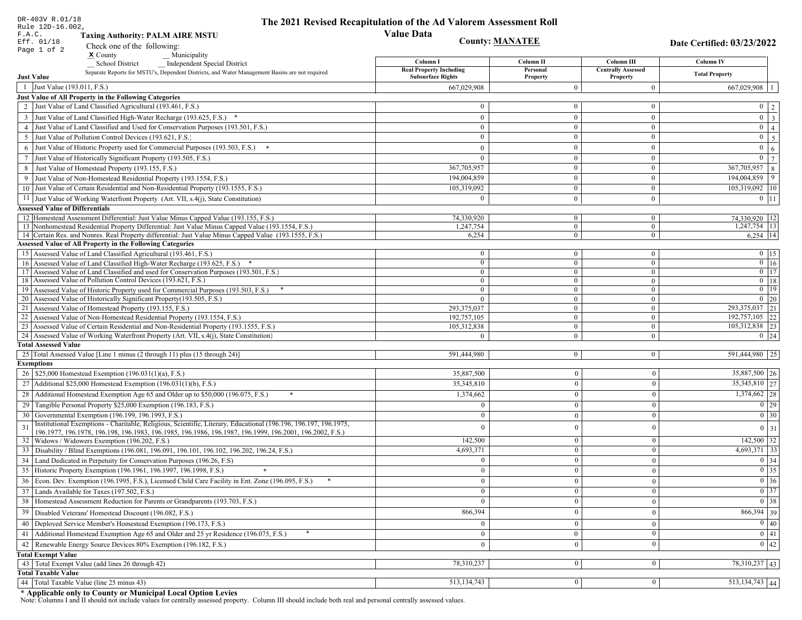| DR-403V R.01/18                                                                                                                                                                                                                    | The 2021 Revised Recapitulation of the Ad Valorem Assessment Roll |                                |                                       |                                                                                                   |
|------------------------------------------------------------------------------------------------------------------------------------------------------------------------------------------------------------------------------------|-------------------------------------------------------------------|--------------------------------|---------------------------------------|---------------------------------------------------------------------------------------------------|
| Rule 12D-16.002,<br>F.A.C.<br><b>Taxing Authority: PALM AIRE MSTU</b>                                                                                                                                                              | <b>Value Data</b>                                                 |                                |                                       |                                                                                                   |
| Eff. 01/18<br>Check one of the following:                                                                                                                                                                                          | <b>County: MANATEE</b>                                            |                                |                                       | Date Certified: 03/23/2022                                                                        |
| Page 1 of 2<br>$\boldsymbol{\mathsf{x}}$ County<br>Municipality                                                                                                                                                                    |                                                                   |                                |                                       |                                                                                                   |
| <b>School District</b><br><b>Independent Special District</b>                                                                                                                                                                      | Column I                                                          | Column II                      | Column III                            | <b>Column IV</b>                                                                                  |
| Separate Reports for MSTU's, Dependent Districts, and Water Management Basins are not required<br><b>Just Value</b>                                                                                                                | <b>Real Property Including</b><br><b>Subsurface Rights</b>        | Personal<br>Property           | <b>Centrally Assessed</b><br>Property | <b>Total Property</b>                                                                             |
| 1 Just Value (193.011, F.S.)                                                                                                                                                                                                       | 667,029,908                                                       | $\theta$                       | $\bf{0}$                              | 667,029,908                                                                                       |
| Just Value of All Property in the Following Categories                                                                                                                                                                             |                                                                   |                                |                                       |                                                                                                   |
| 2 Just Value of Land Classified Agricultural (193.461, F.S.)                                                                                                                                                                       | $\bf{0}$                                                          | $\boldsymbol{0}$               | $\bf{0}$                              | $0 \quad 2$                                                                                       |
| 3 Just Value of Land Classified High-Water Recharge (193.625, F.S.) *                                                                                                                                                              | $\theta$                                                          | $\theta$                       | $\boldsymbol{0}$                      | $\overline{\mathbf{3}}$<br>$\overline{0}$                                                         |
| 4 Just Value of Land Classified and Used for Conservation Purposes (193.501, F.S.)                                                                                                                                                 | $\bf{0}$                                                          | $\boldsymbol{0}$               | $\bf{0}$                              | $\overline{0}$<br>$\overline{4}$                                                                  |
| 5 Just Value of Pollution Control Devices (193.621, F.S.)                                                                                                                                                                          | $\bf{0}$                                                          | $\mathbf{0}$                   | $\mathbf{0}$                          | $\overline{5}$<br>$\overline{0}$                                                                  |
| 6 Just Value of Historic Property used for Commercial Purposes (193.503, F.S.) *                                                                                                                                                   | $\theta$                                                          | $\theta$                       | $\boldsymbol{0}$                      | $\overline{0}$<br>$\sqrt{6}$                                                                      |
| 7 Just Value of Historically Significant Property (193.505, F.S.)                                                                                                                                                                  | $\bf{0}$                                                          | $\bf{0}$                       | $\mathbf{0}$                          | $\overline{7}$<br>$\overline{0}$                                                                  |
| 8 Just Value of Homestead Property (193.155, F.S.)                                                                                                                                                                                 | 367,705,957                                                       | $\mathbf{0}$                   | $\mathbf{0}$                          | 367,705,957<br>$\,8\,$                                                                            |
| 9 Just Value of Non-Homestead Residential Property (193.1554, F.S.)                                                                                                                                                                | 194,004,859                                                       | $\theta$                       | $\boldsymbol{0}$                      | 9<br>194,004,859                                                                                  |
| 10 Just Value of Certain Residential and Non-Residential Property (193.1555, F.S.)                                                                                                                                                 | 105,319,092                                                       | $\boldsymbol{0}$               | $\mathbf{0}$                          | 105,319,092 10                                                                                    |
|                                                                                                                                                                                                                                    | $\theta$                                                          |                                |                                       |                                                                                                   |
| 11 Just Value of Working Waterfront Property (Art. VII, s.4(j), State Constitution)                                                                                                                                                |                                                                   | $\overline{0}$                 | $\bf{0}$                              | $0$ 11                                                                                            |
| <b>Assessed Value of Differentials</b><br>12 Homestead Assessment Differential: Just Value Minus Capped Value (193.155, F.S.)                                                                                                      | 74,330,920                                                        |                                |                                       |                                                                                                   |
| 13 Nonhomestead Residential Property Differential: Just Value Minus Capped Value (193.1554, F.S.)                                                                                                                                  | 1,247,754                                                         | $\overline{0}$<br>$\mathbf{0}$ | $\bf{0}$<br>$\bf{0}$                  | 74,330,920   12<br>$1,247,754$ 13                                                                 |
| 14 Certain Res. and Nonres. Real Property differential: Just Value Minus Capped Value (193.1555, F.S.)                                                                                                                             | 6,254                                                             | $\overline{0}$                 | $\overline{0}$                        | $6,254$ 14                                                                                        |
| <b>Assessed Value of All Property in the Following Categories</b>                                                                                                                                                                  |                                                                   |                                |                                       |                                                                                                   |
| 15 Assessed Value of Land Classified Agricultural (193.461, F.S.)                                                                                                                                                                  | $\bf{0}$                                                          | $\mathbf{0}$                   | $\mathbf{0}$                          | $0$ 15                                                                                            |
| 16 Assessed Value of Land Classified High-Water Recharge (193.625, F.S.) *                                                                                                                                                         | $\overline{0}$                                                    | $\theta$                       | $\overline{0}$                        | $\boxed{0}$ 16                                                                                    |
| 17 Assessed Value of Land Classified and used for Conservation Purposes (193.501, F.S.)                                                                                                                                            | $\overline{0}$                                                    | $\mathbf{0}$                   | $\bf{0}$                              | $\overline{0}$ 17                                                                                 |
| 18 Assessed Value of Pollution Control Devices (193.621, F.S.)                                                                                                                                                                     | $\bf{0}$                                                          | $\mathbf{0}$                   | $\mathbf{0}$                          | $0$   18                                                                                          |
| 19 Assessed Value of Historic Property used for Commercial Purposes (193.503, F.S.)                                                                                                                                                | $\mathbf{0}$                                                      | $\mathbf{0}$                   | $\mathbf{0}$                          | $\overline{0}$ 19                                                                                 |
| 20 Assessed Value of Historically Significant Property (193.505, F.S.)                                                                                                                                                             | $\theta$                                                          | $\mathbf{0}$                   | $\mathbf{0}$                          | $\boxed{0}$ 20                                                                                    |
| 21 Assessed Value of Homestead Property (193.155, F.S.)                                                                                                                                                                            | 293,375,037                                                       | $\mathbf{0}$                   | $\mathbf{0}$                          | 293,375,037 21                                                                                    |
| 22 Assessed Value of Non-Homestead Residential Property (193.1554, F.S.)                                                                                                                                                           | 192,757,105                                                       | $\mathbf{0}$                   | $\mathbf{0}$                          | 192,757,105 22                                                                                    |
| 23 Assessed Value of Certain Residential and Non-Residential Property (193.1555, F.S.)                                                                                                                                             | 105,312,838                                                       | $\mathbf{0}$                   | $\mathbf{0}$                          | 105,312,838 23                                                                                    |
| 24 Assessed Value of Working Waterfront Property (Art. VII, s.4(j), State Constitution)<br><b>Total Assessed Value</b>                                                                                                             |                                                                   | $\Omega$                       | $\mathbf{0}$                          | $0 \mid 24$                                                                                       |
|                                                                                                                                                                                                                                    | 591,444,980                                                       |                                |                                       |                                                                                                   |
| 25 Total Assessed Value [Line 1 minus (2 through 11) plus (15 through 24)]<br><b>Exemptions</b>                                                                                                                                    |                                                                   | $\mathbf{0}$                   | $\mathbf{0}$                          | 591,444,980 25                                                                                    |
| 26   \$25,000 Homestead Exemption (196.031(1)(a), F.S.)                                                                                                                                                                            | 35,887,500                                                        | $\mathbf{0}$                   | $\mathbf{0}$                          | 35,887,500 26                                                                                     |
| 27   Additional \$25,000 Homestead Exemption (196.031(1)(b), F.S.)                                                                                                                                                                 | 35,345,810                                                        | $\Omega$                       | $\theta$                              | 35,345,810 27                                                                                     |
|                                                                                                                                                                                                                                    |                                                                   |                                |                                       |                                                                                                   |
| 28 Additional Homestead Exemption Age 65 and Older up to \$50,000 (196.075, F.S.)                                                                                                                                                  | 1,374,662                                                         | $\mathbf{0}$                   | $\Omega$                              | $1,374,662$ 28                                                                                    |
| 29 Tangible Personal Property \$25,000 Exemption (196.183, F.S.)                                                                                                                                                                   | $\Omega$                                                          | $\Omega$                       | $\theta$                              | $\boxed{0}$ 29                                                                                    |
| 30 Governmental Exemption (196.199, 196.1993, F.S.)                                                                                                                                                                                |                                                                   | $\theta$                       |                                       | $\boxed{0}$ 30                                                                                    |
| Institutional Exemptions - Charitable, Religious, Scientific, Literary, Educational (196.196, 196.197, 196.1975,<br>31<br>196.1977, 196.1978, 196.198, 196.1983, 196.1985, 196.1986, 196.1987, 196.1999, 196.2001, 196.2002, F.S.) | $\Omega$                                                          | $\Omega$                       | $\theta$                              | $0 \mid 31$                                                                                       |
| 32   Widows / Widowers Exemption (196.202, F.S.)                                                                                                                                                                                   | 142,500                                                           | $\mathbf{0}$                   | $\mathbf{0}$                          | $142,500$ 32                                                                                      |
| 33<br>Disability / Blind Exemptions (196.081, 196.091, 196.101, 196.102, 196.202, 196.24, F.S.)                                                                                                                                    | 4,693,371                                                         | $\mathbf{0}$                   | $\theta$                              | $4,693,371$ 33                                                                                    |
| Land Dedicated in Perpetuity for Conservation Purposes (196.26, F.S)                                                                                                                                                               | $\Omega$                                                          | $\Omega$                       | $\theta$                              | $\boxed{0}$ 34                                                                                    |
| 35 Historic Property Exemption (196.1961, 196.1997, 196.1998, F.S.)                                                                                                                                                                | 0                                                                 | $\mathbf{U}$                   | $\mathbf{0}$                          |                                                                                                   |
| 36 Econ. Dev. Exemption (196.1995, F.S.), Licensed Child Care Facility in Ent. Zone (196.095, F.S.)                                                                                                                                | $\mathbf{0}$                                                      | $\mathbf{0}$                   | $\theta$                              |                                                                                                   |
| 37 Lands Available for Taxes (197.502, F.S.)                                                                                                                                                                                       | $\overline{0}$                                                    | $\Omega$                       | $\theta$                              | $\begin{array}{ c c }\n\hline\n0 & 35 \\ \hline\n0 & 36 \\ \hline\n0 & 37 \\ \hline\n\end{array}$ |
| 38   Homestead Assessment Reduction for Parents or Grandparents (193.703, F.S.)                                                                                                                                                    | $\mathbf{0}$                                                      |                                |                                       | $\boxed{0}$ 38                                                                                    |
|                                                                                                                                                                                                                                    |                                                                   | $\bf{0}$<br>$\Omega$           | $\mathbf{0}$                          | $866,394$ 39                                                                                      |
| 39<br>Disabled Veterans' Homestead Discount (196.082, F.S.)                                                                                                                                                                        | 866,394                                                           |                                | $\theta$                              |                                                                                                   |
| Deployed Service Member's Homestead Exemption (196.173, F.S.)<br>40                                                                                                                                                                | $\overline{0}$                                                    | $\Omega$                       | $\theta$                              | $\boxed{0}$ 40                                                                                    |
| 41   Additional Homestead Exemption Age 65 and Older and 25 yr Residence (196.075, F.S.)                                                                                                                                           | $\overline{0}$                                                    | $\overline{0}$                 | $\mathbf{0}$                          | $\overline{0}$ 41                                                                                 |
| Renewable Energy Source Devices 80% Exemption (196.182, F.S.)<br>42                                                                                                                                                                | $\overline{0}$                                                    | $\mathbf{0}$                   | $\mathbf{0}$                          | 0 42                                                                                              |
| <b>Total Exempt Value</b>                                                                                                                                                                                                          |                                                                   |                                |                                       |                                                                                                   |
| 43 Total Exempt Value (add lines 26 through 42)                                                                                                                                                                                    | 78,310,237                                                        | $\vert 0 \vert$                | $\mathbf{0}$                          | $78,310,237$ 43                                                                                   |
| <b>Total Taxable Value</b>                                                                                                                                                                                                         |                                                                   |                                |                                       |                                                                                                   |
| 44 Total Taxable Value (line 25 minus 43)                                                                                                                                                                                          | 513, 134, 743                                                     | 0                              | $\boldsymbol{0}$                      | $513, 134, 743$ 44                                                                                |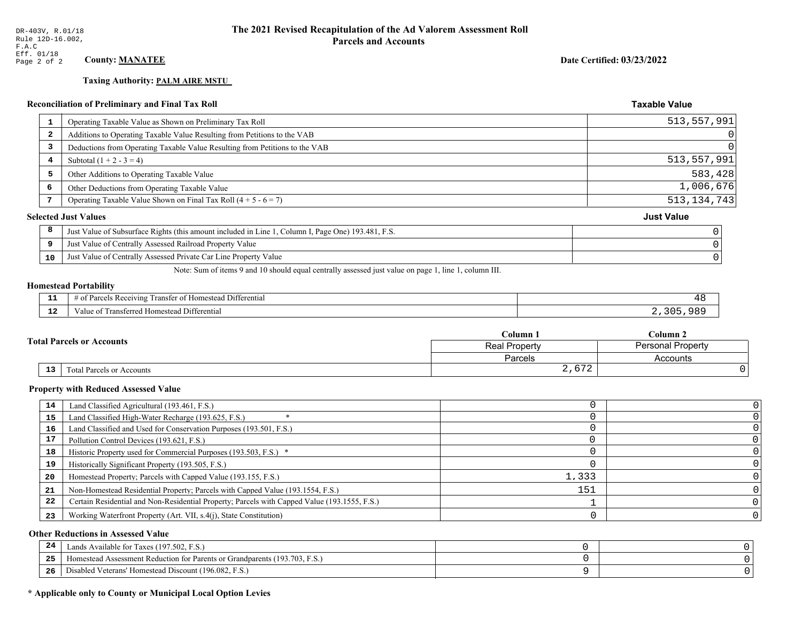# **Taxing Authority: PALM AIRE MSTU\_**

| <b>Reconciliation of Preliminary and Final Tax Roll</b> |                                                                                                    | <b>Taxable Value</b> |
|---------------------------------------------------------|----------------------------------------------------------------------------------------------------|----------------------|
| 1                                                       | Operating Taxable Value as Shown on Preliminary Tax Roll                                           | 513,557,991          |
| $\overline{\mathbf{2}}$                                 | Additions to Operating Taxable Value Resulting from Petitions to the VAB                           | 0                    |
| 3                                                       | Deductions from Operating Taxable Value Resulting from Petitions to the VAB                        | 0                    |
| 4                                                       | Subtotal $(1 + 2 - 3 = 4)$                                                                         | 513,557,991          |
| 5                                                       | Other Additions to Operating Taxable Value                                                         | 583,428              |
| 6                                                       | Other Deductions from Operating Taxable Value                                                      | 1,006,676            |
| 7                                                       | Operating Taxable Value Shown on Final Tax Roll $(4 + 5 - 6 = 7)$                                  | 513, 134, 743        |
|                                                         | <b>Selected Just Values</b>                                                                        | <b>Just Value</b>    |
| 8                                                       | Just Value of Subsurface Rights (this amount included in Line 1, Column I, Page One) 193.481, F.S. |                      |
| 9                                                       | Just Value of Centrally Assessed Railroad Property Value                                           |                      |
| 10                                                      | Just Value of Centrally Assessed Private Car Line Property Value                                   |                      |

Note: Sum of items 9 and 10 should equal centrally assessed just value on page 1, line 1, column III.

# **Homestead Portability**

| - -<br>. .  | $\sim$ $\sim$<br>Differential<br>Parce<br>Homestead<br>ranster<br>AVIN9.<br>ΩŤ<br>- кес<br>דו בי |  |
|-------------|--------------------------------------------------------------------------------------------------|--|
| - 10<br>-14 | Transferred Homestead Differential<br>V alu<br>. വ                                               |  |

|                                              | Column               | $C$ olumn $2$            |  |
|----------------------------------------------|----------------------|--------------------------|--|
| <b>Total Parcels or Accounts</b>             | <b>Real Property</b> | <b>Personal Property</b> |  |
|                                              | Parcels              | Accounts                 |  |
| $\overline{13}$<br>Total Parcels or Accounts | 2,672                |                          |  |

#### **Property with Reduced Assessed Value**

| 14 | Land Classified Agricultural (193.461, F.S.)                                                 |       |  |
|----|----------------------------------------------------------------------------------------------|-------|--|
| 15 | Land Classified High-Water Recharge (193.625, F.S.)                                          |       |  |
| 16 | Land Classified and Used for Conservation Purposes (193.501, F.S.)                           |       |  |
| 17 | Pollution Control Devices (193.621, F.S.)                                                    |       |  |
| 18 | Historic Property used for Commercial Purposes (193.503, F.S.) *                             |       |  |
| 19 | Historically Significant Property (193.505, F.S.)                                            |       |  |
| 20 | Homestead Property; Parcels with Capped Value (193.155, F.S.)                                | 1,333 |  |
| 21 | Non-Homestead Residential Property; Parcels with Capped Value (193.1554, F.S.)               | 151   |  |
| 22 | Certain Residential and Non-Residential Property; Parcels with Capped Value (193.1555, F.S.) |       |  |
| 23 | Working Waterfront Property (Art. VII, s.4(j), State Constitution)                           |       |  |

#### **Other Reductions in Assessed Value**

| -44 | Available for Taxes (197.502, F.S.)                                            |  |
|-----|--------------------------------------------------------------------------------|--|
| 25  | (193.703, F.S.<br>Homestead Assessment Reduction for Parents or Grandparents ( |  |
| 26  | Disabled Veterans' Homestead Discount (196.082, F.S.)                          |  |

# \* Applicable only to County or Municipal Local Option Levies

Date Certified: 03/23/2022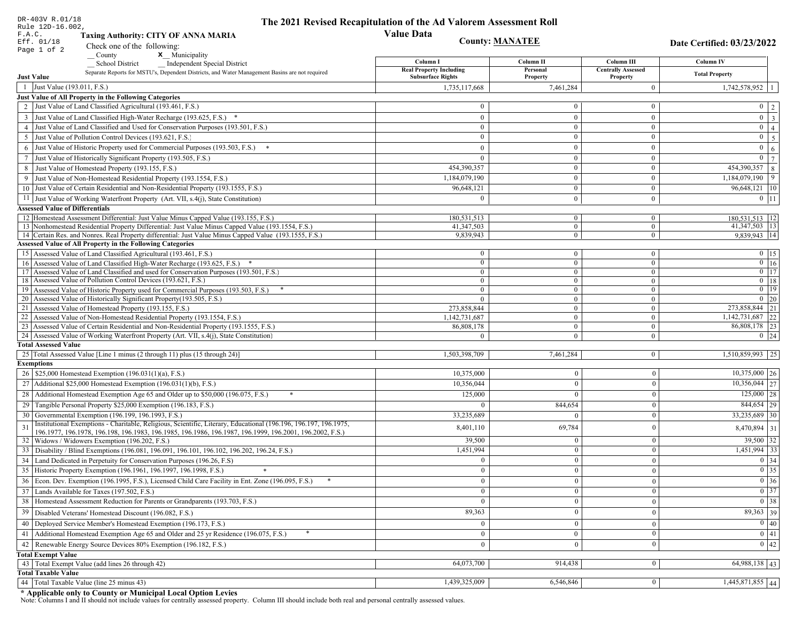| DR-403V R.01/18                        |                                                                                                                                                           | The 2021 Revised Recapitulation of the Ad Valorem Assessment Roll |                                    |                                |                                                                       |
|----------------------------------------|-----------------------------------------------------------------------------------------------------------------------------------------------------------|-------------------------------------------------------------------|------------------------------------|--------------------------------|-----------------------------------------------------------------------|
| Rule 12D-16.002,<br>F.A.C.             | <b>Taxing Authority: CITY OF ANNA MARIA</b>                                                                                                               | <b>Value Data</b>                                                 |                                    |                                |                                                                       |
| Eff. 01/18                             | Check one of the following:                                                                                                                               | <b>County: MANATEE</b>                                            |                                    |                                | Date Certified: 03/23/2022                                            |
| Page 1 of 2                            | <b>x</b> Municipality<br>$\sqrt{\frac{1}{1}}$ County                                                                                                      |                                                                   |                                    |                                |                                                                       |
|                                        | <b>School District</b><br><b>Independent Special District</b>                                                                                             | Column I                                                          | Column <sub>II</sub>               | Column III                     | <b>Column IV</b>                                                      |
|                                        | Separate Reports for MSTU's, Dependent Districts, and Water Management Basins are not required                                                            | <b>Real Property Including</b>                                    | Personal                           | <b>Centrally Assessed</b>      | <b>Total Property</b>                                                 |
| <b>Just Value</b>                      |                                                                                                                                                           | <b>Subsurface Rights</b>                                          | Property                           | Property                       |                                                                       |
| 1 Just Value (193.011, F.S.)           |                                                                                                                                                           | 1,735,117,668                                                     | 7,461,284                          | $\mathbf{0}$                   | 1,742,578,952                                                         |
|                                        | Just Value of All Property in the Following Categories<br>2 Just Value of Land Classified Agricultural (193.461, F.S.)                                    | $\Omega$                                                          | $\overline{0}$                     | $\mathbf{0}$                   | $0 \mid 2$                                                            |
|                                        |                                                                                                                                                           |                                                                   |                                    |                                |                                                                       |
|                                        | 3 Just Value of Land Classified High-Water Recharge (193.625, F.S.) *                                                                                     | $\overline{0}$<br>$\overline{0}$                                  | $\overline{0}$<br>$\overline{0}$   | $\bf{0}$                       | $\overline{\mathbf{3}}$<br>$\overline{0}$<br>$\overline{0}$           |
|                                        | 4 Just Value of Land Classified and Used for Conservation Purposes (193.501, F.S.)<br>Just Value of Pollution Control Devices (193.621, F.S.)             | $\Omega$                                                          | $\overline{0}$                     | $\bf{0}$<br>$\mathbf{0}$       | $\overline{4}$<br>$\overline{0}$                                      |
| 5                                      |                                                                                                                                                           |                                                                   |                                    |                                | $\overline{\mathbf{5}}$<br>$\mathbf{0}$                               |
|                                        | 6 Just Value of Historic Property used for Commercial Purposes (193.503, F.S.)                                                                            | $\overline{0}$                                                    | $\overline{0}$                     | $\bf{0}$                       | $6\phantom{a}$<br>$\overline{0}$                                      |
|                                        | 7 Just Value of Historically Significant Property (193.505, F.S.)                                                                                         | $\overline{0}$                                                    | $\overline{0}$<br>$\Omega$         | $\mathbf{0}$<br>$\mathbf{0}$   | $\overline{7}$                                                        |
|                                        | 8 Just Value of Homestead Property (193.155, F.S.)                                                                                                        | 454,390,357                                                       | $\overline{0}$                     |                                | 454,390,357 8<br>$1,184,079,190$ 9                                    |
|                                        | 9 Just Value of Non-Homestead Residential Property (193.1554, F.S.)<br>10 Just Value of Certain Residential and Non-Residential Property (193.1555, F.S.) | 1,184,079,190                                                     | $\boldsymbol{0}$                   | $\bf{0}$                       |                                                                       |
|                                        |                                                                                                                                                           | 96,648,121                                                        |                                    | $\mathbf{0}$                   | 96,648,121   10                                                       |
|                                        | 11 Just Value of Working Waterfront Property (Art. VII, s.4(j), State Constitution)                                                                       | $\Omega$                                                          | $\overline{0}$                     | $\bf{0}$                       | $0$ 11                                                                |
| <b>Assessed Value of Differentials</b> | 12 Homestead Assessment Differential: Just Value Minus Capped Value (193.155, F.S.)                                                                       | 180,531,513                                                       | $\overline{0}$                     |                                |                                                                       |
|                                        | 13 Nonhomestead Residential Property Differential: Just Value Minus Capped Value (193.1554, F.S.)                                                         | 41,347,503                                                        | $\overline{0}$                     | $\mathbf{0}$<br>$\overline{0}$ | 180,531,513   12<br>41,347,503   13                                   |
|                                        | 14 Certain Res. and Nonres. Real Property differential: Just Value Minus Capped Value (193.1555, F.S.)                                                    | 9,839,943                                                         | $\overline{0}$                     | $\overline{0}$                 | $9,839,943$ 14                                                        |
|                                        | <b>Assessed Value of All Property in the Following Categories</b>                                                                                         |                                                                   |                                    |                                |                                                                       |
|                                        | 15 Assessed Value of Land Classified Agricultural (193.461, F.S.)                                                                                         | $\bf{0}$                                                          | $\mathbf{0}$                       | $\boldsymbol{0}$               | $0$   15                                                              |
|                                        | 16 Assessed Value of Land Classified High-Water Recharge (193.625, F.S.) *                                                                                | $\overline{0}$                                                    | $\overline{0}$                     | $\overline{0}$                 | $\boxed{0}$ 16                                                        |
|                                        | 17 Assessed Value of Land Classified and used for Conservation Purposes (193.501, F.S.)                                                                   | $\bf{0}$                                                          | $\mathbf{0}$                       | $\bf{0}$                       | $0$ 17                                                                |
|                                        | 18 Assessed Value of Pollution Control Devices (193.621, F.S.)                                                                                            | $\overline{0}$                                                    | $\overline{0}$                     | $\overline{0}$                 | $0$ 18                                                                |
|                                        | 19 Assessed Value of Historic Property used for Commercial Purposes (193.503, F.S.)                                                                       | $\overline{0}$                                                    | $\boldsymbol{0}$                   | $\bf{0}$                       | $\overline{0}$ 19                                                     |
|                                        | 20 Assessed Value of Historically Significant Property (193.505, F.S.)<br>21 Assessed Value of Homestead Property (193.155, F.S.)                         | $\theta$<br>273,858,844                                           | $\overline{0}$<br>$\boldsymbol{0}$ | $\overline{0}$<br>$\mathbf{0}$ | $0$   20<br>273,858,844 21                                            |
|                                        | 22 Assessed Value of Non-Homestead Residential Property (193.1554, F.S.)                                                                                  | 1,142,731,687                                                     | $\overline{0}$                     | $\boldsymbol{0}$               | 1,142,731,687 22                                                      |
|                                        | 23 Assessed Value of Certain Residential and Non-Residential Property (193.1555, F.S.)                                                                    | 86,808,178                                                        | $\overline{0}$                     | $\mathbf{0}$                   | 86,808,178 23                                                         |
|                                        | 24 Assessed Value of Working Waterfront Property (Art. VII, s.4(j), State Constitution)                                                                   | $\Omega$                                                          | $\overline{0}$                     | $\mathbf{0}$                   | $0 \mid 24$                                                           |
| <b>Total Assessed Value</b>            |                                                                                                                                                           |                                                                   |                                    |                                |                                                                       |
|                                        | 25 Total Assessed Value [Line 1 minus (2 through 11) plus (15 through 24)]                                                                                | 1,503,398,709                                                     | 7,461,284                          | $\vert 0 \vert$                | 1,510,859,993 25                                                      |
| <b>Exemptions</b>                      |                                                                                                                                                           |                                                                   |                                    |                                |                                                                       |
|                                        | 26   \$25,000 Homestead Exemption (196.031(1)(a), F.S.)                                                                                                   | 10,375,000                                                        | $\Omega$                           | $\mathbf{0}$                   | $10,375,000$ 26                                                       |
|                                        | 27   Additional \$25,000 Homestead Exemption $(196.031(1)(b), F.S.)$                                                                                      | 10,356,044                                                        | $\Omega$                           | $\mathbf{0}$                   | $\overline{10,356,044}$ 27                                            |
|                                        | 28 Additional Homestead Exemption Age 65 and Older up to \$50,000 (196.075, F.S.)<br>*                                                                    | 125,000                                                           |                                    | $\mathbf{0}$                   | $125,000$ 28                                                          |
|                                        | 29 Tangible Personal Property \$25,000 Exemption (196.183, F.S.)                                                                                          | $\Omega$                                                          | 844,654                            | $\mathbf{0}$                   | $844,654$ 29                                                          |
|                                        | 30 Governmental Exemption (196.199, 196.1993, F.S.)                                                                                                       | 33,235,689                                                        |                                    | $\Omega$                       | 33,235,689 30                                                         |
| 31                                     | Institutional Exemptions - Charitable, Religious, Scientific, Literary, Educational (196.196, 196.197, 196.1975,                                          | 8,401,110                                                         | 69,784                             | $\mathbf{0}$                   | 8,470,894   31                                                        |
|                                        | 196.1977, 196.1978, 196.198, 196.1983, 196.1985, 196.1986, 196.1987, 196.1999, 196.2001, 196.2002, F.S.)                                                  |                                                                   |                                    |                                |                                                                       |
|                                        | 32   Widows / Widowers Exemption (196.202, F.S.)                                                                                                          | 39,500                                                            | $\Omega$                           | $\Omega$                       | $39,500$ 32                                                           |
| 33                                     | Disability / Blind Exemptions (196.081, 196.091, 196.101, 196.102, 196.202, 196.24, F.S.)                                                                 | 1,451,994                                                         |                                    | $\boldsymbol{0}$               | $1,451,994$ 33                                                        |
|                                        | 34   Land Dedicated in Perpetuity for Conservation Purposes (196.26, F.S)                                                                                 | $\overline{0}$                                                    | $\mathbf{0}$                       | $\overline{0}$                 | $0 \mid 34$                                                           |
|                                        | 35 Historic Property Exemption (196.1961, 196.1997, 196.1998, F.S.)                                                                                       | $\mathbf{0}$                                                      | $\boldsymbol{0}$                   | $\mathbf{0}$                   | $\begin{array}{ c c }\n\hline\n0 & 35 \\ \hline\n0 & 36\n\end{array}$ |
|                                        | 36 Econ. Dev. Exemption (196.1995, F.S.), Licensed Child Care Facility in Ent. Zone (196.095, F.S.)                                                       | $\overline{0}$                                                    | $\Omega$                           | $\overline{0}$                 |                                                                       |
|                                        | 37 Lands Available for Taxes (197.502, F.S.)                                                                                                              | $\mathbf{0}$                                                      | $\mathbf{0}$                       | $\mathbf{0}$                   | $\boxed{0}$ 37                                                        |
|                                        | 38 Homestead Assessment Reduction for Parents or Grandparents (193.703, F.S.)                                                                             | $\overline{0}$                                                    |                                    | $\mathbf{0}$                   | $\boxed{0}$ 38                                                        |
|                                        | 39   Disabled Veterans' Homestead Discount (196.082, F.S.)                                                                                                | 89,363                                                            | $\overline{0}$                     | $\mathbf{0}$                   | $89,363$ 39                                                           |
|                                        | 40   Deployed Service Member's Homestead Exemption (196.173, F.S.)                                                                                        | $\overline{0}$                                                    | $\mathbf{0}$                       | $\mathbf{0}$                   | $\overline{0}$ 40                                                     |
| 41                                     | Additional Homestead Exemption Age 65 and Older and 25 yr Residence (196.075, F.S.)                                                                       | $\mathbf{0}$                                                      | $\bf{0}$                           | $\overline{0}$                 | $\overline{0}$ 41                                                     |
|                                        | 42 Renewable Energy Source Devices 80% Exemption (196.182, F.S.)                                                                                          | $\overline{0}$                                                    |                                    | $\mathbf{0}$                   | 0 42                                                                  |
| <b>Total Exempt Value</b>              |                                                                                                                                                           |                                                                   |                                    |                                |                                                                       |
|                                        | 43 Total Exempt Value (add lines 26 through 42)                                                                                                           | 64,073,700                                                        | 914,438                            | $\mathbf{0}$                   | $64,988,138$   43                                                     |
| <b>Total Taxable Value</b>             |                                                                                                                                                           |                                                                   |                                    |                                |                                                                       |
|                                        | 44   Total Taxable Value (line 25 minus 43)                                                                                                               | 1,439,325,009                                                     | 6,546,846                          | $\bf{0}$                       | $1,445,871,855$ 44                                                    |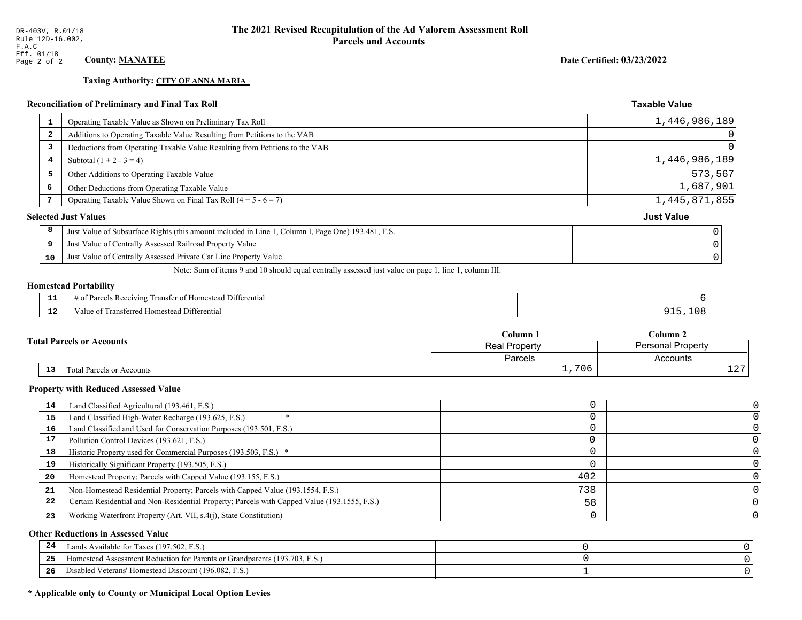**Taxing Authority: CITY OF ANNA MARIA** 

Date Certified: 03/23/2022

**Taxable Value** 

### Reconciliation of Preliminary and Final Tax Roll

|    | Operating Taxable Value as Shown on Preliminary Tax Roll                                           | 1,446,986,189     |
|----|----------------------------------------------------------------------------------------------------|-------------------|
| 2  | Additions to Operating Taxable Value Resulting from Petitions to the VAB                           |                   |
| 3  | Deductions from Operating Taxable Value Resulting from Petitions to the VAB                        |                   |
| 4  | Subtotal $(1 + 2 - 3 = 4)$                                                                         | 1,446,986,189     |
| 5  | Other Additions to Operating Taxable Value                                                         | 573, 567          |
| 6  | Other Deductions from Operating Taxable Value                                                      | 1,687,901         |
| 7  | Operating Taxable Value Shown on Final Tax Roll $(4 + 5 - 6 = 7)$                                  | 1,445,871,855     |
|    | <b>Selected Just Values</b>                                                                        | <b>Just Value</b> |
| 8  | Just Value of Subsurface Rights (this amount included in Line 1, Column I, Page One) 193.481, F.S. | $\Omega$          |
| 9  | Just Value of Centrally Assessed Railroad Property Value                                           |                   |
| 10 | Just Value of Centrally Assessed Private Car Line Property Value                                   | $\mathbf 0$       |
|    |                                                                                                    |                   |

Note: Sum of items 9 and 10 should equal centrally assessed just value on page 1, line 1, column III.

# **Homestead Portability**

| - -         | --<br>Differential<br>ranster<br><i>Pacawing</i><br>. arce<br>-01<br>n |  |
|-------------|------------------------------------------------------------------------|--|
| $\sim$<br>. | l Differential<br>alue<br><b>Homestead</b><br>мынги<br>тан             |  |

|                                                     | Column 1                                         | $C$ olumn 2 |  |
|-----------------------------------------------------|--------------------------------------------------|-------------|--|
| <b>Total Parcels or Accounts</b>                    | <b>Personal Property</b><br><b>Real Property</b> |             |  |
|                                                     | Parcels                                          | Accounts    |  |
| $\overline{13}$<br><b>Total Parcels or Accounts</b> | 706                                              | 1.07<br>ᅩᅀ  |  |

#### **Property with Reduced Assessed Value**

| 14 | Land Classified Agricultural (193.461, F.S.)                                                 |     |  |
|----|----------------------------------------------------------------------------------------------|-----|--|
|    |                                                                                              |     |  |
| 15 | Land Classified High-Water Recharge (193.625, F.S.)                                          |     |  |
| 16 | Land Classified and Used for Conservation Purposes (193.501, F.S.)                           |     |  |
| 17 | Pollution Control Devices (193.621, F.S.)                                                    |     |  |
| 18 | Historic Property used for Commercial Purposes (193.503, F.S.) *                             |     |  |
| 19 | Historically Significant Property (193.505, F.S.)                                            |     |  |
| 20 | Homestead Property; Parcels with Capped Value (193.155, F.S.)                                | 402 |  |
| 21 | Non-Homestead Residential Property; Parcels with Capped Value (193.1554, F.S.)               | 738 |  |
| 22 | Certain Residential and Non-Residential Property; Parcels with Capped Value (193.1555, F.S.) | 58  |  |
| 23 | Working Waterfront Property (Art. VII, s.4(j), State Constitution)                           |     |  |

#### **Other Reductions in Assessed Value**

| 24<br>$\overline{\phantom{a}}$ | Lands Available for Taxes (197.502, F.S.)                                            |  |
|--------------------------------|--------------------------------------------------------------------------------------|--|
| つら<br>-43                      | Homestead Assessment Reduction for Parents or Grandparents (193.)<br>93.703.<br>F.S. |  |
| -26                            | d Veterans' Homestead Discount (196.082, F.S.)<br>Jisabled                           |  |

# \* Applicable only to County or Municipal Local Option Levies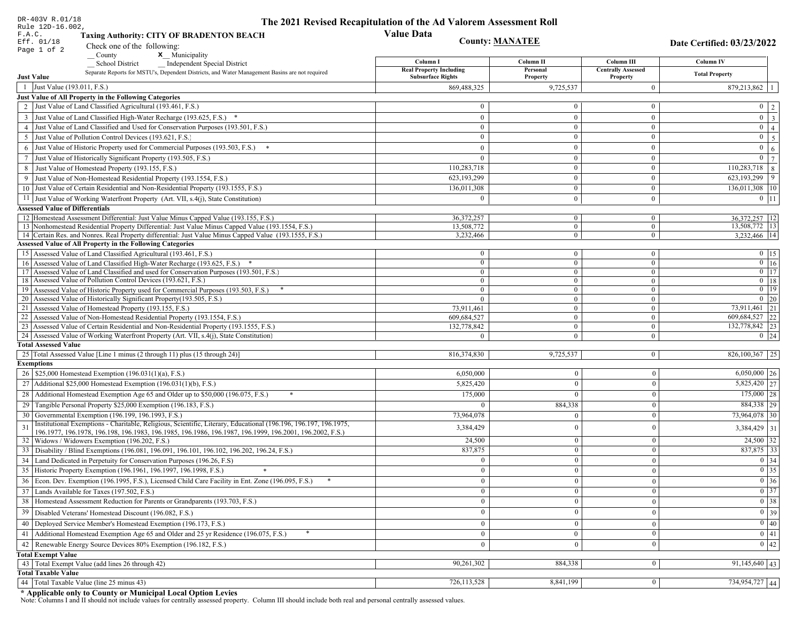| DR-403V R.01/18                        |                                                                                                                                                                                   | The 2021 Revised Recapitulation of the Ad Valorem Assessment Roll |                                |                                  |                                                                       |
|----------------------------------------|-----------------------------------------------------------------------------------------------------------------------------------------------------------------------------------|-------------------------------------------------------------------|--------------------------------|----------------------------------|-----------------------------------------------------------------------|
| Rule 12D-16.002,<br>F.A.C.             | <b>Taxing Authority: CITY OF BRADENTON BEACH</b>                                                                                                                                  | <b>Value Data</b>                                                 |                                |                                  |                                                                       |
| Eff. 01/18                             |                                                                                                                                                                                   | <b>County: MANATEE</b>                                            |                                |                                  | Date Certified: 03/23/2022                                            |
| Page 1 of 2                            | Check one of the following:<br>x Municipality<br>County                                                                                                                           |                                                                   |                                |                                  |                                                                       |
|                                        | <b>School District</b><br><b>Independent Special District</b>                                                                                                                     | Column I                                                          | Column II                      | Column III                       | <b>Column IV</b>                                                      |
|                                        | Separate Reports for MSTU's, Dependent Districts, and Water Management Basins are not required                                                                                    | <b>Real Property Including</b><br><b>Subsurface Rights</b>        | Personal                       | <b>Centrally Assessed</b>        | <b>Total Property</b>                                                 |
| <b>Just Value</b>                      |                                                                                                                                                                                   |                                                                   | Property                       | Property                         |                                                                       |
| 1 Just Value (193.011, F.S.)           |                                                                                                                                                                                   | 869,488,325                                                       | 9,725,537                      | $\overline{0}$                   | $879,213,862$   1                                                     |
|                                        | Just Value of All Property in the Following Categories<br>2 Just Value of Land Classified Agricultural (193.461, F.S.)                                                            | $\mathbf{0}$                                                      | $\Omega$                       | $\overline{0}$                   |                                                                       |
|                                        |                                                                                                                                                                                   |                                                                   |                                |                                  | $0 \mid 2 \mid$                                                       |
|                                        | 3 Just Value of Land Classified High-Water Recharge (193.625, F.S.) *                                                                                                             | $\mathbf{0}$                                                      | $\mathbf{0}$<br>$\mathbf{0}$   | $\overline{0}$                   | $\boxed{0}$ $\boxed{3}$                                               |
|                                        | 4 Just Value of Land Classified and Used for Conservation Purposes (193.501, F.S.)<br>5 Just Value of Pollution Control Devices (193.621, F.S.)                                   | $\bf{0}$<br>$\mathbf{0}$                                          | $\Omega$                       | $\overline{0}$<br>$\mathbf{0}$   | $\overline{0}$   4                                                    |
|                                        |                                                                                                                                                                                   |                                                                   |                                |                                  | $0 \mid 5 \mid$                                                       |
|                                        | 6 Just Value of Historic Property used for Commercial Purposes (193.503, F.S.)                                                                                                    | $\overline{0}$                                                    | $\mathbf{0}$                   | $\mathbf{0}$                     | $0 \mid 6 \mid$                                                       |
|                                        | 7 Just Value of Historically Significant Property (193.505, F.S.)                                                                                                                 | $\overline{0}$                                                    | $\mathbf{0}$<br>$\Omega$       | $\mathbf{0}$<br>$\mathbf{0}$     | $\mathbf{0}$<br>$7\phantom{.0}$                                       |
|                                        | 8 Just Value of Homestead Property (193.155, F.S.)                                                                                                                                | 110,283,718<br>623,193,299                                        | $\mathbf{0}$                   | $\overline{0}$                   | $110,283,718$ 8<br>$623,193,299$ 9                                    |
|                                        | 9 Just Value of Non-Homestead Residential Property (193.1554, F.S.)<br>10 Just Value of Certain Residential and Non-Residential Property (193.1555, F.S.)                         |                                                                   | $\mathbf{0}$                   |                                  |                                                                       |
|                                        |                                                                                                                                                                                   | 136,011,308                                                       |                                | $\overline{0}$                   | $136,011,308$   10                                                    |
|                                        | 11 Just Value of Working Waterfront Property (Art. VII, s.4(j), State Constitution)                                                                                               | $\theta$                                                          | $\mathbf{0}$                   | $\overline{0}$                   | $0 \mid 11 \mid$                                                      |
| <b>Assessed Value of Differentials</b> | 12 Homestead Assessment Differential: Just Value Minus Capped Value (193.155, F.S.)                                                                                               | 36.372.257                                                        | $\overline{0}$                 | $\overline{0}$                   |                                                                       |
|                                        | 13 Nonhomestead Residential Property Differential: Just Value Minus Capped Value (193.1554, F.S.)                                                                                 | 13,508,772                                                        | $\overline{0}$                 | $\overline{0}$                   | 36, 372, 257   12<br>13,508,772   13                                  |
|                                        | 14 Certain Res. and Nonres. Real Property differential: Just Value Minus Capped Value (193.1555, F.S.)                                                                            | 3,232,466                                                         | $\mathbf{0}$                   | $\overline{0}$                   | 3,232,466 14                                                          |
|                                        | <b>Assessed Value of All Property in the Following Categories</b>                                                                                                                 |                                                                   |                                |                                  |                                                                       |
|                                        | 15 Assessed Value of Land Classified Agricultural (193.461, F.S.)                                                                                                                 | $\bf{0}$                                                          | $\overline{0}$                 | $\overline{0}$                   | $0 \t15$                                                              |
|                                        | 16 Assessed Value of Land Classified High-Water Recharge (193.625, F.S.) *                                                                                                        | $\mathbf{0}$                                                      | $\overline{0}$                 | $\overline{0}$                   | $0 \mid 16$                                                           |
|                                        | 17 Assessed Value of Land Classified and used for Conservation Purposes (193.501, F.S.)                                                                                           | $\overline{0}$                                                    | $\overline{0}$                 | $\overline{0}$                   | $0$ 17                                                                |
|                                        | 18 Assessed Value of Pollution Control Devices (193.621, F.S.)                                                                                                                    | $\ddot{\mathbf{0}}$                                               | $\mathbf{0}$                   | $\overline{0}$                   | $0$   18                                                              |
|                                        | 19 Assessed Value of Historic Property used for Commercial Purposes (193.503, F.S.)                                                                                               | $\mathbf{0}$                                                      | $\mathbf{0}$                   | $\mathbf{0}$                     | $0$ 19                                                                |
|                                        | 20 Assessed Value of Historically Significant Property (193.505, F.S.)                                                                                                            | $\overline{0}$                                                    | $\theta$                       | $\overline{0}$                   | $0 \quad 20$                                                          |
|                                        | 21 Assessed Value of Homestead Property (193.155, F.S.)                                                                                                                           | 73,911,461                                                        | $\mathbf{0}$                   | $\overline{0}$                   | 73,911,461 21                                                         |
|                                        | 22 Assessed Value of Non-Homestead Residential Property (193.1554, F.S.)                                                                                                          | 609,684,527                                                       | $\mathbf{0}$<br>$\overline{0}$ | $\overline{0}$                   | 609,684,527 22<br>132,778,842 23                                      |
|                                        | 23 Assessed Value of Certain Residential and Non-Residential Property (193.1555, F.S.)<br>24 Assessed Value of Working Waterfront Property (Art. VII, s.4(j), State Constitution) | 132,778,842<br>$\Omega$                                           | $\Omega$                       | $\overline{0}$<br>$\overline{0}$ | $0 \quad 24$                                                          |
| <b>Total Assessed Value</b>            |                                                                                                                                                                                   |                                                                   |                                |                                  |                                                                       |
|                                        | 25 Total Assessed Value [Line 1 minus (2 through 11) plus (15 through 24)]                                                                                                        | 816,374,830                                                       | 9,725,537                      | $\vert 0 \vert$                  | $826,100,367$   25                                                    |
| <b>Exemptions</b>                      |                                                                                                                                                                                   |                                                                   |                                |                                  |                                                                       |
|                                        | 26   \$25,000 Homestead Exemption (196.031(1)(a), F.S.)                                                                                                                           | 6,050,000                                                         | $\overline{0}$                 | $\boldsymbol{0}$                 | $6,050,000$ 26                                                        |
|                                        | 27   Additional \$25,000 Homestead Exemption (196.031(1)(b), F.S.)                                                                                                                | 5,825,420                                                         | $\overline{0}$                 | $\boldsymbol{0}$                 | $5,825,420$ 27                                                        |
| 28                                     | Additional Homestead Exemption Age 65 and Older up to \$50,000 (196.075, F.S.)<br>*                                                                                               | 175,000                                                           | $\Omega$                       | $\boldsymbol{0}$                 | $175,000$ 28                                                          |
|                                        | 29 Tangible Personal Property \$25,000 Exemption (196.183, F.S.)                                                                                                                  | $\Omega$                                                          | 884,338                        | $\boldsymbol{0}$                 | 884,338 29                                                            |
|                                        | 30 Governmental Exemption (196.199, 196.1993, F.S.)                                                                                                                               | 73.964.078                                                        | $\overline{0}$                 | $\boldsymbol{0}$                 | 73,964,078 30                                                         |
| 31                                     | Institutional Exemptions - Charitable, Religious, Scientific, Literary, Educational (196.196, 196.197, 196.1975,                                                                  |                                                                   | $\overline{0}$                 |                                  |                                                                       |
|                                        | 196.1977, 196.1978, 196.198, 196.1983, 196.1985, 196.1986, 196.1987, 196.1999, 196.2001, 196.2002, F.S.)                                                                          | 3,384,429                                                         |                                | $\boldsymbol{0}$                 | $3,384,429$ 31                                                        |
|                                        | 32   Widows / Widowers Exemption (196.202, F.S.)                                                                                                                                  | 24,500                                                            | $\overline{0}$                 | $\boldsymbol{0}$                 | $\boxed{24,500}$ 32                                                   |
| 33                                     | Disability / Blind Exemptions (196.081, 196.091, 196.101, 196.102, 196.202, 196.24, F.S.)                                                                                         | 837,875                                                           | $\Omega$                       | $\mathbf{0}$                     | 837,875 33                                                            |
| 34                                     | Land Dedicated in Perpetuity for Conservation Purposes (196.26, F.S)                                                                                                              | $\overline{0}$                                                    | $\mathbf{0}$                   | $\bf{0}$                         | 0 34                                                                  |
|                                        | 35 Historic Property Exemption (196.1961, 196.1997, 196.1998, F.S.)                                                                                                               | $\mathbf{0}$                                                      | $\mathbf{0}$                   | $\mathbf{0}$                     | $\begin{array}{ c c }\n\hline\n0 & 35 \\ \hline\n0 & 36\n\end{array}$ |
|                                        | 36 Econ. Dev. Exemption (196.1995, F.S.), Licensed Child Care Facility in Ent. Zone (196.095, F.S.)                                                                               | $\mathbf{0}$                                                      | $\overline{0}$                 | $\mathbf{0}$                     |                                                                       |
|                                        | 37 Lands Available for Taxes (197.502, F.S.)                                                                                                                                      | $\mathbf{0}$                                                      | $\bf{0}$                       | $\bf{0}$                         | $0 \overline{\smash)37}$                                              |
|                                        | 38   Homestead Assessment Reduction for Parents or Grandparents (193.703, F.S.)                                                                                                   | $\mathbf{0}$                                                      | $\overline{0}$                 | $\bf{0}$                         | $\boxed{0}$ 38                                                        |
|                                        | 39   Disabled Veterans' Homestead Discount (196.082, F.S.)                                                                                                                        | $\overline{0}$                                                    | $\overline{0}$                 | $\bf{0}$                         | 0 39                                                                  |
|                                        | 40   Deployed Service Member's Homestead Exemption (196.173, F.S.)                                                                                                                | $\mathbf{0}$                                                      | $\mathbf{0}$                   | $\boldsymbol{0}$                 | $\boxed{0}$ 40                                                        |
| 41                                     | Additional Homestead Exemption Age 65 and Older and 25 yr Residence (196.075, F.S.)                                                                                               | $\mathbf{0}$                                                      | $\mathbf{0}$                   | $\boldsymbol{0}$                 | $\overline{0}$ 41                                                     |
| 42                                     | Renewable Energy Source Devices 80% Exemption (196.182, F.S.)                                                                                                                     | $\overline{0}$                                                    | $\theta$                       | $\bf{0}$                         | $0 \mid 42$                                                           |
| <b>Total Exempt Value</b>              |                                                                                                                                                                                   |                                                                   |                                |                                  |                                                                       |
|                                        | 43 Total Exempt Value (add lines 26 through 42)                                                                                                                                   | 90,261,302                                                        | 884,338                        | $\overline{0}$                   | $91,145,640$ 43                                                       |
| <b>Total Taxable Value</b>             |                                                                                                                                                                                   |                                                                   |                                |                                  |                                                                       |
|                                        | 44   Total Taxable Value (line 25 minus 43)                                                                                                                                       | 726,113,528                                                       | 8,841,199                      | $\bf{0}$                         | 734,954,727 44                                                        |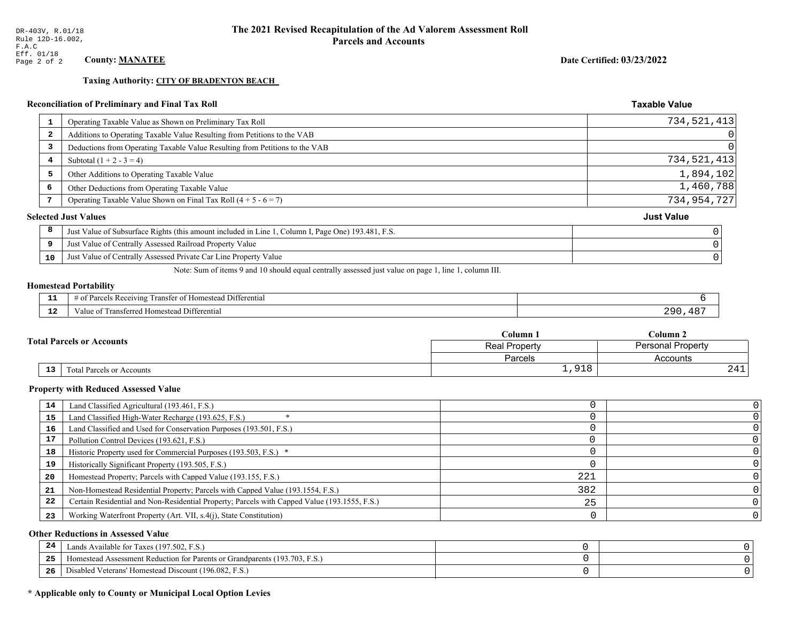**Taxing Authority: CITY OF BRADENTON BEACH** 

### Reconciliation of Preliminary and Final Tax Roll

| 1                       | Operating Taxable Value as Shown on Preliminary Tax Roll                                           | 734,521,413       |
|-------------------------|----------------------------------------------------------------------------------------------------|-------------------|
| $\overline{\mathbf{2}}$ | Additions to Operating Taxable Value Resulting from Petitions to the VAB                           | 0                 |
| 3                       | Deductions from Operating Taxable Value Resulting from Petitions to the VAB                        | $\overline{0}$    |
| 4                       | Subtotal $(1 + 2 - 3 = 4)$                                                                         | 734,521,413       |
| 5                       | Other Additions to Operating Taxable Value                                                         | 1,894,102         |
| 6                       | Other Deductions from Operating Taxable Value                                                      | 1,460,788         |
|                         | Operating Taxable Value Shown on Final Tax Roll $(4 + 5 - 6 = 7)$                                  | 734, 954, 727     |
|                         | <b>Selected Just Values</b>                                                                        | <b>Just Value</b> |
| 8                       | Just Value of Subsurface Rights (this amount included in Line 1, Column I, Page One) 193.481, F.S. |                   |
| 9                       | Just Value of Centrally Assessed Railroad Property Value                                           |                   |
| 10                      | Just Value of Centrally Assessed Private Car Line Property Value                                   |                   |
|                         |                                                                                                    |                   |

Note: Sum of items 9 and 10 should equal centrally assessed just value on page 1, line 1, column III.

#### **Homestead Portability**

| - -<br>---  | $\cdots$<br>⊥ Differentia!<br>Receivin<br>rancter<br>$\sim$<br>arce<br>$\sqrt{2}$<br>$\cdots$<br>,,,,,<br>$\cdot$ |          |
|-------------|-------------------------------------------------------------------------------------------------------------------|----------|
| $\sim$<br>. | l Homestead Differential<br>alue<br>i ransterreg                                                                  | l O<br>. |

| <b>Total Parcels or Accounts</b> |  | Column 1      | $\mathbb C$ olumn 2      |  |
|----------------------------------|--|---------------|--------------------------|--|
|                                  |  | Real Property | <b>Personal Property</b> |  |
|                                  |  | Parcels       | Accounts                 |  |
| 13<br>Total Parcels or Accounts  |  | 91R           | 441                      |  |

#### **Property with Reduced Assessed Value**

| 14 | Land Classified Agricultural (193.461, F.S.)                                                 |     |  |
|----|----------------------------------------------------------------------------------------------|-----|--|
| 15 | Land Classified High-Water Recharge (193.625, F.S.)                                          |     |  |
| 16 | Land Classified and Used for Conservation Purposes (193.501, F.S.)                           |     |  |
| 17 | Pollution Control Devices (193.621, F.S.)                                                    |     |  |
| 18 | Historic Property used for Commercial Purposes (193.503, F.S.) *                             |     |  |
| 19 | Historically Significant Property (193.505, F.S.)                                            |     |  |
| 20 | Homestead Property; Parcels with Capped Value (193.155, F.S.)                                | 221 |  |
| 21 | Non-Homestead Residential Property; Parcels with Capped Value (193.1554, F.S.)               | 382 |  |
| 22 | Certain Residential and Non-Residential Property; Parcels with Capped Value (193.1555, F.S.) | 25  |  |
| 23 | Working Waterfront Property (Art. VII, s.4(j), State Constitution)                           |     |  |

#### **Other Reductions in Assessed Value**

| -44 | Available for Taxes (197.502, F.S.)                                          |  |
|-----|------------------------------------------------------------------------------|--|
| 25  | 'omestead Assessment Reduction for Parents or Grandparents $(193.703, F.S.)$ |  |
| 26  | isabled Veterans' Homestead Discount (196.082, F.S.)                         |  |

### \* Applicable only to County or Municipal Local Option Levies

Date Certified: 03/23/2022

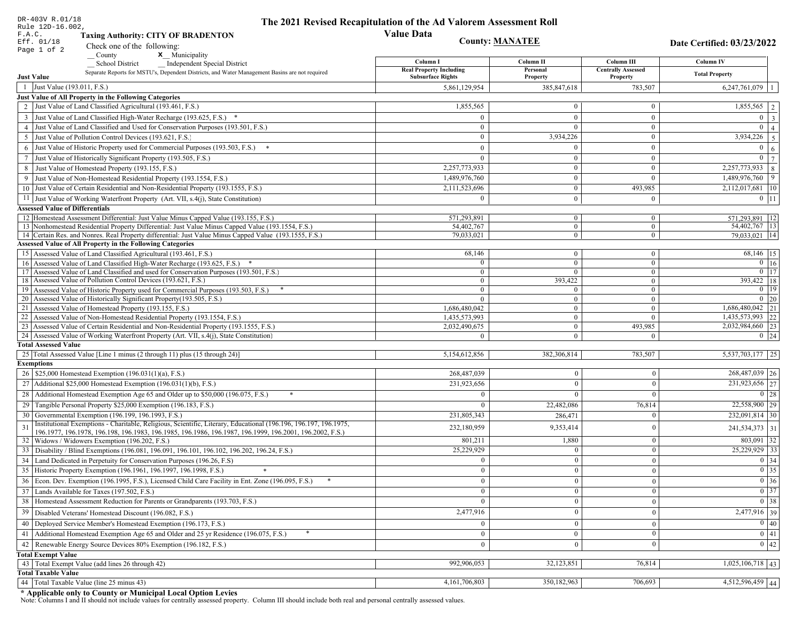| DR-403V R.01/18                                                                                                                                                                          | The 2021 Revised Recapitulation of the Ad Valorem Assessment Roll |                                |                              |                                                                       |
|------------------------------------------------------------------------------------------------------------------------------------------------------------------------------------------|-------------------------------------------------------------------|--------------------------------|------------------------------|-----------------------------------------------------------------------|
| Rule 12D-16.002,<br>F.A.C.<br><b>Taxing Authority: CITY OF BRADENTON</b>                                                                                                                 | <b>Value Data</b>                                                 |                                |                              |                                                                       |
| Eff. 01/18                                                                                                                                                                               |                                                                   | <b>County: MANATEE</b>         |                              |                                                                       |
| Check one of the following:<br>Page 1 of 2<br>County<br><b>x</b> Municipality                                                                                                            |                                                                   |                                |                              | Date Certified: 03/23/2022                                            |
| <b>School District</b><br><b>Independent Special District</b>                                                                                                                            | Column I                                                          | Column II                      | Column III                   | <b>Column IV</b>                                                      |
| Separate Reports for MSTU's, Dependent Districts, and Water Management Basins are not required                                                                                           | <b>Real Property Including</b>                                    | Personal                       | <b>Centrally Assessed</b>    | <b>Total Property</b>                                                 |
| <b>Just Value</b>                                                                                                                                                                        | <b>Subsurface Rights</b>                                          | Property                       | Property                     |                                                                       |
| 1 Just Value (193.011, F.S.)                                                                                                                                                             | 5,861,129,954                                                     | 385, 847, 618                  | 783,507                      | 6,247,761,079                                                         |
| Just Value of All Property in the Following Categories<br>2 Just Value of Land Classified Agricultural (193.461, F.S.)                                                                   | 1,855,565                                                         | $\mathbf{0}$                   | $\bf{0}$                     | 1,855,565                                                             |
|                                                                                                                                                                                          |                                                                   |                                |                              |                                                                       |
| 3 Just Value of Land Classified High-Water Recharge (193.625, F.S.)                                                                                                                      | $\mathbf{0}$                                                      | $\overline{0}$<br>$\Omega$     | $\mathbf{0}$                 | $\mathbf{0}$<br>$\overline{3}$<br>$\overline{0}$                      |
| 4 Just Value of Land Classified and Used for Conservation Purposes (193.501, F.S.)                                                                                                       | $\bf{0}$<br>$\overline{0}$                                        | 3,934,226                      | $\bf{0}$<br>$\mathbf{0}$     | $\Delta$<br>3,934,226                                                 |
| 5 Just Value of Pollution Control Devices (193.621, F.S.)                                                                                                                                |                                                                   |                                |                              | 5<br>$\overline{0}$                                                   |
| 6 Just Value of Historic Property used for Commercial Purposes (193.503, F.S.)                                                                                                           | $\mathbf{0}$                                                      | $\theta$                       | $\mathbf{0}$                 | 6                                                                     |
| 7 Just Value of Historically Significant Property (193.505, F.S.)                                                                                                                        | $\overline{0}$                                                    | $\theta$                       | $\bf{0}$                     | $\overline{0}$                                                        |
| 8 Just Value of Homestead Property (193.155, F.S.)                                                                                                                                       | 2,257,773,933                                                     | $\mathbf{0}$                   | $\mathbf{0}$                 | 2,257,773,933<br>8                                                    |
| 9 Just Value of Non-Homestead Residential Property (193.1554, F.S.)                                                                                                                      | 1,489,976,760                                                     | $\mathbf{0}$                   | $\overline{0}$               | 1,489,976,760<br>9                                                    |
| 10 Just Value of Certain Residential and Non-Residential Property (193.1555, F.S.)                                                                                                       | 2,111,523,696                                                     | $\bf{0}$                       | 493,985                      | 2,112,017,681<br> 10                                                  |
| 11 Just Value of Working Waterfront Property (Art. VII, s.4(j), State Constitution)                                                                                                      | $\overline{0}$                                                    | $\mathbf{0}$                   | $\bf{0}$                     | $0$   11                                                              |
| <b>Assessed Value of Differentials</b>                                                                                                                                                   |                                                                   |                                |                              |                                                                       |
| 12 Homestead Assessment Differential: Just Value Minus Capped Value (193.155, F.S.)<br>13 Nonhomestead Residential Property Differential: Just Value Minus Capped Value (193.1554, F.S.) | 571,293,891<br>54,402,767                                         | $\mathbf{0}$<br>$\overline{0}$ | $\mathbf{0}$<br>$\mathbf{0}$ | 571,293,891   12<br>54,402,767   13                                   |
| 14 Certain Res. and Nonres. Real Property differential: Just Value Minus Capped Value (193.1555, F.S.)                                                                                   | 79,033,021                                                        | $\overline{0}$                 | $\overline{0}$               | 79,033,021   14                                                       |
| <b>Assessed Value of All Property in the Following Categories</b>                                                                                                                        |                                                                   |                                |                              |                                                                       |
| 15 Assessed Value of Land Classified Agricultural (193.461, F.S.)                                                                                                                        | 68,146                                                            | $\boldsymbol{0}$               | $\mathbf{0}$                 | 68,146   15                                                           |
| 16 Assessed Value of Land Classified High-Water Recharge (193.625, F.S.)                                                                                                                 | $\theta$                                                          | $\overline{0}$                 | $\overline{0}$               | $\boxed{0}$ 16                                                        |
| 17 Assessed Value of Land Classified and used for Conservation Purposes (193.501, F.S.)                                                                                                  | $\bf{0}$                                                          | $\mathbf{0}$                   | $\mathbf{0}$                 | $0$ 17                                                                |
| 18 Assessed Value of Pollution Control Devices (193.621, F.S.)                                                                                                                           | $\overline{0}$                                                    | 393,422                        | $\mathbf{0}$                 | 393,422 18                                                            |
| 19 Assessed Value of Historic Property used for Commercial Purposes (193.503, F.S.)                                                                                                      | $\mathbf{0}$                                                      |                                | $\bf{0}$                     | $0$   19                                                              |
| 20 Assessed Value of Historically Significant Property (193.505, F.S.)                                                                                                                   | $\bf{0}$                                                          | $\mathbf{0}$                   | $\mathbf{0}$                 | $0 \mid 20$                                                           |
| 21 Assessed Value of Homestead Property (193.155, F.S.)                                                                                                                                  | 1,686,480,042                                                     | $\mathbf{0}$                   | $\mathbf{0}$                 | 1,686,480,042 21                                                      |
| 22 Assessed Value of Non-Homestead Residential Property (193.1554, F.S.)                                                                                                                 | 1,435,573,993                                                     | $\boldsymbol{0}$               | $\overline{0}$               | 1,435,573,993 22                                                      |
| 23 Assessed Value of Certain Residential and Non-Residential Property (193.1555, F.S.)                                                                                                   | 2,032,490,675                                                     | $\boldsymbol{0}$               | 493,985                      | 2,032,984,660 23                                                      |
| 24 Assessed Value of Working Waterfront Property (Art. VII, s.4(j), State Constitution<br><b>Total Assessed Value</b>                                                                    | $\theta$                                                          | $\overline{0}$                 | $\overline{0}$               | $0 \mid 24$                                                           |
| 25 Total Assessed Value [Line 1 minus (2 through 11) plus (15 through 24)]                                                                                                               | 5,154,612,856                                                     | 382,306,814                    | 783,507                      | 5,537,703,177 25                                                      |
| <b>Exemptions</b>                                                                                                                                                                        |                                                                   |                                |                              |                                                                       |
| 26   \$25,000 Homestead Exemption (196.031(1)(a), F.S.)                                                                                                                                  | 268,487,039                                                       | $\overline{0}$                 | $\theta$                     | $\sqrt{268,487,039}$ 26                                               |
| 27 Additional \$25,000 Homestead Exemption (196.031(1)(b), F.S.)                                                                                                                         | 231,923,656                                                       | $\Omega$                       | $\theta$                     | 231,923,656 27                                                        |
|                                                                                                                                                                                          |                                                                   |                                | $\sqrt{ }$                   | 0 28                                                                  |
| Additional Homestead Exemption Age 65 and Older up to \$50,000 (196.075, F.S.)<br>28                                                                                                     | $\Omega$                                                          |                                |                              |                                                                       |
| 29 Tangible Personal Property \$25,000 Exemption (196.183, F.S.)                                                                                                                         | $\Omega$                                                          | 22,482,086                     | 76,814                       | 22,558,900 29                                                         |
| 30 Governmental Exemption (196.199, 196.1993, F.S.)<br>Institutional Exemptions - Charitable, Religious, Scientific, Literary, Educational (196.196, 196.197, 196.1975,                  | 231,805,343                                                       | 286,471                        | $\Omega$                     | 232,091,814 30                                                        |
| 31<br>196.1977, 196.1978, 196.198, 196.1983, 196.1985, 196.1986, 196.1987, 196.1999, 196.2001, 196.2002, F.S.)                                                                           | 232,180,959                                                       | 9,353,414                      | $\theta$                     | 241,534,373 31                                                        |
| 32<br>Widows / Widowers Exemption (196.202, F.S.)                                                                                                                                        | 801,211                                                           | 1,880                          | $\theta$                     | $803,091$ 32                                                          |
| 33 Disability / Blind Exemptions (196.081, 196.091, 196.101, 196.102, 196.202, 196.24, F.S.)                                                                                             | 25,229,929                                                        |                                | $\theta$                     | $25,229,929$ 33                                                       |
| Land Dedicated in Perpetuity for Conservation Purposes (196.26, F.S)                                                                                                                     | $\mathbf{0}$                                                      | $\overline{0}$                 | $\Omega$                     | $0 \mid 34$                                                           |
| 35 Historic Property Exemption (196.1961, 196.1997, 196.1998, F.S.)                                                                                                                      | $\mathbf{0}$                                                      | $\mathbf{0}$                   | $\mathbf{0}$                 |                                                                       |
| 36 Econ. Dev. Exemption (196.1995, F.S.), Licensed Child Care Facility in Ent. Zone (196.095, F.S.)                                                                                      | $\overline{0}$                                                    | $\overline{0}$                 | $\Omega$                     | $\begin{array}{ c c }\n\hline\n0 & 35 \\ \hline\n0 & 36\n\end{array}$ |
| 37 Lands Available for Taxes (197.502, F.S.)                                                                                                                                             | $\mathbf{0}$                                                      | $\mathbf{0}$                   | $\mathbf{0}$                 | $\boxed{0}$ 37                                                        |
| 38   Homestead Assessment Reduction for Parents or Grandparents (193.703, F.S.)                                                                                                          | $\overline{0}$                                                    | $\theta$                       | $\theta$                     | $\overline{0}$ 38                                                     |
| 39<br>Disabled Veterans' Homestead Discount (196.082, F.S.)                                                                                                                              | 2,477,916                                                         | $\overline{0}$                 | $\theta$                     | 2,477,916 39                                                          |
| Deployed Service Member's Homestead Exemption (196.173, F.S.)<br>40                                                                                                                      | $\overline{0}$                                                    | $\overline{0}$                 | $\overline{0}$               | $\overline{0}$ 40                                                     |
| Additional Homestead Exemption Age 65 and Older and 25 yr Residence (196.075, F.S.)                                                                                                      |                                                                   |                                | $\mathbf{0}$                 | $\boxed{0}$ $\boxed{41}$                                              |
| 41                                                                                                                                                                                       | $\mathbf{0}$                                                      | $\bf{0}$                       |                              | $\overline{0}$ 42                                                     |
| 42 Renewable Energy Source Devices 80% Exemption (196.182, F.S.)                                                                                                                         | $\mathbf{0}$                                                      | $\theta$                       | $\theta$                     |                                                                       |
| <b>Total Exempt Value</b>                                                                                                                                                                |                                                                   |                                |                              |                                                                       |
| 43 Total Exempt Value (add lines 26 through 42)<br><b>Total Taxable Value</b>                                                                                                            | 992,906,053                                                       | 32,123,851                     | 76,814                       | $1,025,106,718$ 43                                                    |
| 44 Total Taxable Value (line 25 minus 43)                                                                                                                                                | 4, 161, 706, 803                                                  | 350,182,963                    | 706,693                      | $4,512,596,459$ 44                                                    |
|                                                                                                                                                                                          |                                                                   |                                |                              |                                                                       |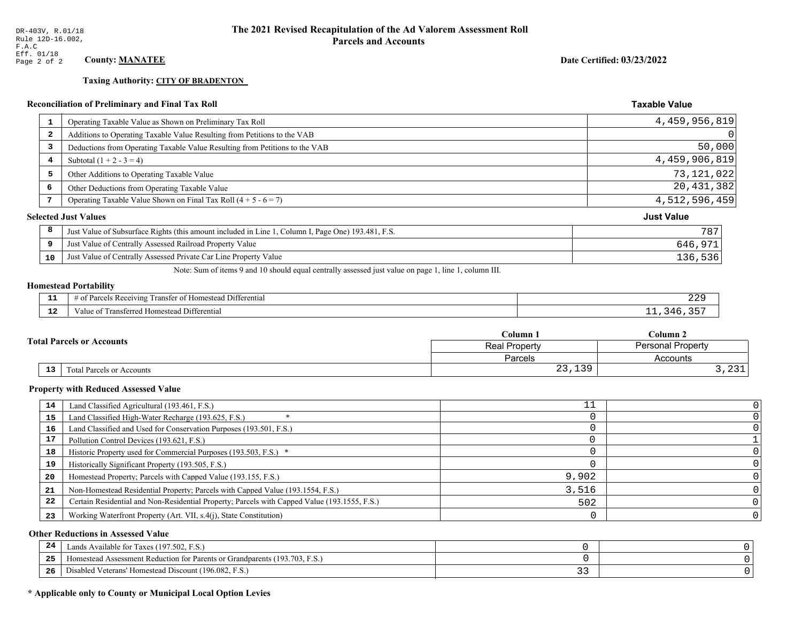**Taxing Authority: CITY OF BRADENTON** 

#### **Reconciliation of Preliminary and Final Tax Roll**

| 1  | Operating Taxable Value as Shown on Preliminary Tax Roll                                           | 4,459,956,819               |
|----|----------------------------------------------------------------------------------------------------|-----------------------------|
| 2  | Additions to Operating Taxable Value Resulting from Petitions to the VAB                           | 0                           |
| 3  | Deductions from Operating Taxable Value Resulting from Petitions to the VAB                        | 50,000                      |
| 4  | Subtotal $(1 + 2 - 3 = 4)$                                                                         | 4,459,906,819               |
| 5  | Other Additions to Operating Taxable Value                                                         | 73,121,022                  |
| 6  | Other Deductions from Operating Taxable Value                                                      | 20,431,382                  |
| 7  | Operating Taxable Value Shown on Final Tax Roll $(4 + 5 - 6 = 7)$                                  | 4,512,596,459               |
|    |                                                                                                    | <b>Just Value</b>           |
| 8  | Just Value of Subsurface Rights (this amount included in Line 1, Column I, Page One) 193.481, F.S. | 787                         |
| 9  | Just Value of Centrally Assessed Railroad Property Value                                           | 646,971                     |
| 10 | Just Value of Centrally Assessed Private Car Line Property Value                                   | 136,536                     |
|    |                                                                                                    | <b>Selected Just Values</b> |

Note: Sum of items 9 and 10 should equal centrally assessed just value on page 1, line 1, column III.

# **Homestead Portability**

| - -<br>---    | $\sim$ $\sim$<br>Differential<br>ranster o <sup>+</sup><br>$\sim$ K ecelving $\sim$<br>omestead<br>Parceis<br>' 01<br>nu.<br>. | نكك       |
|---------------|--------------------------------------------------------------------------------------------------------------------------------|-----------|
| $\sim$<br>--- | $1.1 + 1.7$<br>rans.<br>erentia<br>Homesteac<br>alue<br>rea.<br>---------                                                      | <b>LL</b> |

| <b>Total Parcels or Accounts</b> |    |                                  | Column 1                             | Column 2                         |  |
|----------------------------------|----|----------------------------------|--------------------------------------|----------------------------------|--|
|                                  |    |                                  | <b>Real Property</b>                 | <b>Personal Property</b>         |  |
|                                  |    |                                  | Parcels                              | Accounts                         |  |
|                                  | 13 | <b>Fotal Parcels or Accounts</b> | $\sim$<br>$\Omega$<br>25,19 <i>7</i> | $\sim$ $\sim$ $\sim$<br>⊥ ت ہے , |  |

#### **Property with Reduced Assessed Value**

| 14 | Land Classified Agricultural (193.461, F.S.)                                                 |       |  |
|----|----------------------------------------------------------------------------------------------|-------|--|
| 15 | Land Classified High-Water Recharge (193.625, F.S.)                                          |       |  |
| 16 | Land Classified and Used for Conservation Purposes (193.501, F.S.)                           |       |  |
|    | Pollution Control Devices (193.621, F.S.)                                                    |       |  |
| 18 | Historic Property used for Commercial Purposes (193.503, F.S.) *                             |       |  |
| 19 | Historically Significant Property (193.505, F.S.)                                            |       |  |
| 20 | Homestead Property; Parcels with Capped Value (193.155, F.S.)                                | 9,902 |  |
| 21 | Non-Homestead Residential Property; Parcels with Capped Value (193.1554, F.S.)               | 3.516 |  |
| 22 | Certain Residential and Non-Residential Property; Parcels with Capped Value (193.1555, F.S.) | 502   |  |
| 23 | Working Waterfront Property (Art. VII, s.4(j), State Constitution)                           |       |  |

#### **Other Reductions in Assessed Value**

| -24 | Lands Available for Taxes (197.502, F.S.)                                      |   |  |
|-----|--------------------------------------------------------------------------------|---|--|
| .   | (193.703, F)<br>Aomestead Assessment Reduction for Parents or Grandparents (1) |   |  |
| -26 | J Veterans' Homestead Discount (196.082, F.S.)<br>Disabled                     | ◡ |  |

# \* Applicable only to County or Municipal Local Option Levies

Date Certified: 03/23/2022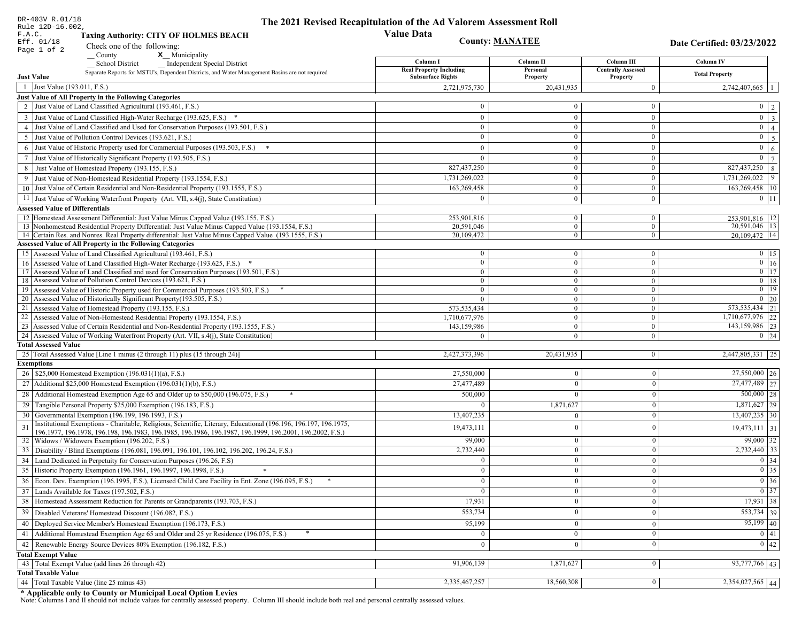| DR-403V R.01/18                                   |                                                                                                                                                               | The 2021 Revised Recapitulation of the Ad Valorem Assessment Roll |                          |                                |                                                                            |
|---------------------------------------------------|---------------------------------------------------------------------------------------------------------------------------------------------------------------|-------------------------------------------------------------------|--------------------------|--------------------------------|----------------------------------------------------------------------------|
| Rule 12D-16.002,<br>F.A.C.                        | <b>Taxing Authority: CITY OF HOLMES BEACH</b>                                                                                                                 | <b>Value Data</b>                                                 |                          |                                |                                                                            |
| Eff. 01/18                                        |                                                                                                                                                               | <b>County: MANATEE</b>                                            |                          |                                | Date Certified: 03/23/2022                                                 |
| Page 1 of 2                                       | Check one of the following:<br>x Municipality<br>$\sqrt{\frac{1}{2}}$ County                                                                                  |                                                                   |                          |                                |                                                                            |
|                                                   | <b>School District</b><br><b>Independent Special District</b>                                                                                                 | Column I                                                          | Column II                | Column III                     | <b>Column IV</b>                                                           |
|                                                   | Separate Reports for MSTU's, Dependent Districts, and Water Management Basins are not required                                                                | <b>Real Property Including</b>                                    | Personal                 | <b>Centrally Assessed</b>      | <b>Total Property</b>                                                      |
| <b>Just Value</b><br>1 Just Value (193.011, F.S.) |                                                                                                                                                               | <b>Subsurface Rights</b>                                          | Property                 | Property<br>$\overline{0}$     |                                                                            |
|                                                   | Just Value of All Property in the Following Categories                                                                                                        | 2,721,975,730                                                     | 20,431,935               |                                | $2,742,407,665$   1                                                        |
|                                                   | 2 Just Value of Land Classified Agricultural (193.461, F.S.)                                                                                                  | $\overline{0}$                                                    | $\Omega$                 | $\mathbf{0}$                   | $0 \mid 2$                                                                 |
|                                                   | 3 Just Value of Land Classified High-Water Recharge (193.625, F.S.) *                                                                                         | $\mathbf{0}$                                                      | $\overline{0}$           | $\overline{0}$                 | $0 \overline{3}$                                                           |
|                                                   | 4 Just Value of Land Classified and Used for Conservation Purposes (193.501, F.S.)                                                                            | $\overline{0}$                                                    | $\overline{0}$           | $\mathbf{0}$                   | $0 \mid 4$                                                                 |
| 5                                                 | Just Value of Pollution Control Devices (193.621, F.S.)                                                                                                       | $\overline{0}$                                                    | $\Omega$                 | $\mathbf{0}$                   | $0 \mid 5$                                                                 |
|                                                   |                                                                                                                                                               | $\mathbf{0}$                                                      | $\boldsymbol{0}$         | $\overline{0}$                 | $0 \mid 6$                                                                 |
|                                                   | 6 Just Value of Historic Property used for Commercial Purposes (193.503, F.S.) *                                                                              | $\bf{0}$                                                          | $\mathbf{0}$             | $\overline{0}$                 | $0 \mid 7$                                                                 |
|                                                   | 7 Just Value of Historically Significant Property (193.505, F.S.)                                                                                             | 827,437,250                                                       |                          | $\mathbf{0}$                   | 827,437,250 8                                                              |
|                                                   | 8 Just Value of Homestead Property (193.155, F.S.)<br>9 Just Value of Non-Homestead Residential Property (193.1554, F.S.)                                     | 1,731,269,022                                                     | $\mathbf{0}$             | $\overline{0}$                 | $1,73\overline{1,269,022}$ 9                                               |
|                                                   | 10 Just Value of Certain Residential and Non-Residential Property (193.1555, F.S.)                                                                            | 163,269,458                                                       | $\boldsymbol{0}$         | $\overline{0}$                 | 163,269,458 10                                                             |
|                                                   |                                                                                                                                                               | $\Omega$                                                          |                          |                                |                                                                            |
|                                                   | 11 Just Value of Working Waterfront Property (Art. VII, s.4(j), State Constitution)                                                                           |                                                                   | $\mathbf{0}$             | $\overline{0}$                 | $0$   11                                                                   |
| <b>Assessed Value of Differentials</b>            | 12 Homestead Assessment Differential: Just Value Minus Capped Value (193.155, F.S.)                                                                           | 253,901,816                                                       | $\mathbf{0}$             | $\bf{0}$                       | 253,901,816   12                                                           |
|                                                   | 13 Nonhomestead Residential Property Differential: Just Value Minus Capped Value (193.1554, F.S.)                                                             | 20,591,046                                                        | $\overline{0}$           | $\mathbf{0}$                   | 20,591,046   13                                                            |
|                                                   | 14 Certain Res. and Nonres. Real Property differential: Just Value Minus Capped Value (193.1555, F.S.)                                                        | 20,109,472                                                        | $\mathbf{0}$             | $\mathbf{0}$                   | 20,109,472   14                                                            |
|                                                   | <b>Assessed Value of All Property in the Following Categories</b>                                                                                             |                                                                   |                          |                                |                                                                            |
|                                                   | 15 Assessed Value of Land Classified Agricultural (193.461, F.S.)                                                                                             | $\bf{0}$                                                          | $\boldsymbol{0}$         | $\mathbf{0}$                   | $0 \mid 15$                                                                |
|                                                   | 16 Assessed Value of Land Classified High-Water Recharge (193.625, F.S.) *                                                                                    | $\bf{0}$                                                          | $\mathbf{0}$             | $\mathbf{0}$                   | $\overline{0}$ 16                                                          |
|                                                   | 17 Assessed Value of Land Classified and used for Conservation Purposes (193.501, F.S.)                                                                       | $\mathbf{0}$                                                      | $\boldsymbol{0}$         | $\mathbf{0}$                   | $\overline{0}$ 17                                                          |
|                                                   | 18 Assessed Value of Pollution Control Devices (193.621, F.S.)                                                                                                | $\mathbf{0}$                                                      | $\mathbf{0}$             | $\mathbf{0}$                   | $0$   18                                                                   |
|                                                   | 19 Assessed Value of Historic Property used for Commercial Purposes (193.503, F.S.)<br>20 Assessed Value of Historically Significant Property (193.505, F.S.) | $\mathbf{0}$                                                      | $\mathbf{0}$             | $\overline{0}$                 | $0$ 19<br>$0 \mid 20$                                                      |
|                                                   | 21 Assessed Value of Homestead Property (193.155, F.S.)                                                                                                       | $\overline{0}$<br>573, 535, 434                                   | $\mathbf{0}$<br>$\Omega$ | $\overline{0}$<br>$\mathbf{0}$ | 573, 535, 434 21                                                           |
|                                                   | 22 Assessed Value of Non-Homestead Residential Property (193.1554, F.S.)                                                                                      | 1,710,677,976                                                     | $\boldsymbol{0}$         | $\overline{0}$                 | 1,710,677,976 22                                                           |
|                                                   | 23 Assessed Value of Certain Residential and Non-Residential Property (193.1555, F.S.)                                                                        | 143,159,986                                                       | $\boldsymbol{0}$         | $\mathbf{0}$                   | 143,159,986 23                                                             |
|                                                   | 24 Assessed Value of Working Waterfront Property (Art. VII, s.4(j), State Constitution)                                                                       | $\theta$                                                          | $\overline{0}$           | $\mathbf{0}$                   | $0 \quad 24$                                                               |
| <b>Total Assessed Value</b>                       |                                                                                                                                                               |                                                                   |                          |                                |                                                                            |
|                                                   | 25 Total Assessed Value [Line 1 minus (2 through 11) plus (15 through 24)]                                                                                    | 2,427,373,396                                                     | 20,431,935               | $\mathbf{0}$                   | 2,447,805,331 25                                                           |
| <b>Exemptions</b>                                 |                                                                                                                                                               |                                                                   |                          |                                |                                                                            |
|                                                   | 26   \$25,000 Homestead Exemption (196.031(1)(a), F.S.)                                                                                                       | 27,550,000                                                        | $\mathbf{0}$             | $\mathbf{0}$                   | 27,550,000 26                                                              |
|                                                   | 27   Additional \$25,000 Homestead Exemption $(196.031(1)(b), F.S.)$                                                                                          | 27,477,489                                                        | $\Omega$                 | $\mathbf{0}$                   | 27,477,489 27                                                              |
|                                                   | 28 Additional Homestead Exemption Age 65 and Older up to \$50,000 (196.075, F.S.)                                                                             | 500,000                                                           | $\Omega$                 | $\mathbf{0}$                   | $500,000$ 28                                                               |
|                                                   | 29 Tangible Personal Property \$25,000 Exemption (196.183, F.S.)                                                                                              | $\Omega$                                                          | 1,871,627                | $\mathbf{0}$                   | $1,871,627$ 29                                                             |
|                                                   | 30 Governmental Exemption (196.199, 196.1993, F.S.)                                                                                                           | 13,407,235                                                        | $\Omega$                 | $\mathbf{0}$                   | $13,407,235$ 30                                                            |
| 31                                                | Institutional Exemptions - Charitable, Religious, Scientific, Literary, Educational (196.196, 196.197, 196.1975,                                              | 19,473,111                                                        | $\theta$                 | $\mathbf{0}$                   | $19,473,111$ 31                                                            |
|                                                   | 196.1977, 196.1978, 196.198, 196.1983, 196.1985, 196.1986, 196.1987, 196.1999, 196.2001, 196.2002, F.S.)                                                      |                                                                   |                          |                                |                                                                            |
|                                                   | 32   Widows / Widowers Exemption (196.202, F.S.)                                                                                                              | 99,000                                                            | $\Omega$<br>$\theta$     | $\mathbf{0}$                   | $99,000$ 32<br>$2,732,440$ 33                                              |
| 33                                                | Disability / Blind Exemptions (196.081, 196.091, 196.101, 196.102, 196.202, 196.24, F.S.)                                                                     | 2,732,440                                                         |                          | $\mathbf{0}$                   |                                                                            |
|                                                   | 34 Land Dedicated in Perpetuity for Conservation Purposes (196.26, F.S)                                                                                       | $\overline{0}$                                                    | $\overline{0}$           | $\overline{0}$                 | $0 \mid 34$                                                                |
|                                                   | 35 Historic Property Exemption (196.1961, 196.1997, 196.1998, F.S.)                                                                                           | $\mathbf{0}$                                                      | $\mathbf{0}$             | $\bf{0}$                       | $\begin{array}{ c c }\hline 0 & 35 \\ \hline 0 & 36 \\ \hline \end{array}$ |
|                                                   | 36 Econ. Dev. Exemption (196.1995, F.S.), Licensed Child Care Facility in Ent. Zone (196.095, F.S.)                                                           | $\mathbf{0}$                                                      | $\bf{0}$                 | $\overline{0}$                 |                                                                            |
|                                                   | 37 Lands Available for Taxes (197.502, F.S.)                                                                                                                  | $\bf{0}$                                                          | $\mathbf{0}$             | $\mathbf{0}$                   | $\overline{0}$ 37                                                          |
|                                                   | 38   Homestead Assessment Reduction for Parents or Grandparents (193.703, F.S.)                                                                               | 17,931                                                            | $\theta$                 | $\mathbf{0}$                   | 17,931 38                                                                  |
|                                                   | 39   Disabled Veterans' Homestead Discount (196.082, F.S.)                                                                                                    | 553,734                                                           | $\mathbf{0}$             | $\mathbf{0}$                   | 553,734 39                                                                 |
|                                                   | 40   Deployed Service Member's Homestead Exemption (196.173, F.S.)                                                                                            | 95,199                                                            | $\mathbf{0}$             | $\mathbf{0}$                   | $95,199$ 40                                                                |
| 41                                                | Additional Homestead Exemption Age 65 and Older and 25 yr Residence (196.075, F.S.)                                                                           |                                                                   | $\bf{0}$                 | $\bf{0}$                       | 0 41                                                                       |
|                                                   | 42 Renewable Energy Source Devices 80% Exemption (196.182, F.S.)                                                                                              | $\Omega$                                                          | $\theta$                 | $\mathbf{0}$                   | 0 42                                                                       |
| <b>Total Exempt Value</b>                         |                                                                                                                                                               |                                                                   |                          |                                |                                                                            |
|                                                   | 43 Total Exempt Value (add lines 26 through 42)                                                                                                               | 91,906,139                                                        | 1,871,627                | $\mathbf{0}$                   | 93,777,766 43                                                              |
| <b>Total Taxable Value</b>                        |                                                                                                                                                               |                                                                   |                          |                                |                                                                            |
|                                                   | 44   Total Taxable Value (line 25 minus 43)                                                                                                                   | 2,335,467,257                                                     | 18,560,308               | $\mathbf{0}$                   | $2,354,027,565$ 44                                                         |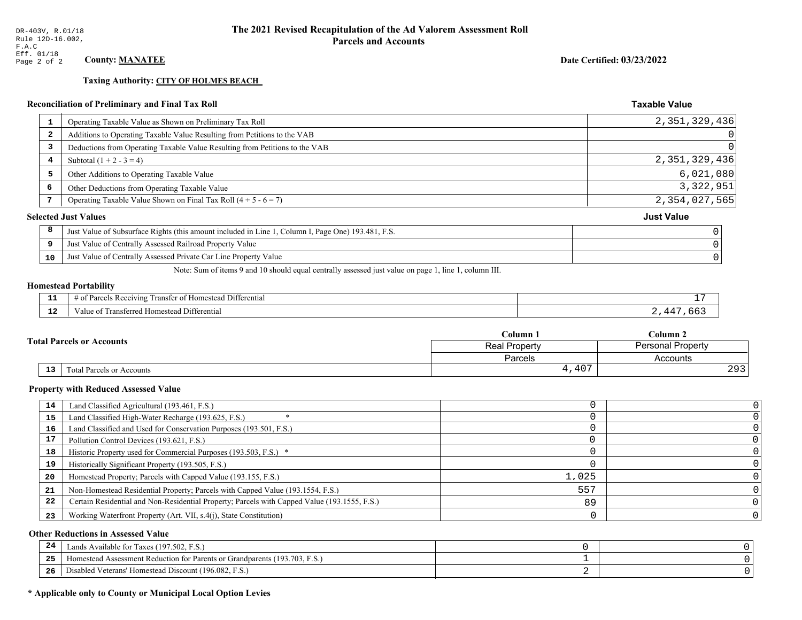**Taxing Authority: CITY OF HOLMES BEACH** 

## Reconciliation of Preliminary and Final Tax Roll

| $\mathbf{1}$            | Operating Taxable Value as Shown on Preliminary Tax Roll                                           | 2,351,329,436     |
|-------------------------|----------------------------------------------------------------------------------------------------|-------------------|
| $\overline{\mathbf{2}}$ | Additions to Operating Taxable Value Resulting from Petitions to the VAB                           | 0                 |
| 3                       | Deductions from Operating Taxable Value Resulting from Petitions to the VAB                        | 0                 |
| 4                       | Subtotal $(1 + 2 - 3 = 4)$                                                                         | 2, 351, 329, 436  |
| 5                       | Other Additions to Operating Taxable Value                                                         | 6,021,080         |
| 6                       | Other Deductions from Operating Taxable Value                                                      | 3, 322, 951       |
|                         | Operating Taxable Value Shown on Final Tax Roll $(4 + 5 - 6 = 7)$                                  | 2,354,027,565     |
|                         | <b>Selected Just Values</b>                                                                        | <b>Just Value</b> |
| 8                       | Just Value of Subsurface Rights (this amount included in Line 1, Column I, Page One) 193.481, F.S. |                   |
| 9                       | Just Value of Centrally Assessed Railroad Property Value                                           |                   |
| 10                      | Just Value of Centrally Assessed Private Car Line Property Value                                   |                   |
|                         |                                                                                                    |                   |

Note: Sum of items 9 and 10 should equal centrally assessed just value on page 1, line 1, column III.

#### **Homestead Portability**

| .           | $\sim$ $\sim$<br>Differential<br>ranste.<br>Receiving<br>$\sim$<br>restes<br>---<br>' 01<br>. arce <sup>r</sup><br>n. |  |
|-------------|-----------------------------------------------------------------------------------------------------------------------|--|
| $\sim$<br>. | rone<br>Differential<br>alue<br><b>Homestea</b><br>.                                                                  |  |

| <b>Total Parcels or Accounts</b> |    |                           | Column 1             | $C$ olumn 2              |
|----------------------------------|----|---------------------------|----------------------|--------------------------|
|                                  |    |                           | <b>Real Property</b> | <b>Personal Property</b> |
|                                  |    |                           | Parcels              | Accounts                 |
|                                  | 13 | Fotal Parcels or Accounts | ,407                 | 202<br>- 20              |

#### **Property with Reduced Assessed Value**

| 14 | Land Classified Agricultural (193.461, F.S.)                                                 |       |  |
|----|----------------------------------------------------------------------------------------------|-------|--|
| 15 | Land Classified High-Water Recharge (193.625, F.S.)                                          |       |  |
| 16 | Land Classified and Used for Conservation Purposes (193.501, F.S.)                           |       |  |
| 17 | Pollution Control Devices (193.621, F.S.)                                                    |       |  |
| 18 | Historic Property used for Commercial Purposes (193.503, F.S.) *                             |       |  |
| 19 | Historically Significant Property (193.505, F.S.)                                            |       |  |
| 20 | Homestead Property; Parcels with Capped Value (193.155, F.S.)                                | 1,025 |  |
| 21 | Non-Homestead Residential Property; Parcels with Capped Value (193.1554, F.S.)               | 557   |  |
| 22 | Certain Residential and Non-Residential Property; Parcels with Capped Value (193.1555, F.S.) | 89    |  |
| 23 | Working Waterfront Property (Art. VII, s.4(j), State Constitution)                           |       |  |

#### **Other Reductions in Assessed Value**

| 24    | Lands Available for Taxes (197.502, F.S.)                                  |  |
|-------|----------------------------------------------------------------------------|--|
| - - - | Iomestead Assessment Reduction for Parents or Grandparents (193.703, F.S.) |  |
| -26   | Disabled Veterans' Homestead Discount (196.082, F.S.)                      |  |

### \* Applicable only to County or Municipal Local Option Levies

Date Certified: 03/23/2022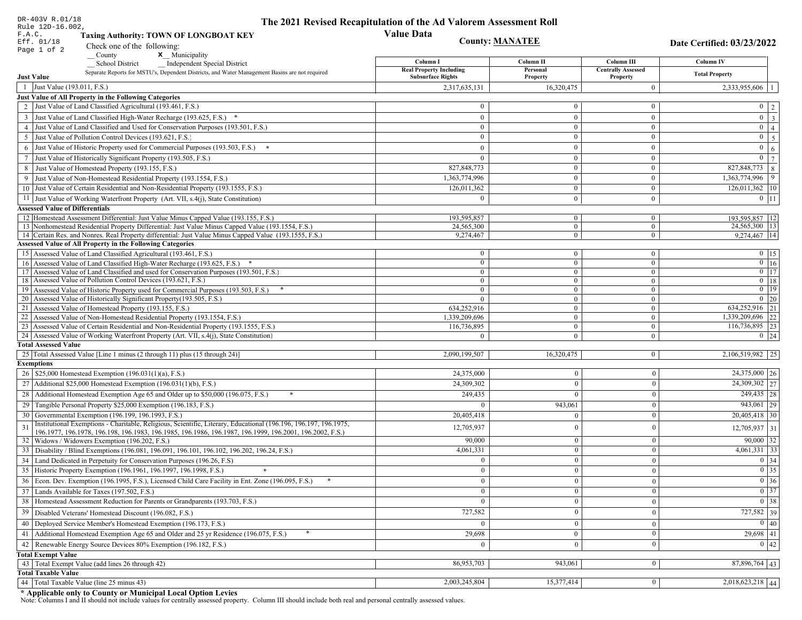| DR-403V R.01/18<br>Rule 12D-16.002,    |                                                                                                                                                                                                                              | The 2021 Revised Recapitulation of the Ad Valorem Assessment Roll |                        |                                       |                                 |
|----------------------------------------|------------------------------------------------------------------------------------------------------------------------------------------------------------------------------------------------------------------------------|-------------------------------------------------------------------|------------------------|---------------------------------------|---------------------------------|
| F.A.C.                                 | <b>Taxing Authority: TOWN OF LONGBOAT KEY</b>                                                                                                                                                                                | <b>Value Data</b>                                                 |                        |                                       |                                 |
| Eff. 01/18                             | Check one of the following:                                                                                                                                                                                                  |                                                                   | <b>County: MANATEE</b> |                                       | Date Certified: 03/23/2022      |
| Page 1 of 2                            | County<br>x Municipality                                                                                                                                                                                                     |                                                                   |                        |                                       |                                 |
|                                        | <b>Independent Special District</b><br><b>School District</b>                                                                                                                                                                | Column I                                                          | Column II              | Column III                            | Column IV                       |
| <b>Just Value</b>                      | Separate Reports for MSTU's, Dependent Districts, and Water Management Basins are not required                                                                                                                               | <b>Real Property Including</b><br><b>Subsurface Rights</b>        | Personal<br>Property   | <b>Centrally Assessed</b><br>Property | <b>Total Property</b>           |
| 1 Just Value (193.011, F.S.)           |                                                                                                                                                                                                                              | 2,317,635,131                                                     | 16.320.475             | $\mathbf{0}$                          | 2,333,955,606   1               |
|                                        | Just Value of All Property in the Following Categories                                                                                                                                                                       |                                                                   |                        |                                       |                                 |
|                                        | 2 Just Value of Land Classified Agricultural (193.461, F.S.)                                                                                                                                                                 | $\bf{0}$                                                          | $\theta$               | $\overline{0}$                        | $0 \mid 2 \mid$                 |
|                                        | 3 Just Value of Land Classified High-Water Recharge (193.625, F.S.) *                                                                                                                                                        | $\theta$                                                          | $\mathbf{0}$           | $\mathbf{0}$                          | $\boxed{0}$ $\boxed{3}$         |
|                                        | 4 Just Value of Land Classified and Used for Conservation Purposes (193.501, F.S.)                                                                                                                                           | $\theta$                                                          | $\mathbf{0}$           | $\overline{0}$                        | $0 \mid 4 \mid$                 |
|                                        | 5 Just Value of Pollution Control Devices (193.621, F.S.)                                                                                                                                                                    | $\mathbf{0}$                                                      | $\theta$               | $\mathbf{0}$                          | $0 \mid 5$                      |
|                                        | 6 Just Value of Historic Property used for Commercial Purposes (193.503, F.S.)                                                                                                                                               | $\theta$                                                          | $\Omega$               | $\mathbf{0}$                          | $\mathbf{0}$<br>6 <sup>1</sup>  |
|                                        | 7 Just Value of Historically Significant Property (193.505, F.S.)                                                                                                                                                            | $\theta$                                                          | $\Omega$               | $\mathbf{0}$                          | $\overline{0}$   $\overline{7}$ |
|                                        | 8 Just Value of Homestead Property (193.155, F.S.)                                                                                                                                                                           | 827, 848, 773                                                     | $\mathbf{0}$           | $\mathbf{0}$                          | 827,848,773 8                   |
|                                        | 9 Just Value of Non-Homestead Residential Property (193.1554, F.S.)                                                                                                                                                          | 1,363,774,996                                                     | $\theta$               | $\mathbf{0}$                          | $1,363,774,996$ 9               |
|                                        | 10 Just Value of Certain Residential and Non-Residential Property (193.1555, F.S.)                                                                                                                                           | 126,011,362                                                       | $\mathbf{0}$           | $\bf{0}$                              | $126, 011, 362$ 10              |
|                                        | 11 Just Value of Working Waterfront Property (Art. VII, s.4(j), State Constitution)                                                                                                                                          | $\overline{0}$                                                    | $\overline{0}$         | $\overline{0}$                        | $0 \mid 11 \mid$                |
| <b>Assessed Value of Differentials</b> |                                                                                                                                                                                                                              |                                                                   |                        |                                       |                                 |
|                                        | 12 Homestead Assessment Differential: Just Value Minus Capped Value (193.155, F.S.)                                                                                                                                          | 193,595,857                                                       | $\overline{0}$         | $\overline{0}$                        | 193,595,857   12                |
|                                        | 13 Nonhomestead Residential Property Differential: Just Value Minus Capped Value (193.1554, F.S.)                                                                                                                            | 24,565,300                                                        | $\mathbf{0}$           | $\overline{0}$                        | 24,565,300   13                 |
|                                        | 14 Certain Res. and Nonres. Real Property differential: Just Value Minus Capped Value (193.1555, F.S.)                                                                                                                       | 9,274,467                                                         | $\overline{0}$         | $\mathbf{0}$                          | 9,274,467 14                    |
|                                        | <b>Assessed Value of All Property in the Following Categories</b>                                                                                                                                                            |                                                                   |                        |                                       |                                 |
|                                        | 15   Assessed Value of Land Classified Agricultural (193.461, F.S.)                                                                                                                                                          | $\bf{0}$                                                          | $\overline{0}$         | $\bf{0}$                              | $0$ 15                          |
|                                        | 16 Assessed Value of Land Classified High-Water Recharge (193.625, F.S.) *                                                                                                                                                   | $\overline{0}$                                                    | $\overline{0}$         | $\mathbf{0}$                          | $0$ 16                          |
|                                        | 17 Assessed Value of Land Classified and used for Conservation Purposes (193.501, F.S.)                                                                                                                                      | $\bf{0}$                                                          | $\bf{0}$               | $\bf{0}$                              | $\boxed{0}$ 17                  |
|                                        | 18 Assessed Value of Pollution Control Devices (193.621, F.S.)                                                                                                                                                               | $\mathbf{0}$                                                      | $\overline{0}$         | $\overline{0}$                        | $0$ 18                          |
|                                        | 19 Assessed Value of Historic Property used for Commercial Purposes (193.503, F.S.)                                                                                                                                          | $\bf{0}$                                                          | $\overline{0}$         | $\overline{0}$                        | $\boxed{0}$ 19                  |
|                                        | 20 Assessed Value of Historically Significant Property (193.505, F.S.)                                                                                                                                                       | $\theta$                                                          | $\overline{0}$         | $\mathbf{0}$                          | $0 \mid 20$                     |
|                                        | 21 Assessed Value of Homestead Property (193.155, F.S.)                                                                                                                                                                      | 634,252,916                                                       | $\mathbf{0}$           | $\overline{0}$                        | 634,252,916 21                  |
|                                        | 22 Assessed Value of Non-Homestead Residential Property (193.1554, F.S.)                                                                                                                                                     | 1,339,209,696                                                     | $\overline{0}$         | $\overline{0}$                        | 1,339,209,696 22                |
|                                        | 23 Assessed Value of Certain Residential and Non-Residential Property (193.1555, F.S.)                                                                                                                                       | 116,736,895                                                       | $\overline{0}$         | $\overline{0}$                        | 116,736,895 23                  |
| <b>Total Assessed Value</b>            | 24 Assessed Value of Working Waterfront Property (Art. VII, s.4(j), State Constitution)                                                                                                                                      | $\Omega$                                                          | $\mathbf{0}$           | $\overline{0}$                        | $0 \mid 24$                     |
|                                        |                                                                                                                                                                                                                              |                                                                   |                        |                                       |                                 |
|                                        | 25 Total Assessed Value [Line 1 minus (2 through 11) plus (15 through 24)]                                                                                                                                                   | 2,090,199,507                                                     | 16,320,475             | 0                                     | 2,106,519,982 25                |
| <b>Exemptions</b>                      | 26   \$25,000 Homestead Exemption (196.031(1)(a), F.S.)                                                                                                                                                                      |                                                                   | $\overline{0}$         |                                       | 24,375,000 26                   |
|                                        | 27 Additional \$25,000 Homestead Exemption (196.031(1)(b), F.S.)                                                                                                                                                             | 24,375,000                                                        | $\overline{0}$         | $\boldsymbol{0}$                      |                                 |
|                                        |                                                                                                                                                                                                                              | 24,309,302                                                        |                        | $\boldsymbol{0}$                      | 24,309,302 27                   |
|                                        | 28 Additional Homestead Exemption Age 65 and Older up to \$50,000 (196.075, F.S.)                                                                                                                                            | 249,435                                                           | $\Omega$               | $\mathbf{0}$                          | 249,435 28                      |
| 29                                     | Tangible Personal Property \$25,000 Exemption (196.183, F.S.)                                                                                                                                                                | $\Omega$                                                          | 943,061                | $\boldsymbol{0}$                      | $943,061$ 29                    |
|                                        | 30 Governmental Exemption (196.199, 196.1993, F.S.)                                                                                                                                                                          | 20,405,418                                                        | $\theta$               | $\boldsymbol{0}$                      | $20,405,418$ 30                 |
| 31                                     | Institutional Exemptions - Charitable, Religious, Scientific, Literary, Educational (196.196, 196.197, 196.1975,<br>196.1977, 196.1978, 196.198, 196.1983, 196.1985, 196.1986, 196.1987, 196.1999, 196.2001, 196.2002, F.S.) | 12,705,937                                                        | $\Omega$               | $\boldsymbol{0}$                      | $12,705,937$ 31                 |
|                                        | 32   Widows / Widowers Exemption (196.202, F.S.)                                                                                                                                                                             | 90,000                                                            | $\overline{0}$         | $\mathbf{0}$                          | $90,000$ 32                     |
|                                        | 33   Disability / Blind Exemptions (196.081, 196.091, 196.101, 196.102, 196.202, 196.24, F.S.)                                                                                                                               | 4,061,331                                                         | $\mathbf{0}$           | $\boldsymbol{0}$                      | $4,061,331$ 33                  |
|                                        | 34 Land Dedicated in Perpetuity for Conservation Purposes (196.26, F.S)                                                                                                                                                      | $\overline{0}$                                                    | $\overline{0}$         | $\boldsymbol{0}$                      | 0 34                            |
|                                        | 35 Historic Property Exemption (196.1961, 196.1997, 196.1998, F.S.)                                                                                                                                                          | $\overline{0}$                                                    | $\mathbf{0}$           | 0                                     | $\boxed{0}$ 35                  |
|                                        | 36 Econ. Dev. Exemption (196.1995, F.S.), Licensed Child Care Facility in Ent. Zone (196.095, F.S.)                                                                                                                          | $\overline{0}$                                                    | $\overline{0}$         |                                       | $\boxed{0}$ 36                  |
|                                        | 37 Lands Available for Taxes (197.502, F.S.)                                                                                                                                                                                 | $\overline{0}$                                                    | $\mathbf{0}$           | $\boldsymbol{0}$<br>$\bf{0}$          | $0 \overline{\smash)37}$        |
|                                        |                                                                                                                                                                                                                              |                                                                   |                        |                                       |                                 |
|                                        | 38   Homestead Assessment Reduction for Parents or Grandparents (193.703, F.S.)                                                                                                                                              | $\bf{0}$                                                          | $\bf{0}$               | $\overline{0}$                        | $\boxed{0}$ 38                  |
| 39                                     | Disabled Veterans' Homestead Discount (196.082, F.S.)                                                                                                                                                                        | 727,582                                                           | $\overline{0}$         | $\boldsymbol{0}$                      | 727,582 39                      |
|                                        | 40   Deployed Service Member's Homestead Exemption (196.173, F.S.)                                                                                                                                                           | $\theta$                                                          | $\overline{0}$         | $\bf{0}$                              | 0 40                            |
| 41                                     | Additional Homestead Exemption Age 65 and Older and 25 yr Residence (196.075, F.S.)                                                                                                                                          | 29,698                                                            | $\mathbf{0}$           | $\boldsymbol{0}$                      | $29,698$ 41                     |
| 42                                     | Renewable Energy Source Devices 80% Exemption (196.182, F.S.)                                                                                                                                                                | $\overline{0}$                                                    | $\mathbf{0}$           | $\boldsymbol{0}$                      | 0 42                            |
| <b>Total Exempt Value</b>              |                                                                                                                                                                                                                              |                                                                   |                        |                                       |                                 |
|                                        | 43 Total Exempt Value (add lines 26 through 42)                                                                                                                                                                              | 86,953,703                                                        | 943,061                | $\mathbf{0}$                          | $\overline{87,896,764}$ 43      |
| <b>Total Taxable Value</b>             |                                                                                                                                                                                                                              |                                                                   |                        |                                       |                                 |
|                                        | 44 Total Taxable Value (line 25 minus 43)                                                                                                                                                                                    | 2,003,245,804                                                     | 15,377,414             | $\bf{0}$                              | $2,018,623,218$ 44              |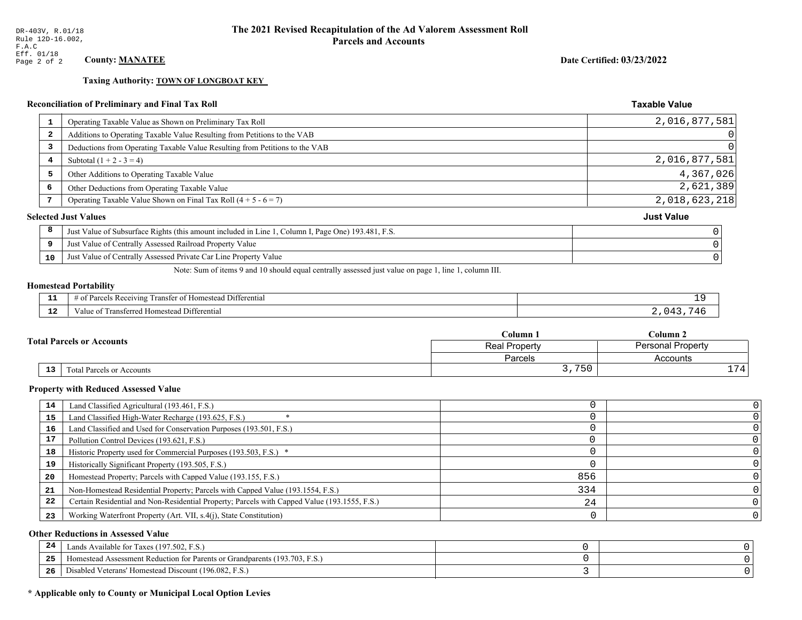**Taxing Authority: TOWN OF LONGBOAT KEY** 

### Reconciliation of Preliminary and Final Tax Roll

| 1                       | Operating Taxable Value as Shown on Preliminary Tax Roll                                           | 2,016,877,581     |
|-------------------------|----------------------------------------------------------------------------------------------------|-------------------|
| $\overline{\mathbf{2}}$ | Additions to Operating Taxable Value Resulting from Petitions to the VAB                           | 0                 |
| 3                       | Deductions from Operating Taxable Value Resulting from Petitions to the VAB                        | $\overline{0}$    |
| 4                       | Subtotal $(1 + 2 - 3 = 4)$                                                                         | 2,016,877,581     |
| 5                       | Other Additions to Operating Taxable Value                                                         | 4,367,026         |
| 6                       | Other Deductions from Operating Taxable Value                                                      | 2,621,389         |
|                         | Operating Taxable Value Shown on Final Tax Roll $(4 + 5 - 6 = 7)$                                  | 2,018,623,218     |
|                         | <b>Selected Just Values</b>                                                                        | <b>Just Value</b> |
| 8                       | Just Value of Subsurface Rights (this amount included in Line 1, Column I, Page One) 193.481, F.S. |                   |
| 9                       | Just Value of Centrally Assessed Railroad Property Value                                           |                   |
| 10                      | Just Value of Centrally Assessed Private Car Line Property Value                                   |                   |
|                         |                                                                                                    |                   |

Note: Sum of items 9 and 10 should equal centrally assessed just value on page 1, line 1, column III.

#### **Homestead Portability**

| - -         | ranster<br>Differential<br><i>Pacawing</i><br>. Homester<br>. arce:<br>-01<br>n<br>,,,,,, |  |
|-------------|-------------------------------------------------------------------------------------------|--|
| $\sim$<br>. | <br>l Differential<br>alue<br><b>Homestead</b><br>nsielicu.<br>тан                        |  |

| <b>Fotal Parcels or Accounts</b> |    |                           | Column <sub>1</sub> | Column 2          |          |
|----------------------------------|----|---------------------------|---------------------|-------------------|----------|
|                                  |    |                           | Real Property       | Personal Property |          |
|                                  |    |                           | Parcels             | Accounts          |          |
|                                  | 13 | Total Parcels or Accounts | 750<br><u>.</u>     |                   | 774<br>- |

#### **Property with Reduced Assessed Value**

| 14 | Land Classified Agricultural (193.461, F.S.)                                                 |     |  |
|----|----------------------------------------------------------------------------------------------|-----|--|
| 15 | Land Classified High-Water Recharge (193.625, F.S.)                                          |     |  |
| 16 | Land Classified and Used for Conservation Purposes (193.501, F.S.)                           |     |  |
| 17 | Pollution Control Devices (193.621, F.S.)                                                    |     |  |
| 18 | Historic Property used for Commercial Purposes (193.503, F.S.) *                             |     |  |
| 19 | Historically Significant Property (193.505, F.S.)                                            |     |  |
| 20 | Homestead Property; Parcels with Capped Value (193.155, F.S.)                                | 856 |  |
| 21 | Non-Homestead Residential Property; Parcels with Capped Value (193.1554, F.S.)               | 334 |  |
| 22 | Certain Residential and Non-Residential Property; Parcels with Capped Value (193.1555, F.S.) | 24  |  |
| 23 | Working Waterfront Property (Art. VII, s.4(j), State Constitution)                           |     |  |

#### **Other Reductions in Assessed Value**

| 24  | ands Available for Taxes (197.502, F.S.)                                   |  |
|-----|----------------------------------------------------------------------------|--|
| 25  | Homestead Assessment Reduction for Parents or Grandparents (193.703, F.S.) |  |
| -26 | Disabled Veterans' Homestead Discount (196.082, F.S.)                      |  |

### \* Applicable only to County or Municipal Local Option Levies

Date Certified: 03/23/2022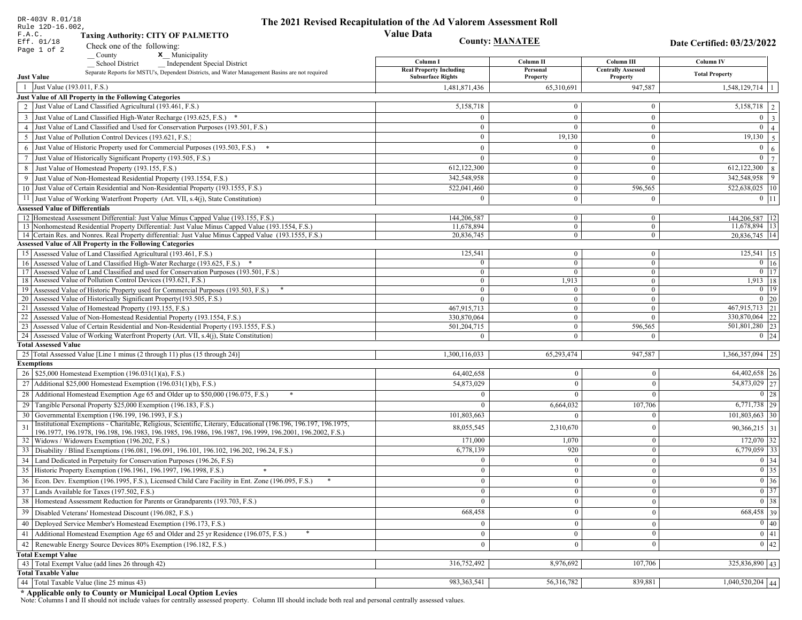| DR-403V R.01/18<br>Rule 12D-16.002,                                                                                                                                         | The 2021 Revised Recapitulation of the Ad Valorem Assessment Roll |                                  |                                         |                                                                                                   |
|-----------------------------------------------------------------------------------------------------------------------------------------------------------------------------|-------------------------------------------------------------------|----------------------------------|-----------------------------------------|---------------------------------------------------------------------------------------------------|
| F.A.C.<br><b>Taxing Authority: CITY OF PALMETTO</b>                                                                                                                         | <b>Value Data</b>                                                 |                                  |                                         |                                                                                                   |
| Eff. 01/18<br>Check one of the following:                                                                                                                                   |                                                                   | <b>County: MANATEE</b>           |                                         | Date Certified: 03/23/2022                                                                        |
| Page 1 of 2<br>x Municipality<br>County                                                                                                                                     |                                                                   |                                  |                                         |                                                                                                   |
| <b>School District</b><br><b>Independent Special District</b>                                                                                                               | Column I<br><b>Real Property Including</b>                        | Column <sub>II</sub><br>Personal | Column III<br><b>Centrally Assessed</b> | Column IV                                                                                         |
| Separate Reports for MSTU's, Dependent Districts, and Water Management Basins are not required<br><b>Just Value</b>                                                         | <b>Subsurface Rights</b>                                          | Property                         | Property                                | <b>Total Property</b>                                                                             |
| 1 Just Value (193.011, F.S.)                                                                                                                                                | 1,481,871,436                                                     | 65,310,691                       | 947,587                                 | 1,548,129,714                                                                                     |
| Just Value of All Property in the Following Categories                                                                                                                      |                                                                   |                                  |                                         |                                                                                                   |
| 2 Just Value of Land Classified Agricultural (193.461, F.S.)                                                                                                                | 5,158,718                                                         | $\overline{0}$                   | $\bf{0}$                                | 5,158,718<br>2                                                                                    |
| 3 Just Value of Land Classified High-Water Recharge (193.625, F.S.) *                                                                                                       | $\theta$                                                          | $\theta$                         | $\overline{0}$                          | $\overline{0}$<br>$\overline{\mathbf{3}}$                                                         |
| 4 Just Value of Land Classified and Used for Conservation Purposes (193.501, F.S.)                                                                                          | $\Omega$                                                          | $\Omega$                         | $\bf{0}$                                | $\overline{0}$<br>$\overline{4}$                                                                  |
| 5 Just Value of Pollution Control Devices (193.621, F.S.)                                                                                                                   | $\overline{0}$                                                    | 19,130                           | $\bf{0}$                                | 19,130<br>$\overline{5}$                                                                          |
| Just Value of Historic Property used for Commercial Purposes (193.503, F.S.)<br>6                                                                                           | $\theta$                                                          | $\Omega$                         | $\mathbf{0}$                            | $\overline{0}$<br>6                                                                               |
| Just Value of Historically Significant Property (193.505, F.S.)<br>7                                                                                                        | $\overline{0}$                                                    | $\overline{0}$                   | $\bf{0}$                                | $\mathbf{0}$<br>$\overline{7}$                                                                    |
| 8 Just Value of Homestead Property (193.155, F.S.)                                                                                                                          | 612,122,300                                                       | $\mathbf{0}$                     | $\bf{0}$                                | 612,122,300<br>8                                                                                  |
| Just Value of Non-Homestead Residential Property (193.1554, F.S.)                                                                                                           | 342,548,958                                                       | $\overline{0}$                   | $\theta$                                | 342,548,958<br>9                                                                                  |
| 10 Just Value of Certain Residential and Non-Residential Property (193.1555, F.S.)                                                                                          | 522,041,460                                                       | $\overline{0}$                   | 596,565                                 | 522,638,025 10                                                                                    |
| 11 Just Value of Working Waterfront Property (Art. VII, s.4(j), State Constitution)                                                                                         | $\Omega$                                                          | $\overline{0}$                   | $\mathbf{0}$                            | $0$ 11                                                                                            |
| <b>Assessed Value of Differentials</b>                                                                                                                                      |                                                                   |                                  |                                         |                                                                                                   |
| 12 Homestead Assessment Differential: Just Value Minus Capped Value (193.155, F.S.)                                                                                         | 144,206,587                                                       | $\overline{0}$                   | $\bf{0}$                                | 144,206,587 12                                                                                    |
| 13 Nonhomestead Residential Property Differential: Just Value Minus Capped Value (193.1554, F.S.)                                                                           | 11,678,894                                                        | $\overline{0}$                   | $\overline{0}$                          | 11,678,894 13                                                                                     |
| 14 Certain Res. and Nonres. Real Property differential: Just Value Minus Capped Value (193.1555, F.S.)<br><b>Assessed Value of All Property in the Following Categories</b> | 20,836,745                                                        | $\overline{0}$                   | $\mathbf{0}$                            | 20,836,745   14                                                                                   |
| 15 Assessed Value of Land Classified Agricultural (193.461, F.S.)                                                                                                           | 125,541                                                           | $\overline{0}$                   | $\bf{0}$                                | $125,541$ 15                                                                                      |
| 16 Assessed Value of Land Classified High-Water Recharge (193.625, F.S.) *                                                                                                  | $\overline{0}$                                                    | $\overline{0}$                   | $\overline{0}$                          | $0 \mid 16$                                                                                       |
| 17 Assessed Value of Land Classified and used for Conservation Purposes (193.501, F.S.)                                                                                     | $\overline{0}$                                                    | $\overline{0}$                   | $\mathbf{0}$                            | $\boxed{0}$ $\boxed{17}$                                                                          |
| 18 Assessed Value of Pollution Control Devices (193.621, F.S.)                                                                                                              | $\bf{0}$                                                          | 1,913                            | $\overline{0}$                          | 1,913   18                                                                                        |
| 19 Assessed Value of Historic Property used for Commercial Purposes (193.503, F.S.)                                                                                         | $\bf{0}$                                                          | $\bf{0}$                         | $\bf{0}$                                | $0$   19                                                                                          |
| 20 Assessed Value of Historically Significant Property (193.505, F.S.)                                                                                                      | $\theta$                                                          | $\mathbf{0}$                     | $\mathbf{0}$                            | $0\quad20$                                                                                        |
| 21 Assessed Value of Homestead Property (193.155, F.S.)                                                                                                                     | 467,915,713                                                       | $\overline{0}$                   | $\mathbf{0}$                            | 467,915,713 21                                                                                    |
| 22 Assessed Value of Non-Homestead Residential Property (193.1554, F.S.)                                                                                                    | 330,870,064                                                       | $\overline{0}$                   | $\overline{0}$                          | 330,870,064 22                                                                                    |
| 23 Assessed Value of Certain Residential and Non-Residential Property (193.1555, F.S.)                                                                                      | 501,204,715                                                       | $\overline{0}$                   | 596,565                                 | 501,801,280 23                                                                                    |
| 24 Assessed Value of Working Waterfront Property (Art. VII, s.4(j), State Constitution)<br><b>Total Assessed Value</b>                                                      | $\Omega$                                                          | $\theta$                         | $\Omega$                                | $0 \quad 24$                                                                                      |
| 25 Total Assessed Value [Line 1 minus (2 through 11) plus (15 through 24)]                                                                                                  | 1,300,116,033                                                     | 65,293,474                       | 947,587                                 | $\overline{1,366,357,094}$ 25                                                                     |
| <b>Exemptions</b>                                                                                                                                                           |                                                                   |                                  |                                         |                                                                                                   |
| 26   \$25,000 Homestead Exemption (196.031(1)(a), F.S.)                                                                                                                     | 64,402,658                                                        | $\bf{0}$                         | $\mathbf{0}$                            | $64,402,658$ 26                                                                                   |
| 27   Additional \$25,000 Homestead Exemption $(196.031(1)(b), F.S.)$                                                                                                        | 54,873,029                                                        | $\Omega$                         | $\Omega$                                | 54,873,029 27                                                                                     |
| 28 Additional Homestead Exemption Age 65 and Older up to \$50,000 (196.075, F.S.)                                                                                           | $\Omega$                                                          | $\Omega$                         | $\Omega$                                | 0 28                                                                                              |
| 29 Tangible Personal Property \$25,000 Exemption (196.183, F.S.)                                                                                                            | $\Omega$                                                          | 6,664,032                        | 107,706                                 | $6,771,738$ 29                                                                                    |
| 30 Governmental Exemption (196.199, 196.1993, F.S.)                                                                                                                         | 101,803,663                                                       | $\Omega$                         |                                         | $101,803,663$ 30                                                                                  |
| Institutional Exemptions - Charitable, Religious, Scientific, Literary, Educational (196.196, 196.197, 196.1975,                                                            |                                                                   |                                  |                                         |                                                                                                   |
| 31<br>196.1977, 196.1978, 196.198, 196.1983, 196.1985, 196.1986, 196.1987, 196.1999, 196.2001, 196.2002, F.S.)                                                              | 88,055,545                                                        | 2,310,670                        |                                         | $90,366,215$ 31                                                                                   |
| 32   Widows / Widowers Exemption (196.202, F.S.)                                                                                                                            | 171,000                                                           | 1,070                            | $\mathbf{0}$                            | $172,070$ 32                                                                                      |
| 33 Disability / Blind Exemptions (196.081, 196.091, 196.101, 196.102, 196.202, 196.24, F.S.)                                                                                | 6,778,139                                                         | 920                              | $\Omega$                                | $6,779,059$ 33                                                                                    |
| 34 Land Dedicated in Perpetuity for Conservation Purposes (196.26, F.S)                                                                                                     | $\Omega$                                                          | $\Omega$                         | $\theta$                                | $\boxed{0}$ 34                                                                                    |
| 35 Historic Property Exemption (196.1961, 196.1997, 196.1998, F.S.)                                                                                                         | $\cup$                                                            | $\mathbf{0}$                     | $\mathbf{0}$                            | $\begin{array}{ c c }\n\hline\n0 & 35 \\ \hline\n0 & 36 \\ \hline\n0 & 37 \\ \hline\n\end{array}$ |
| 36 Econ. Dev. Exemption (196.1995, F.S.), Licensed Child Care Facility in Ent. Zone (196.095, F.S.)                                                                         | $\overline{0}$                                                    | $\Omega$                         | $\theta$                                |                                                                                                   |
| 37 Lands Available for Taxes (197.502, F.S.)                                                                                                                                | $\overline{0}$                                                    | $\theta$                         | $\theta$                                |                                                                                                   |
| 38   Homestead Assessment Reduction for Parents or Grandparents (193.703, F.S.)                                                                                             | $\mathbf{0}$                                                      | $\bf{0}$                         | $\mathbf{0}$                            | $\boxed{0}$ 38                                                                                    |
| Disabled Veterans' Homestead Discount (196.082, F.S.)<br>39                                                                                                                 | 668,458                                                           |                                  | $\boldsymbol{0}$                        | 668,458 39                                                                                        |
| 40 Deployed Service Member's Homestead Exemption (196.173, F.S.)                                                                                                            | $\overline{0}$                                                    | $\Omega$                         | $\theta$                                | $\overline{0}$ 40                                                                                 |
| 41 Additional Homestead Exemption Age 65 and Older and 25 yr Residence (196.075, F.S.)                                                                                      | $\mathbf{0}$                                                      | $\boldsymbol{0}$                 | $\mathbf{0}$                            | $\overline{0}$ 41                                                                                 |
| Renewable Energy Source Devices 80% Exemption (196.182, F.S.)<br>42                                                                                                         | $\overline{0}$                                                    | $\bf{0}$                         | $\boldsymbol{0}$                        | $\overline{0}$ 42                                                                                 |
| <b>Total Exempt Value</b>                                                                                                                                                   |                                                                   |                                  |                                         |                                                                                                   |
| 43 Total Exempt Value (add lines 26 through 42)                                                                                                                             | 316,752,492                                                       | 8,976,692                        | 107,706                                 | $325,836,890$ 43                                                                                  |
| <b>Total Taxable Value</b>                                                                                                                                                  |                                                                   |                                  |                                         |                                                                                                   |
| Total Taxable Value (line 25 minus 43)<br>44                                                                                                                                | 983, 363, 541                                                     | 56,316,782                       | 839,881                                 | 1,040,520,204 44                                                                                  |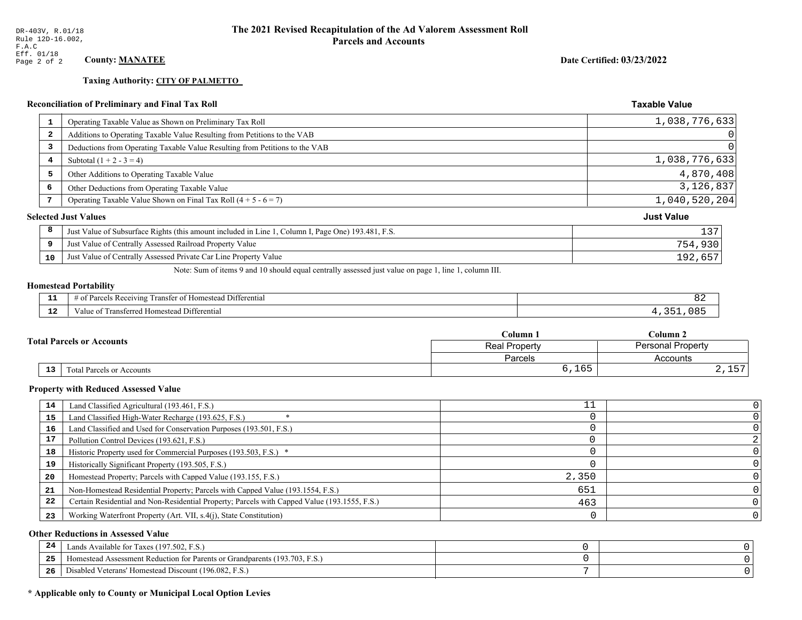**Taxing Authority: CITY OF PALMETTO** 

# **Reconciliation of Preliminary and Final Tax Roll**

|                         | <b>Reconciliation of Preliminary and Final Tax Roll</b>                                            | <b>Taxable Value</b> |
|-------------------------|----------------------------------------------------------------------------------------------------|----------------------|
| 1                       | Operating Taxable Value as Shown on Preliminary Tax Roll                                           | 1,038,776,633        |
| $\overline{\mathbf{2}}$ | Additions to Operating Taxable Value Resulting from Petitions to the VAB                           | 0                    |
| 3                       | Deductions from Operating Taxable Value Resulting from Petitions to the VAB                        |                      |
| 4                       | Subtotal $(1 + 2 - 3 = 4)$                                                                         | 1,038,776,633        |
| 5                       | Other Additions to Operating Taxable Value                                                         | 4,870,408            |
| 6                       | Other Deductions from Operating Taxable Value                                                      | 3,126,837            |
| 7                       | Operating Taxable Value Shown on Final Tax Roll $(4 + 5 - 6 = 7)$                                  | 1,040,520,204        |
|                         | <b>Selected Just Values</b>                                                                        | <b>Just Value</b>    |
| 8                       | Just Value of Subsurface Rights (this amount included in Line 1, Column I, Page One) 193.481, F.S. | 137                  |
| 9                       | Just Value of Centrally Assessed Railroad Property Value                                           | 754,930              |
| 10                      | Just Value of Centrally Assessed Private Car Line Property Value                                   | 192,657              |

Note: Sum of items 9 and 10 should equal centrally assessed just value on page 1, line 1, column III.

# **Homestead Portability**

| $\sim$ | Differential<br>*anste.<br>Receiving<br>estean.<br>-01<br>. arce -<br>n<br>. . |  |
|--------|--------------------------------------------------------------------------------|--|
| ---    | Differential<br>rane.<br>Homesteau<br>alue                                     |  |

|                                              | $C$ olumn $1$                                    | $\mathbb C$ olumn 2 |
|----------------------------------------------|--------------------------------------------------|---------------------|
| <b>Total Parcels or Accounts</b>             | <b>Personal Property</b><br><b>Real Property</b> |                     |
|                                              | <b>Parcels</b>                                   | Accounts            |
| $\overline{13}$<br>Total Parcels or Accounts | 6,165                                            | $ -$<br>2, 11       |

#### **Property with Reduced Assessed Value**

| 14 | Land Classified Agricultural (193.461, F.S.)                                                 | TΤ    |   |
|----|----------------------------------------------------------------------------------------------|-------|---|
| 15 | Land Classified High-Water Recharge (193.625, F.S.)                                          |       |   |
| 16 | Land Classified and Used for Conservation Purposes (193.501, F.S.)                           |       |   |
| 17 | Pollution Control Devices (193.621, F.S.)                                                    |       |   |
| 18 | Historic Property used for Commercial Purposes (193.503, F.S.) *                             |       |   |
| 19 | Historically Significant Property (193.505, F.S.)                                            |       |   |
| 20 | Homestead Property; Parcels with Capped Value (193.155, F.S.)                                | 2,350 |   |
| 21 | Non-Homestead Residential Property; Parcels with Capped Value (193.1554, F.S.)               | 651   |   |
| 22 | Certain Residential and Non-Residential Property; Parcels with Capped Value (193.1555, F.S.) | 463   |   |
| 23 | Working Waterfront Property (Art. VII, s.4(j), State Constitution)                           |       | 0 |

#### **Other Reductions in Assessed Value**

| 24    | Lands Available for Taxes (197.502, F.S.)                                  |  |
|-------|----------------------------------------------------------------------------|--|
| - - - | Iomestead Assessment Reduction for Parents or Grandparents (193.703, F.S.) |  |
| -26   | Disabled Veterans' Homestead Discount (196.082, F.S.)                      |  |

# \* Applicable only to County or Municipal Local Option Levies

Date Certified: 03/23/2022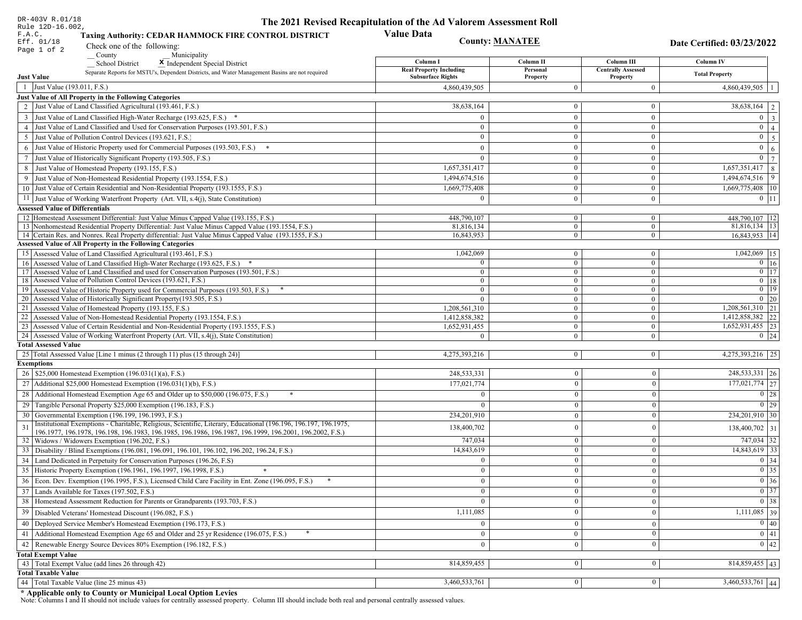| DR-403V R.01/18<br>Rule 12D-16.002,                                                                                                                                 | The 2021 Revised Recapitulation of the Ad Valorem Assessment Roll |                              |                                       |                                         |  |
|---------------------------------------------------------------------------------------------------------------------------------------------------------------------|-------------------------------------------------------------------|------------------------------|---------------------------------------|-----------------------------------------|--|
| <b>Value Data</b><br>F.A.C.<br><b>Taxing Authority: CEDAR HAMMOCK FIRE CONTROL DISTRICT</b><br><b>County: MANATEE</b><br>Eff. 01/18<br>Date Certified: 03/23/2022   |                                                                   |                              |                                       |                                         |  |
| Check one of the following:<br>Page 1 of 2<br>County                                                                                                                |                                                                   |                              |                                       |                                         |  |
| Municipality<br><b>School District</b><br>X Independent Special District                                                                                            | Column I                                                          | Column II                    | Column III                            | <b>Column IV</b>                        |  |
| Separate Reports for MSTU's, Dependent Districts, and Water Management Basins are not required<br><b>Just Value</b>                                                 | <b>Real Property Including</b><br><b>Subsurface Rights</b>        | Personal<br>Property         | <b>Centrally Assessed</b><br>Property | <b>Total Property</b>                   |  |
| 1 Just Value (193.011, F.S.)                                                                                                                                        | 4,860,439,505                                                     | $\Omega$                     | $\mathbf{0}$                          | 4,860,439,505                           |  |
| Just Value of All Property in the Following Categories                                                                                                              |                                                                   |                              |                                       |                                         |  |
| 2 Just Value of Land Classified Agricultural (193.461, F.S.)                                                                                                        | 38,638,164                                                        | $\mathbf{0}$                 | $\mathbf{0}$                          | $38,638,164$   2                        |  |
| 3 Just Value of Land Classified High-Water Recharge (193.625, F.S.) *                                                                                               | $\Omega$                                                          | $\mathbf{0}$                 | $\mathbf{0}$                          | $0 \mid 3$                              |  |
| 4 Just Value of Land Classified and Used for Conservation Purposes (193.501, F.S.)                                                                                  | $\mathbf{0}$                                                      | $\mathbf{0}$                 | $\mathbf{0}$                          | $0 \mid 4 \mid$                         |  |
| 5 Just Value of Pollution Control Devices (193.621, F.S.)                                                                                                           | $\mathbf{0}$                                                      | $\overline{0}$               | $\overline{0}$                        | $0 \overline{5}$                        |  |
| 6 Just Value of Historic Property used for Commercial Purposes (193.503, F.S.) *                                                                                    | $\Omega$                                                          | $\theta$                     | $\mathbf{0}$                          | $0 \mid 6 \mid$                         |  |
| 7 Just Value of Historically Significant Property (193.505, F.S.)                                                                                                   | $\overline{0}$                                                    | $\overline{0}$               | $\mathbf{0}$                          | $\boxed{0}$ $\boxed{7}$                 |  |
| 8 Just Value of Homestead Property (193.155, F.S.)                                                                                                                  | 1,657,351,417                                                     | $\overline{0}$               | $\mathbf{0}$                          | $\overline{1,657,351,417}$ 8            |  |
| 9 Just Value of Non-Homestead Residential Property (193.1554, F.S.)                                                                                                 | 1,494,674,516                                                     | $\mathbf{0}$                 | $\mathbf{0}$                          | 1,494,674,516 9                         |  |
| 10 Just Value of Certain Residential and Non-Residential Property (193.1555, F.S.)                                                                                  | 1,669,775,408                                                     | $\overline{0}$               | $\overline{0}$                        | 1,669,775,408 10                        |  |
| 11 Just Value of Working Waterfront Property (Art. VII, s.4(j), State Constitution)                                                                                 | $\Omega$                                                          | $\mathbf{0}$                 | $\mathbf{0}$                          | $0$   11                                |  |
| <b>Assessed Value of Differentials</b>                                                                                                                              |                                                                   |                              |                                       |                                         |  |
| 12 Homestead Assessment Differential: Just Value Minus Capped Value (193.155, F.S.)                                                                                 | 448,790,107                                                       | $\mathbf{0}$                 | $\bf{0}$                              | 448,790,107   12                        |  |
| 13 Nonhomestead Residential Property Differential: Just Value Minus Capped Value (193.1554, F.S.)                                                                   | 81,816,134                                                        | $\overline{0}$               | $\mathbf{0}$                          | 81,816,134   13                         |  |
| 14 Certain Res. and Nonres. Real Property differential: Just Value Minus Capped Value (193.1555, F.S.)                                                              | 16,843,953                                                        | $\mathbf{0}$                 | $\mathbf{0}$                          | 16,843,953 14                           |  |
| <b>Assessed Value of All Property in the Following Categories</b>                                                                                                   |                                                                   |                              |                                       |                                         |  |
| 15 Assessed Value of Land Classified Agricultural (193.461, F.S.)                                                                                                   | 1,042,069<br>$\Omega$                                             | $\mathbf{0}$                 | $\mathbf{0}$                          | 1,042,069 15                            |  |
| 16 Assessed Value of Land Classified High-Water Recharge (193.625, F.S.)<br>17 Assessed Value of Land Classified and used for Conservation Purposes (193.501, F.S.) | $\overline{0}$                                                    | $\mathbf{0}$<br>$\mathbf{0}$ | $\mathbf{0}$<br>$\mathbf{0}$          | $0 \mid 16$<br>$\boxed{0}$ $\boxed{17}$ |  |
| 18 Assessed Value of Pollution Control Devices (193.621, F.S.)                                                                                                      | $\mathbf{0}$                                                      | $\mathbf{0}$                 | $\overline{0}$                        | $0$ 18                                  |  |
| 19 Assessed Value of Historic Property used for Commercial Purposes (193.503, F.S.)                                                                                 | $\mathbf{0}$                                                      | $\mathbf{0}$                 | $\mathbf{0}$                          | $0$ 19                                  |  |
| 20 Assessed Value of Historically Significant Property (193.505, F.S.)                                                                                              | $\Omega$                                                          | $\overline{0}$               | $\overline{0}$                        | $0 \mid 20$                             |  |
| 21 Assessed Value of Homestead Property (193.155, F.S.)                                                                                                             | 1,208,561,310                                                     | $\mathbf{0}$                 | $\mathbf{0}$                          | $1,208,561,310$   21                    |  |
| 22 Assessed Value of Non-Homestead Residential Property (193.1554, F.S.)                                                                                            | 1,412,858,382                                                     | $\mathbf{0}$                 | $\mathbf{0}$                          | 1,412,858,382 22                        |  |
| 23 Assessed Value of Certain Residential and Non-Residential Property (193.1555, F.S.)                                                                              | 1,652,931,455                                                     | $\mathbf{0}$                 | $\mathbf{0}$                          | $1,652,931,455$ 23                      |  |
| 24 Assessed Value of Working Waterfront Property (Art. VII, s.4(j), State Constitution)                                                                             |                                                                   | $\overline{0}$               | $\mathbf{0}$                          | $0 \mid 24$                             |  |
| <b>Total Assessed Value</b>                                                                                                                                         |                                                                   |                              |                                       |                                         |  |
| 25   Total Assessed Value [Line 1 minus (2 through 11) plus (15 through 24)]<br><b>Exemptions</b>                                                                   | 4,275,393,216                                                     | $\overline{0}$               | $\boldsymbol{0}$                      | 4,275,393,216 25                        |  |
| 26   \$25,000 Homestead Exemption (196.031(1)(a), F.S.)                                                                                                             | 248,533,331                                                       | $\mathbf{0}$                 | $\mathbf{0}$                          | 248,533,331 26                          |  |
| 27   Additional \$25,000 Homestead Exemption $(196.031(1)(b), F.S.)$                                                                                                | 177,021,774                                                       | $\Omega$                     | $\mathbf{0}$                          | 177,021,774 27                          |  |
| 28 Additional Homestead Exemption Age 65 and Older up to \$50,000 (196.075, F.S.)                                                                                   | $\Omega$                                                          | $\theta$                     | $\theta$                              | $\boxed{0}$ 28                          |  |
|                                                                                                                                                                     |                                                                   |                              |                                       | $\boxed{0}$ 29                          |  |
| 29 Tangible Personal Property \$25,000 Exemption (196.183, F.S.)<br>30 Governmental Exemption (196.199, 196.1993, F.S.)                                             |                                                                   | $\Omega$                     | $\mathbf{0}$<br>$\mathbf{0}$          | 234,201,910 30                          |  |
| Institutional Exemptions - Charitable, Religious, Scientific, Literary, Educational (196.196, 196.197, 196.1975,                                                    | 234,201,910                                                       | $\theta$                     |                                       |                                         |  |
| 31<br>196.1977, 196.1978, 196.198, 196.1983, 196.1985, 196.1986, 196.1987, 196.1999, 196.2001, 196.2002, F.S.)                                                      | 138,400,702                                                       | $\theta$                     | $\mathbf{0}$                          | 138,400,702 31                          |  |
| 32   Widows / Widowers Exemption (196.202, F.S.)                                                                                                                    | 747,034                                                           | $\mathbf{0}$                 | $\mathbf{0}$                          | 747,034 32                              |  |
| 33 Disability / Blind Exemptions (196.081, 196.091, 196.101, 196.102, 196.202, 196.24, F.S.)                                                                        | 14,843,619                                                        | $\overline{0}$               | $\mathbf{0}$                          | $14,843,619$ 33                         |  |
| 34 Land Dedicated in Perpetuity for Conservation Purposes (196.26, F.S)                                                                                             |                                                                   | $\Omega$                     | $\theta$                              | 0 34                                    |  |
| 35 Historic Property Exemption (196.1961, 196.1997, 196.1998, F.S.)                                                                                                 | 0                                                                 | $\mathbf{0}$                 | $\mathbf{0}$                          | $\boxed{0}$ 35                          |  |
| 36 Econ. Dev. Exemption (196.1995, F.S.), Licensed Child Care Facility in Ent. Zone (196.095, F.S.)                                                                 | $\overline{0}$                                                    | $\Omega$                     | $\theta$                              | $\boxed{0}$ 36                          |  |
| 37 Lands Available for Taxes (197.502, F.S.)                                                                                                                        | $\Omega$                                                          | $\theta$                     | $\mathbf{0}$                          | $0 \mid 37$                             |  |
| 38   Homestead Assessment Reduction for Parents or Grandparents (193.703, F.S.)                                                                                     | $\mathbf{0}$                                                      | 0                            | $\boldsymbol{0}$                      | $\boxed{0}$ 38                          |  |
| 39   Disabled Veterans' Homestead Discount (196.082, F.S.)                                                                                                          | 1,111,085                                                         |                              | $\mathbf{0}$                          | $1,111,085$ 39                          |  |
| 40   Deployed Service Member's Homestead Exemption (196.173, F.S.)                                                                                                  | $\Omega$                                                          | $\theta$                     | $\mathbf{0}$                          | $\boxed{0}$ 40                          |  |
| 41 Additional Homestead Exemption Age 65 and Older and 25 yr Residence (196.075, F.S.)                                                                              | $\overline{0}$                                                    | $\mathbf{0}$                 | $\mathbf{0}$                          | $\overline{0}$ 41                       |  |
| 42 Renewable Energy Source Devices 80% Exemption (196.182, F.S.)                                                                                                    | $\mathbf{0}$                                                      | $\mathbf{0}$                 | $\mathbf{0}$                          | $0 \mid 42$                             |  |
| <b>Total Exempt Value</b>                                                                                                                                           |                                                                   |                              |                                       |                                         |  |
| 43 Total Exempt Value (add lines 26 through 42)                                                                                                                     | 814,859,455                                                       | 0                            | $\bf{0}$                              | $814,859,455$ 43                        |  |
| <b>Total Taxable Value</b>                                                                                                                                          |                                                                   |                              |                                       |                                         |  |
| 44   Total Taxable Value (line 25 minus 43)                                                                                                                         | 3,460,533,761                                                     | 0                            | 0                                     | $3,460,533,761$ 44                      |  |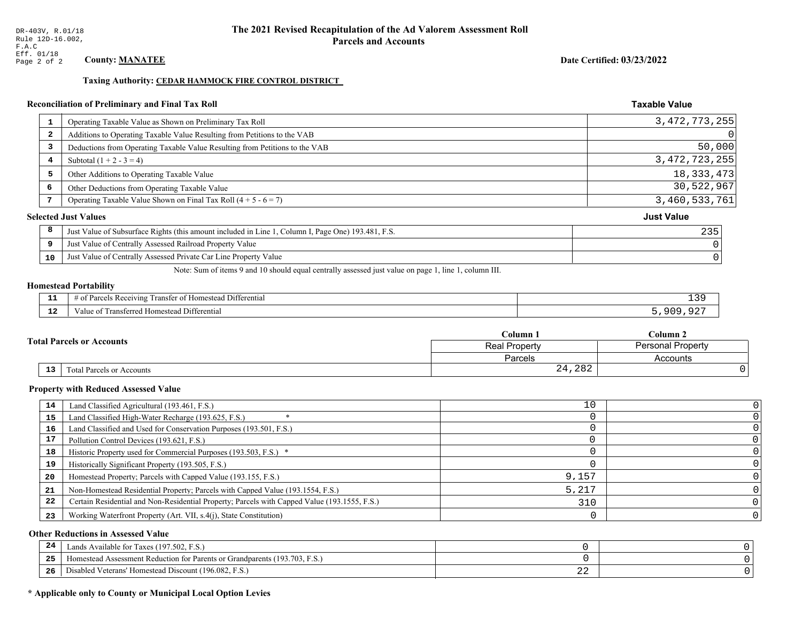Taxing Authority: CEDAR HAMMOCK FIRE CONTROL DISTRICT

# **Reconciliation of Preliminary and Final Tax Roll**

| 1            | Operating Taxable Value as Shown on Preliminary Tax Roll                                           | 3, 472, 773, 255  |
|--------------|----------------------------------------------------------------------------------------------------|-------------------|
| $\mathbf{2}$ | Additions to Operating Taxable Value Resulting from Petitions to the VAB                           | 0                 |
| 3            | Deductions from Operating Taxable Value Resulting from Petitions to the VAB                        | 50,000            |
| 4            | Subtotal $(1 + 2 - 3 = 4)$                                                                         | 3, 472, 723, 255  |
| 5            | Other Additions to Operating Taxable Value                                                         | 18, 333, 473      |
| 6            | Other Deductions from Operating Taxable Value                                                      | 30,522,967        |
|              | Operating Taxable Value Shown on Final Tax Roll $(4 + 5 - 6 = 7)$                                  | 3,460,533,761     |
|              | <b>Selected Just Values</b>                                                                        | <b>Just Value</b> |
| 8            | Just Value of Subsurface Rights (this amount included in Line 1, Column I, Page One) 193.481, F.S. | 235               |
| 9            | Just Value of Centrally Assessed Railroad Property Value                                           |                   |
| 10           | Just Value of Centrally Assessed Private Car Line Property Value                                   |                   |
|              |                                                                                                    |                   |

Note: Sum of items 9 and 10 should equal centrally assessed just value on page 1, line 1, column III.

#### **Homestead Portability**

| .           | --<br>ranste.<br>Differential<br>Receiving<br>$-+$<br>.estes<br>---<br>-arce -<br>' 01<br>n | -20<br>∸ ~ |
|-------------|---------------------------------------------------------------------------------------------|------------|
| $\sim$<br>. | rone<br>Differential<br>alue<br><b>Homestea</b><br>.                                        | ാല         |

| Column 1 |                                              |                                           | Column 2 |  |  |
|----------|----------------------------------------------|-------------------------------------------|----------|--|--|
|          | <b>Fotal Parcels or Accounts</b>             | <b>Personal Property</b><br>Real Property |          |  |  |
|          |                                              | Parcels                                   | Accounts |  |  |
|          | 13 <sub>1</sub><br>Total Parcels or Accounts | 24,282                                    |          |  |  |

#### **Property with Reduced Assessed Value**

| 14 | Land Classified Agricultural (193.461, F.S.)                                                 | 10    |  |
|----|----------------------------------------------------------------------------------------------|-------|--|
| 15 | Land Classified High-Water Recharge (193.625, F.S.)                                          |       |  |
| 16 | Land Classified and Used for Conservation Purposes (193.501, F.S.)                           |       |  |
| 17 | Pollution Control Devices (193.621, F.S.)                                                    |       |  |
| 18 | Historic Property used for Commercial Purposes (193.503, F.S.) *                             |       |  |
| 19 | Historically Significant Property (193.505, F.S.)                                            |       |  |
| 20 | Homestead Property; Parcels with Capped Value (193.155, F.S.)                                | 9,157 |  |
| 21 | Non-Homestead Residential Property; Parcels with Capped Value (193.1554, F.S.)               | 5,217 |  |
| 22 | Certain Residential and Non-Residential Property; Parcels with Capped Value (193.1555, F.S.) | 310   |  |
| 23 | Working Waterfront Property (Art. VII, s.4(j), State Constitution)                           |       |  |

#### **Other Reductions in Assessed Value**

| 24    | Lands Available for Taxes (197.502, F.S.)                                  |     |  |
|-------|----------------------------------------------------------------------------|-----|--|
| - - - | Iomestead Assessment Reduction for Parents or Grandparents (193.703, F.S.) |     |  |
| -26   | l Veterans' Homestead Discount (196.082, F.S.)<br>Disabled                 | ـ ـ |  |

# \* Applicable only to County or Municipal Local Option Levies

Date Certified: 03/23/2022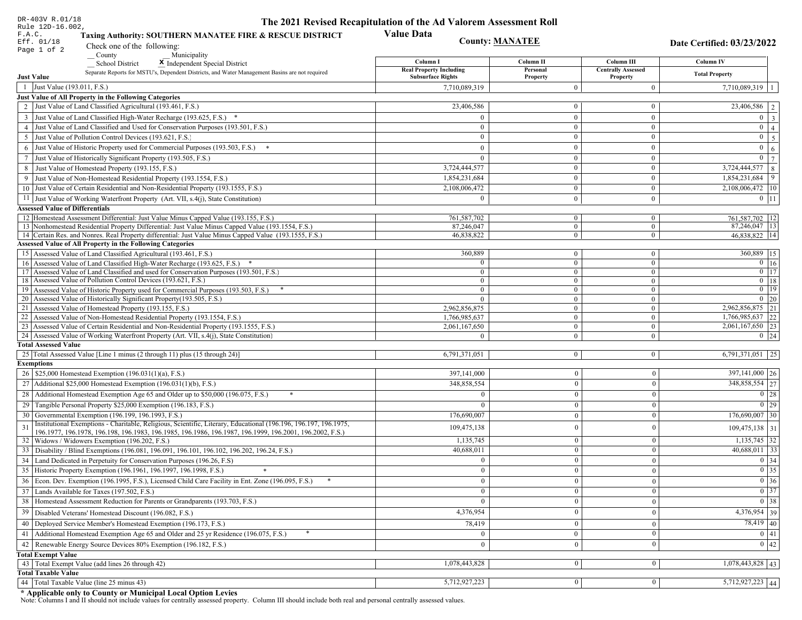| DR-403V R.01/18                                                                                                                                              | The 2021 Revised Recapitulation of the Ad Valorem Assessment Roll |                                |                                       |                             |  |
|--------------------------------------------------------------------------------------------------------------------------------------------------------------|-------------------------------------------------------------------|--------------------------------|---------------------------------------|-----------------------------|--|
| Rule 12D-16.002,<br>F.A.C.<br>Taxing Authority: SOUTHERN MANATEE FIRE & RESCUE DISTRICT                                                                      | <b>Value Data</b><br><b>County: MANATEE</b><br>Eff. 01/18         |                                |                                       |                             |  |
| Check one of the following:<br>Page 1 of 2                                                                                                                   |                                                                   |                                |                                       | Date Certified: 03/23/2022  |  |
| County<br>Municipality<br><b>School District</b><br>X Independent Special District                                                                           | Column I                                                          | Column II                      | Column III                            | <b>Column IV</b>            |  |
| Separate Reports for MSTU's, Dependent Districts, and Water Management Basins are not required<br><b>Just Value</b>                                          | <b>Real Property Including</b><br><b>Subsurface Rights</b>        | Personal                       | <b>Centrally Assessed</b><br>Property | <b>Total Property</b>       |  |
| 1 Just Value (193.011, F.S.)                                                                                                                                 | 7,710,089,319                                                     | Property<br>$\Omega$           | $\theta$                              | 7,710,089,319   1           |  |
| Just Value of All Property in the Following Categories                                                                                                       |                                                                   |                                |                                       |                             |  |
| 2 Just Value of Land Classified Agricultural (193.461, F.S.)                                                                                                 | 23,406,586                                                        | $\mathbf{0}$                   | $\mathbf{0}$                          | $\overline{23,406,586}$   2 |  |
| 3 Just Value of Land Classified High-Water Recharge (193.625, F.S.) *                                                                                        | $\Omega$                                                          | $\mathbf{0}$                   | $\boldsymbol{0}$                      | $0 \mid 3 \mid$             |  |
| 4 Just Value of Land Classified and Used for Conservation Purposes (193.501, F.S.)                                                                           | $\mathbf{0}$                                                      | $\mathbf{0}$                   | $\mathbf{0}$                          | $0 \mid 4 \mid$             |  |
| 5 Just Value of Pollution Control Devices (193.621, F.S.)                                                                                                    | $\overline{0}$                                                    | $\overline{0}$                 | $\overline{0}$                        | $0 \quad 5$                 |  |
| 6 Just Value of Historic Property used for Commercial Purposes (193.503, F.S.) *                                                                             | $\Omega$                                                          | $\theta$                       | $\mathbf{0}$                          | $0 \mid 6 \mid$             |  |
| 7 Just Value of Historically Significant Property (193.505, F.S.)                                                                                            | $\mathbf{0}$                                                      | $\overline{0}$                 | $\mathbf{0}$                          | $\boxed{0}$ $\boxed{7}$     |  |
| 8 Just Value of Homestead Property (193.155, F.S.)                                                                                                           | 3,724,444,577                                                     | $\overline{0}$                 | $\mathbf{0}$                          | $3,724,444,577$ 8           |  |
| 9 Just Value of Non-Homestead Residential Property (193.1554, F.S.)                                                                                          | 1,854,231,684                                                     | $\mathbf{0}$                   | $\mathbf{0}$                          | $1,854,231,684$   9         |  |
| 10 Just Value of Certain Residential and Non-Residential Property (193.1555, F.S.)                                                                           | 2,108,006,472                                                     | $\overline{0}$                 | $\overline{0}$                        | $2,108,006,472$   10        |  |
| 11 Just Value of Working Waterfront Property (Art. VII, s.4(j), State Constitution)                                                                          | $\Omega$                                                          | $\mathbf{0}$                   | $\mathbf{0}$                          | $0$   11                    |  |
| <b>Assessed Value of Differentials</b>                                                                                                                       |                                                                   |                                |                                       |                             |  |
| 12 Homestead Assessment Differential: Just Value Minus Capped Value (193.155, F.S.)                                                                          | 761,587,702                                                       | $\mathbf{0}$                   | $\bf{0}$                              | 761,587,702 12              |  |
| 13 Nonhomestead Residential Property Differential: Just Value Minus Capped Value (193.1554, F.S.)                                                            | 87.246.047                                                        | $\overline{0}$                 | $\mathbf{0}$                          | 87,246,047   13             |  |
| 14 Certain Res. and Nonres. Real Property differential: Just Value Minus Capped Value (193.1555, F.S.)                                                       | 46,838,822                                                        | $\mathbf{0}$                   | $\mathbf{0}$                          | 46,838,822 14               |  |
| <b>Assessed Value of All Property in the Following Categories</b>                                                                                            |                                                                   |                                |                                       |                             |  |
| 15 Assessed Value of Land Classified Agricultural (193.461, F.S.)                                                                                            | 360,889                                                           | $\mathbf{0}$                   | $\mathbf{0}$                          | 360,889 15                  |  |
| 16 Assessed Value of Land Classified High-Water Recharge (193.625, F.S.)                                                                                     | $\Omega$                                                          | $\mathbf{0}$                   | $\mathbf{0}$                          | $0 \mid 16$                 |  |
| 17 Assessed Value of Land Classified and used for Conservation Purposes (193.501, F.S.)                                                                      | $\mathbf{0}$                                                      | $\mathbf{0}$                   | $\mathbf{0}$                          | $\boxed{0}$ $\boxed{17}$    |  |
| 18 Assessed Value of Pollution Control Devices (193.621, F.S.)<br>19 Assessed Value of Historic Property used for Commercial Purposes (193.503, F.S.)        | $\overline{0}$<br>$\overline{0}$                                  | $\mathbf{0}$<br>$\overline{0}$ | $\overline{0}$<br>$\mathbf{0}$        | $0$ 18<br>$0$ 19            |  |
| 20 Assessed Value of Historically Significant Property (193.505, F.S.)                                                                                       | $\theta$                                                          | $\overline{0}$                 | $\overline{0}$                        | $0 \mid 20$                 |  |
| 21 Assessed Value of Homestead Property (193.155, F.S.)                                                                                                      | 2,962,856,875                                                     | $\mathbf{0}$                   | $\mathbf{0}$                          | 2,962,856,875 21            |  |
| 22 Assessed Value of Non-Homestead Residential Property (193.1554, F.S.)                                                                                     | 1,766,985,637                                                     | $\mathbf{0}$                   | $\mathbf{0}$                          | $1,766,985,637$ 22          |  |
| 23 Assessed Value of Certain Residential and Non-Residential Property (193.1555, F.S.)                                                                       | 2,061,167,650                                                     | $\mathbf{0}$                   | $\mathbf{0}$                          | 2,061,167,650 23            |  |
| 24 Assessed Value of Working Waterfront Property (Art. VII, s.4(j), State Constitution)                                                                      |                                                                   | $\overline{0}$                 | $\mathbf{0}$                          | $0 \mid 24$                 |  |
| <b>Total Assessed Value</b>                                                                                                                                  |                                                                   |                                |                                       |                             |  |
| 25   Total Assessed Value [Line 1 minus (2 through 11) plus (15 through 24)]                                                                                 | 6,791,371,051                                                     | $\overline{0}$                 | $\boldsymbol{0}$                      | $6,791,371,051$   25        |  |
| <b>Exemptions</b>                                                                                                                                            |                                                                   |                                |                                       |                             |  |
| 26   \$25,000 Homestead Exemption (196.031(1)(a), F.S.)                                                                                                      | 397,141,000                                                       | $\mathbf{0}$                   | $\mathbf{0}$                          | 397,141,000 26              |  |
| 27   Additional \$25,000 Homestead Exemption $(196.031(1)(b), F.S.)$                                                                                         | 348,858,554                                                       | $\Omega$                       | $\mathbf{0}$                          | 348,858,554 27              |  |
| 28 Additional Homestead Exemption Age 65 and Older up to \$50,000 (196.075, F.S.)                                                                            | $\Omega$                                                          | $\theta$                       | $\theta$                              | $\boxed{0}$ 28              |  |
| 29 Tangible Personal Property \$25,000 Exemption (196.183, F.S.)                                                                                             | $\Omega$                                                          | $\Omega$                       | $\mathbf{0}$                          | $0$   29                    |  |
| 30 Governmental Exemption (196.199, 196.1993, F.S.)                                                                                                          | 176,690,007                                                       | $\theta$                       | $\mathbf{0}$                          | $176,690,007$ 30            |  |
| Institutional Exemptions - Charitable, Religious, Scientific, Literary, Educational (196.196, 196.197, 196.1975,<br>31                                       | 109,475,138                                                       | $\theta$                       | $\mathbf{0}$                          | $109,475,138$ 31            |  |
| 196.1977, 196.1978, 196.198, 196.1983, 196.1985, 196.1986, 196.1987, 196.1999, 196.2001, 196.2002, F.S.)<br>32   Widows / Widowers Exemption (196.202, F.S.) | 1,135,745                                                         | $\mathbf{0}$                   | $\mathbf{0}$                          | $1,135,745$ 32              |  |
| 33 Disability / Blind Exemptions (196.081, 196.091, 196.101, 196.102, 196.202, 196.24, F.S.)                                                                 | 40,688,011                                                        | $\overline{0}$                 | $\mathbf{0}$                          | $40,688,011$ 33             |  |
| 34 Land Dedicated in Perpetuity for Conservation Purposes (196.26, F.S)                                                                                      |                                                                   | $\Omega$                       | $\theta$                              | 0 34                        |  |
| 35 Historic Property Exemption (196.1961, 196.1997, 196.1998, F.S.)                                                                                          | 0                                                                 | $\mathbf{0}$                   | $\mathbf{0}$                          | $\boxed{0}$ 35              |  |
| 36 Econ. Dev. Exemption (196.1995, F.S.), Licensed Child Care Facility in Ent. Zone (196.095, F.S.)                                                          | $\overline{0}$                                                    | $\Omega$                       | $\theta$                              | $\boxed{0}$ 36              |  |
| 37 Lands Available for Taxes (197.502, F.S.)                                                                                                                 | $\Omega$                                                          | $\theta$                       | $\mathbf{0}$                          | $0 \mid 37$                 |  |
| 38   Homestead Assessment Reduction for Parents or Grandparents (193.703, F.S.)                                                                              | $\mathbf{0}$                                                      | 0                              |                                       | $\boxed{0}$ 38              |  |
| 39   Disabled Veterans' Homestead Discount (196.082, F.S.)                                                                                                   | 4,376,954                                                         |                                | $\boldsymbol{0}$<br>$\mathbf{0}$      | $4,376,954$ 39              |  |
|                                                                                                                                                              |                                                                   |                                |                                       | $78,419$ 40                 |  |
| 40   Deployed Service Member's Homestead Exemption (196.173, F.S.)                                                                                           | 78,419                                                            | $\theta$                       | $\mathbf{0}$                          |                             |  |
| 41 Additional Homestead Exemption Age 65 and Older and 25 yr Residence (196.075, F.S.)                                                                       |                                                                   | $\mathbf{0}$                   | $\mathbf{0}$                          | 0 41                        |  |
| 42 Renewable Energy Source Devices 80% Exemption (196.182, F.S.)                                                                                             | $\overline{0}$                                                    | $\mathbf{0}$                   | $\mathbf{0}$                          | 0 42                        |  |
| <b>Total Exempt Value</b>                                                                                                                                    |                                                                   |                                |                                       |                             |  |
| 43 Total Exempt Value (add lines 26 through 42)<br><b>Total Taxable Value</b>                                                                                | 1,078,443,828                                                     | 0                              | $\bf{0}$                              | $1,078,443,828$ 43          |  |
| 44   Total Taxable Value (line 25 minus 43)                                                                                                                  | 5,712,927,223                                                     | 0                              | 0                                     | $7,712,927,223$ 44          |  |
|                                                                                                                                                              |                                                                   |                                |                                       |                             |  |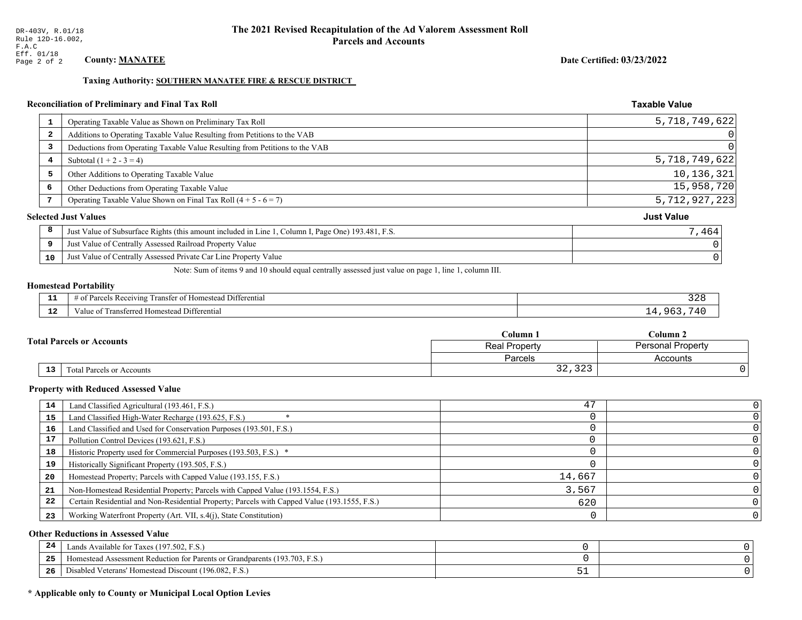#### Taxing Authority: SOUTHERN MANATEE FIRE & RESCUE DISTRICT

### Reconciliation of Preliminary and Final Tax Roll

|                         | Operating Taxable Value as Shown on Preliminary Tax Roll                                           | 5,718,749,622     |
|-------------------------|----------------------------------------------------------------------------------------------------|-------------------|
| $\overline{\mathbf{2}}$ | Additions to Operating Taxable Value Resulting from Petitions to the VAB                           | $\overline{0}$    |
| 3                       | Deductions from Operating Taxable Value Resulting from Petitions to the VAB                        | $\Omega$          |
| 4                       | Subtotal $(1 + 2 - 3 = 4)$                                                                         | 5,718,749,622     |
| 5                       | Other Additions to Operating Taxable Value                                                         | 10,136,321        |
| 6                       | Other Deductions from Operating Taxable Value                                                      | 15,958,720        |
|                         | Operating Taxable Value Shown on Final Tax Roll $(4 + 5 - 6 = 7)$                                  | 5,712,927,223     |
|                         | <b>Selected Just Values</b>                                                                        | <b>Just Value</b> |
| 8                       | Just Value of Subsurface Rights (this amount included in Line 1, Column I, Page One) 193.481, F.S. | 7,464             |
| 9                       | Just Value of Centrally Assessed Railroad Property Value                                           |                   |
| 10                      | Just Value of Centrally Assessed Private Car Line Property Value                                   |                   |
|                         |                                                                                                    |                   |

Note: Sum of items 9 and 10 should equal centrally assessed just value on page 1, line 1, column III.

#### **Homestead Portability**

| - -<br>.    | l Differential<br>; Receiving<br>Transfer of Homestead | n,<br>ہ ∠د |
|-------------|--------------------------------------------------------|------------|
| $\sim$<br>. | Transferred Homestead Differential<br>Value of         | $\sqrt{1}$ |

| Column 1                         |                                           | $C$ olumn 2 |  |
|----------------------------------|-------------------------------------------|-------------|--|
| <b>Total Parcels or Accounts</b> | <b>Personal Property</b><br>Real Property |             |  |
|                                  | <b>Parcels</b>                            | Accounts    |  |
| 13<br>Total Parcels or Accounts  | $\cap$<br>$\sim$ $\sim$<br>34,343         |             |  |

#### **Property with Reduced Assessed Value**

| 14 | Land Classified Agricultural (193.461, F.S.)                                                 | 47     |  |
|----|----------------------------------------------------------------------------------------------|--------|--|
| 15 | Land Classified High-Water Recharge (193.625, F.S.)                                          |        |  |
| 16 | Land Classified and Used for Conservation Purposes (193.501, F.S.)                           |        |  |
| 17 | Pollution Control Devices (193.621, F.S.)                                                    |        |  |
| 18 | Historic Property used for Commercial Purposes (193.503, F.S.) *                             |        |  |
| 19 | Historically Significant Property (193.505, F.S.)                                            |        |  |
| 20 | Homestead Property; Parcels with Capped Value (193.155, F.S.)                                | 14,667 |  |
| 21 | Non-Homestead Residential Property; Parcels with Capped Value (193.1554, F.S.)               | 3,567  |  |
| 22 | Certain Residential and Non-Residential Property; Parcels with Capped Value (193.1555, F.S.) | 620    |  |
| 23 | Working Waterfront Property (Art. VII, s.4(j), State Constitution)                           |        |  |

#### **Other Reductions in Assessed Value**

| -24 | Lands Available for Taxes (197.502, F.S.)                                      |      |  |
|-----|--------------------------------------------------------------------------------|------|--|
| .   | (193.703, F)<br>Aomestead Assessment Reduction for Parents or Grandparents (1) |      |  |
| -26 | J Veterans' Homestead Discount (196.082, F.S.)<br>Disabled                     | ັບ ⊥ |  |

# \* Applicable only to County or Municipal Local Option Levies

Date Certified: 03/23/2022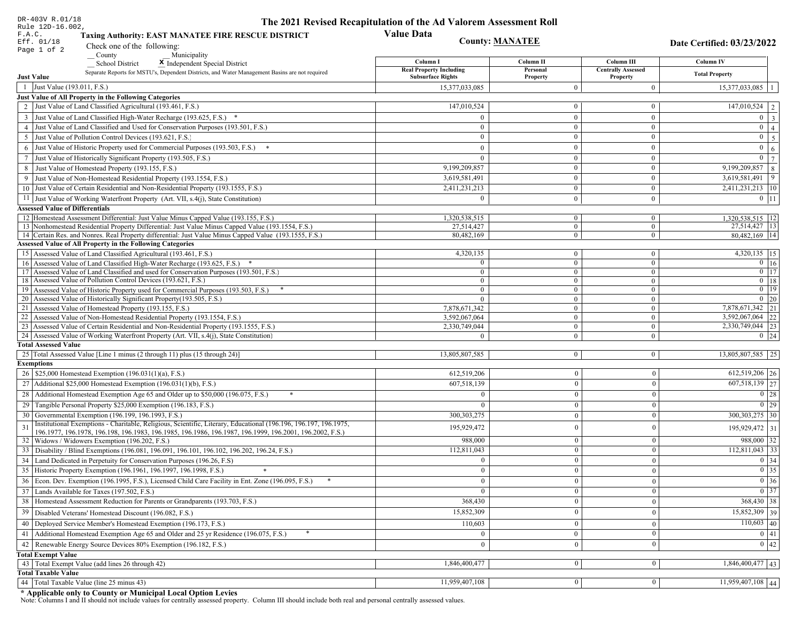| DR-403V R.01/18                                                                                                                                                                                             | The 2021 Revised Recapitulation of the Ad Valorem Assessment Roll |                                  |                                       |                                      |
|-------------------------------------------------------------------------------------------------------------------------------------------------------------------------------------------------------------|-------------------------------------------------------------------|----------------------------------|---------------------------------------|--------------------------------------|
| Rule 12D-16.002,<br>F.A.C.<br><b>Taxing Authority: EAST MANATEE FIRE RESCUE DISTRICT</b><br>Eff. 01/18<br>Check one of the following:                                                                       | <b>Value Data</b>                                                 | <b>County: MANATEE</b>           |                                       | Date Certified: 03/23/2022           |
| Page 1 of 2<br>County<br>Municipality                                                                                                                                                                       |                                                                   |                                  |                                       |                                      |
| <b>School District</b><br>X Independent Special District                                                                                                                                                    | Column I                                                          | Column II                        | Column III                            | Column IV                            |
| Separate Reports for MSTU's, Dependent Districts, and Water Management Basins are not required<br><b>Just Value</b>                                                                                         | <b>Real Property Including</b><br><b>Subsurface Rights</b>        | Personal<br>Property             | <b>Centrally Assessed</b><br>Property | <b>Total Property</b>                |
| 1 Just Value (193.011, F.S.)                                                                                                                                                                                | 15,377,033,085                                                    | $\overline{0}$                   | $\boldsymbol{0}$                      | 15,377,033,085<br>$\overline{1}$     |
| Just Value of All Property in the Following Categories                                                                                                                                                      |                                                                   |                                  |                                       |                                      |
| 2 Just Value of Land Classified Agricultural (193.461, F.S.)                                                                                                                                                | 147,010,524                                                       | $\mathbf{0}$                     | $\bf{0}$                              | $\boxed{147,010,524}$   2            |
| 3 Just Value of Land Classified High-Water Recharge (193.625, F.S.) *                                                                                                                                       | $\Omega$                                                          | $\mathbf{0}$                     | $\bf{0}$                              | $0 \mid 3$                           |
| 4 Just Value of Land Classified and Used for Conservation Purposes (193.501, F.S.)                                                                                                                          | $\Omega$                                                          | $\overline{0}$                   | $\bf{0}$                              | $0 \mid 4 \mid$                      |
| 5 Just Value of Pollution Control Devices (193.621, F.S.)                                                                                                                                                   | $\bf{0}$                                                          | $\mathbf{0}$                     | $\bf{0}$                              | $0 \quad 5$                          |
| 6 Just Value of Historic Property used for Commercial Purposes (193.503, F.S.) *                                                                                                                            | $\theta$                                                          | $\theta$                         | $\bf{0}$                              | $\mathbf{0}$<br>6 <sup>1</sup>       |
| 7 Just Value of Historically Significant Property (193.505, F.S.)                                                                                                                                           | $\overline{0}$                                                    | $\overline{0}$                   | $\bf{0}$                              | $\boxed{0}$ $\boxed{7}$              |
| 8 Just Value of Homestead Property (193.155, F.S.)                                                                                                                                                          | 9,199,209,857                                                     | $\mathbf{0}$                     | $\overline{0}$                        | 9,199,209,857   8                    |
| 9 Just Value of Non-Homestead Residential Property (193.1554, F.S.)                                                                                                                                         | 3,619,581,491                                                     | $\overline{0}$                   | $\bf{0}$                              | 3,619,581,491 9                      |
| 10 Just Value of Certain Residential and Non-Residential Property (193.1555, F.S.)                                                                                                                          | 2,411,231,213                                                     | $\mathbf{0}$                     | $\bf{0}$                              | 2,411,231,213   10                   |
| 11 Just Value of Working Waterfront Property (Art. VII, s.4(j), State Constitution)                                                                                                                         | $\mathbf{0}$                                                      | $\mathbf{0}$                     | $\bf{0}$                              | $0 \mid 11$                          |
| <b>Assessed Value of Differentials</b>                                                                                                                                                                      |                                                                   |                                  |                                       |                                      |
| 12 Homestead Assessment Differential: Just Value Minus Capped Value (193.155, F.S.)                                                                                                                         | 1,320,538,515                                                     | $\bf{0}$                         | $\bf{0}$                              | 1,320,538,515   12                   |
| 13 Nonhomestead Residential Property Differential: Just Value Minus Capped Value (193.1554, F.S.)<br>14 Certain Res. and Nonres. Real Property differential: Just Value Minus Capped Value (193.1555, F.S.) | 27.514.427<br>80,482,169                                          | $\overline{0}$<br>$\overline{0}$ | $\overline{0}$<br>$\overline{0}$      | 27,514,427 13<br>80,482,169 14       |
| Assessed Value of All Property in the Following Categories                                                                                                                                                  |                                                                   |                                  |                                       |                                      |
| 15 Assessed Value of Land Classified Agricultural (193.461, F.S.)                                                                                                                                           | 4,320,135                                                         | $\bf{0}$                         | $\bf{0}$                              | $4,320,135$ 15                       |
| 16 Assessed Value of Land Classified High-Water Recharge (193.625, F.S.) *                                                                                                                                  | $\Omega$                                                          | $\mathbf{0}$                     | $\bf{0}$                              | $0 \mid 16$                          |
| Assessed Value of Land Classified and used for Conservation Purposes (193.501, F.S.)<br>17                                                                                                                  | $\Omega$                                                          | $\mathbf{0}$                     | $\mathbf{0}$                          | $\boxed{0}$ $\boxed{17}$             |
| 18 Assessed Value of Pollution Control Devices (193.621, F.S.)                                                                                                                                              | $\Omega$                                                          | $\mathbf{0}$                     | $\mathbf{0}$                          | $0$ 18                               |
| 19 Assessed Value of Historic Property used for Commercial Purposes (193.503, F.S.)                                                                                                                         | $\bf{0}$                                                          | $\overline{0}$                   | $\overline{0}$                        | $0$   19                             |
| 20 Assessed Value of Historically Significant Property (193.505, F.S.)                                                                                                                                      | $\theta$                                                          | $\overline{0}$                   | $\overline{0}$                        | $0 \mid 20$                          |
| 21 Assessed Value of Homestead Property (193.155, F.S.)<br>22 Assessed Value of Non-Homestead Residential Property (193.1554, F.S.)                                                                         | 7,878,671,342<br>3,592,067,064                                    | $\overline{0}$<br>$\overline{0}$ | $\bf{0}$<br>$\mathbf{0}$              | 7,878,671,342 21<br>3,592,067,064 22 |
| 23 Assessed Value of Certain Residential and Non-Residential Property (193.1555, F.S.)                                                                                                                      | 2,330,749,044                                                     | $\overline{0}$                   | $\bf{0}$                              | 2,330,749,044 23                     |
| 24 Assessed Value of Working Waterfront Property (Art. VII, s.4(j), State Constitution)                                                                                                                     |                                                                   | $\overline{0}$                   | $\bf{0}$                              | $0 \mid 24$                          |
| <b>Total Assessed Value</b>                                                                                                                                                                                 |                                                                   |                                  |                                       |                                      |
| 25 Total Assessed Value [Line 1 minus (2 through 11) plus (15 through 24)]                                                                                                                                  | 13,805,807,585                                                    | $\overline{0}$                   | $\mathbf{0}$                          | 13,805,807,585   25                  |
| <b>Exemptions</b>                                                                                                                                                                                           |                                                                   |                                  |                                       |                                      |
| 26   \$25,000 Homestead Exemption (196.031(1)(a), F.S.)                                                                                                                                                     | 612,519,206                                                       | $\mathbf{0}$                     | $\boldsymbol{0}$                      | $612,519,206$ 26                     |
| 27   Additional \$25,000 Homestead Exemption (196.031(1)(b), F.S.)                                                                                                                                          | 607,518,139                                                       | $\Omega$                         | $\mathbf{0}$                          | 607,518,139 27                       |
| 28 Additional Homestead Exemption Age 65 and Older up to \$50,000 (196.075, F.S.)                                                                                                                           | $\Omega$                                                          | $\overline{0}$                   | $\mathbf{0}$                          | $\boxed{0}$ 28                       |
| 29 Tangible Personal Property \$25,000 Exemption (196.183, F.S.)                                                                                                                                            |                                                                   | $\Omega$                         | $\mathbf{0}$                          | $0$   29                             |
| 30 Governmental Exemption (196.199, 196.1993, F.S.)                                                                                                                                                         | 300, 303, 275                                                     | $\mathbf{0}$                     | $\mathbf{0}$                          | $300,303,275$   30                   |
| Institutional Exemptions - Charitable, Religious, Scientific, Literary, Educational (196.196, 196.197, 196.1975,                                                                                            | 195,929,472                                                       | $\theta$                         | $\mathbf{0}$                          | 195,929,472 31                       |
| 196.1977, 196.1978, 196.198, 196.1983, 196.1985, 196.1986, 196.1987, 196.1999, 196.2001, 196.2002, F.S.)<br>32 Widows / Widowers Exemption (196.202, F.S.)                                                  | 988,000                                                           | $\mathbf{0}$                     | $\mathbf{0}$                          | 988,000 32                           |
| 33 Disability / Blind Exemptions (196.081, 196.091, 196.101, 196.102, 196.202, 196.24, F.S.)                                                                                                                | 112,811,043                                                       | $\overline{0}$                   | $\mathbf{0}$                          | $112,811,043$ 33                     |
| 34 Land Dedicated in Perpetuity for Conservation Purposes (196.26, F.S)                                                                                                                                     |                                                                   | $\Omega$                         | $\theta$                              | $0 \mid 34$                          |
| 35 Historic Property Exemption (196.1961, 196.1997, 196.1998, F.S.)                                                                                                                                         | 0                                                                 | $\mathbf{U}$                     | $\mathbf{0}$                          | $\boxed{0}$ 35                       |
| 36 Econ. Dev. Exemption (196.1995, F.S.), Licensed Child Care Facility in Ent. Zone (196.095, F.S.)                                                                                                         | $\Omega$                                                          | $\Omega$                         | $\Omega$                              | $\boxed{0}$ 36                       |
| 37 Lands Available for Taxes (197.502, F.S.)                                                                                                                                                                |                                                                   | $\Omega$                         | $\mathbf{0}$                          | $0 \mid 37$                          |
| 38   Homestead Assessment Reduction for Parents or Grandparents (193.703, F.S.)                                                                                                                             | 368,430                                                           | $\bf{0}$                         | $\boldsymbol{0}$                      | 368,430 38                           |
| 39   Disabled Veterans' Homestead Discount (196.082, F.S.)                                                                                                                                                  | 15,852,309                                                        |                                  | $\mathbf{0}$                          | 15,852,309 39                        |
| 40 Deployed Service Member's Homestead Exemption (196.173, F.S.)                                                                                                                                            | 110,603                                                           | $\theta$                         | $\mathbf{0}$                          | $110,603$ 40                         |
| 41   Additional Homestead Exemption Age 65 and Older and 25 yr Residence (196.075, F.S.)                                                                                                                    | $\mathbf{0}$                                                      | $\mathbf{0}$                     | $\mathbf{0}$                          | $\boxed{0}$ 41                       |
| 42 Renewable Energy Source Devices 80% Exemption (196.182, F.S.)                                                                                                                                            | $\bf{0}$                                                          | $\mathbf{0}$                     | $\mathbf{0}$                          | 0 42                                 |
| <b>Total Exempt Value</b>                                                                                                                                                                                   |                                                                   |                                  |                                       |                                      |
| 43 Total Exempt Value (add lines 26 through 42)                                                                                                                                                             | 1,846,400,477                                                     | $\Omega$                         | $\mathbf{0}$                          | $1,846,400,477$ 43                   |
| <b>Total Taxable Value</b>                                                                                                                                                                                  |                                                                   |                                  |                                       |                                      |
| 44   Total Taxable Value (line 25 minus 43)                                                                                                                                                                 | 11,959,407,108                                                    | 0 <sup>1</sup>                   | $\mathbf{0}$                          | $\overline{11,959,407,108}$ 44       |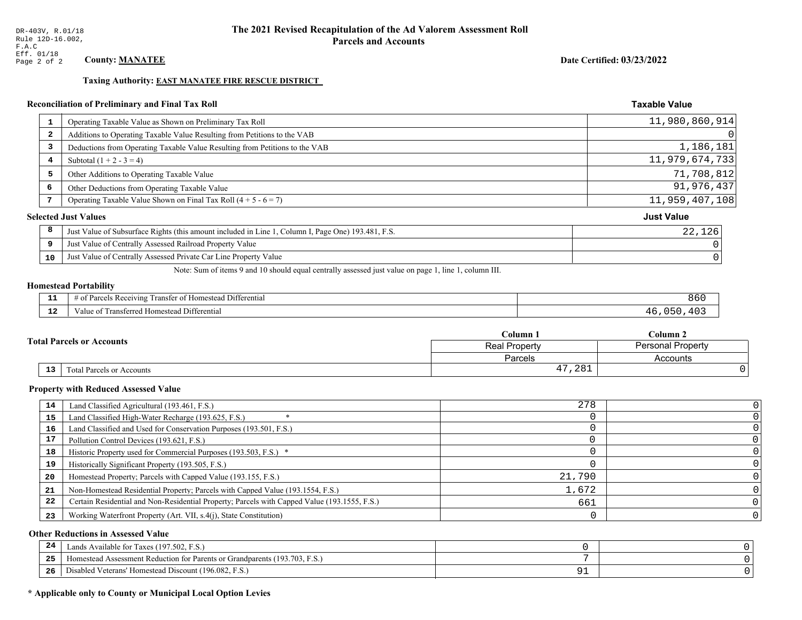#### Date Certified: 03/23/2022

**Taxable Value** 

#### **Taxing Authority: EAST MANATEE FIRE RESCUE DISTRICT**

### Reconciliation of Preliminary and Final Tax Roll

| $\mathbf{1}$            | Operating Taxable Value as Shown on Preliminary Tax Roll                                           | 11,980,860,914    |
|-------------------------|----------------------------------------------------------------------------------------------------|-------------------|
| $\overline{\mathbf{2}}$ | Additions to Operating Taxable Value Resulting from Petitions to the VAB                           | 0                 |
| 3                       | Deductions from Operating Taxable Value Resulting from Petitions to the VAB                        | 1,186,181         |
| 4                       | Subtotal $(1 + 2 - 3 = 4)$                                                                         | 11,979,674,733    |
| 5                       | Other Additions to Operating Taxable Value                                                         | 71,708,812        |
| 6                       | Other Deductions from Operating Taxable Value                                                      | 91,976,437        |
| 7                       | Operating Taxable Value Shown on Final Tax Roll $(4 + 5 - 6 = 7)$                                  | 11,959,407,108    |
|                         | <b>Selected Just Values</b>                                                                        | <b>Just Value</b> |
| 8                       | Just Value of Subsurface Rights (this amount included in Line 1, Column I, Page One) 193.481, F.S. | 22,126            |
| 9                       | Just Value of Centrally Assessed Railroad Property Value                                           |                   |
| 10                      | Just Value of Centrally Assessed Private Car Line Property Value                                   | 0                 |
|                         |                                                                                                    |                   |

Note: Sum of items 9 and 10 should equal centrally assessed just value on page 1, line 1, column III.

# **Homestead Portability**

| $\sim$<br>--- | $ -$<br>. Differential<br>ranster of<br>Receiving<br>: Homestead<br>. arce<br>വ<br>$\cdots$ | 860    |
|---------------|---------------------------------------------------------------------------------------------|--------|
| $\sim$<br>.   | l ransferred Homestead Differential<br>alue                                                 | $\sim$ |

|                                     | $\operatorname{\mathsf{Column}} 1$ | $\mathbb C$ olumn 2      |  |
|-------------------------------------|------------------------------------|--------------------------|--|
| <b>Total Parcels or Accounts</b>    | <b>Real Property</b>               | <b>Personal Property</b> |  |
|                                     | Parcels                            | Accounts                 |  |
| $13\,$<br>Total Parcels or Accounts | ,281<br>47                         |                          |  |

#### **Property with Reduced Assessed Value**

| 14 | Land Classified Agricultural (193.461, F.S.)                                                 | 278    |  |
|----|----------------------------------------------------------------------------------------------|--------|--|
| 15 | Land Classified High-Water Recharge (193.625, F.S.)                                          |        |  |
| 16 | Land Classified and Used for Conservation Purposes (193.501, F.S.)                           |        |  |
| 17 | Pollution Control Devices (193.621, F.S.)                                                    |        |  |
| 18 | Historic Property used for Commercial Purposes (193.503, F.S.) *                             |        |  |
| 19 | Historically Significant Property (193.505, F.S.)                                            |        |  |
| 20 | Homestead Property; Parcels with Capped Value (193.155, F.S.)                                | 21,790 |  |
| 21 | Non-Homestead Residential Property; Parcels with Capped Value (193.1554, F.S.)               | 1,672  |  |
| 22 | Certain Residential and Non-Residential Property; Parcels with Capped Value (193.1555, F.S.) | 661    |  |
| 23 | Working Waterfront Property (Art. VII, s.4(j), State Constitution)                           |        |  |

#### **Other Reductions in Assessed Value**

| 24    | Lands Available for Taxes (197.502, F.S.)                                               |  |
|-------|-----------------------------------------------------------------------------------------|--|
| - - - | <sup>1</sup> Homestead Assessment Reduction for Parents or Grandparents (193.703, F.S.) |  |
| -26   | Disabled Veterans' Homestead Discount (196.082, F.S.)                                   |  |

### \* Applicable only to County or Municipal Local Option Levies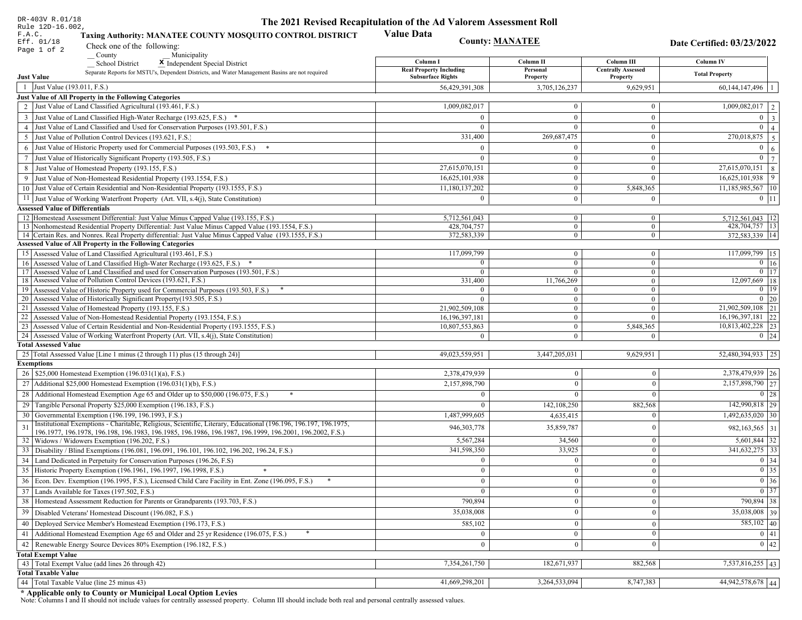| DR-403V R.01/18                          |                                                                                                                                                              | The 2021 Revised Recapitulation of the Ad Valorem Assessment Roll |                        |                                       |                                                                       |
|------------------------------------------|--------------------------------------------------------------------------------------------------------------------------------------------------------------|-------------------------------------------------------------------|------------------------|---------------------------------------|-----------------------------------------------------------------------|
| Rule 12D-16.002,<br>F.A.C.<br>Eff. 01/18 | <b>Taxing Authority: MANATEE COUNTY MOSQUITO CONTROL DISTRICT</b>                                                                                            | <b>Value Data</b>                                                 | <b>County: MANATEE</b> |                                       | Date Certified: 03/23/2022                                            |
| Page 1 of 2                              | Check one of the following:                                                                                                                                  |                                                                   |                        |                                       |                                                                       |
|                                          | County<br>Municipality<br><b>School District</b><br>X Independent Special District                                                                           | Column I                                                          | Column II              | Column III                            | Column IV                                                             |
| <b>Just Value</b>                        | Separate Reports for MSTU's, Dependent Districts, and Water Management Basins are not required                                                               | <b>Real Property Including</b><br><b>Subsurface Rights</b>        | Personal<br>Property   | <b>Centrally Assessed</b><br>Property | <b>Total Property</b>                                                 |
| Just Value (193.011, F.S.)<br>-1         |                                                                                                                                                              | 56,429,391,308                                                    | 3,705,126,237          | 9,629,951                             | $60,144,147,496$   1                                                  |
|                                          | Just Value of All Property in the Following Categories                                                                                                       |                                                                   |                        |                                       |                                                                       |
|                                          | 2 Just Value of Land Classified Agricultural (193.461, F.S.)                                                                                                 | 1,009,082,017                                                     | $\mathbf{0}$           | $\mathbf{0}$                          | 1,009,082,017<br>2                                                    |
|                                          | 3 Just Value of Land Classified High-Water Recharge (193.625, F.S.) *                                                                                        | $\theta$                                                          | $\overline{0}$         | $\overline{0}$                        | $0 \mid 3 \mid$                                                       |
|                                          | 4 Just Value of Land Classified and Used for Conservation Purposes (193.501, F.S.)                                                                           | $\Omega$                                                          | $\overline{0}$         | $\mathbf{0}$                          | $\overline{0}$<br>$\overline{4}$                                      |
|                                          | 5 Just Value of Pollution Control Devices (193.621, F.S.)                                                                                                    | 331,400                                                           | 269,687,475            | $\mathbf{0}$                          | 270,018,875<br>5 <sup>1</sup>                                         |
|                                          | 6 Just Value of Historic Property used for Commercial Purposes (193.503, F.S.) *                                                                             | $\theta$                                                          | $\mathbf{0}$           | $\overline{0}$                        | $0 \mid 6 \mid$                                                       |
|                                          | 7 Just Value of Historically Significant Property (193.505, F.S.)                                                                                            | $\Omega$                                                          | $\boldsymbol{0}$       | $\mathbf{0}$                          | $\overline{0}$<br>$7\phantom{.0}$                                     |
|                                          | 8 Just Value of Homestead Property (193.155, F.S.)                                                                                                           | 27,615,070,151                                                    | $\theta$               | $\mathbf{0}$                          | $27,615,070,151$ 8                                                    |
|                                          | 9 Just Value of Non-Homestead Residential Property (193.1554, F.S.)                                                                                          | 16,625,101,938                                                    | $\overline{0}$         | $\overline{0}$                        | $16,625,101,938$ 9                                                    |
|                                          | 10 Just Value of Certain Residential and Non-Residential Property (193.1555, F.S.)                                                                           | 11,180,137,202                                                    | $\mathbf{0}$           | 5,848,365                             | $11,185,985,567$   10                                                 |
|                                          | 11 Just Value of Working Waterfront Property (Art. VII, s.4(j), State Constitution)                                                                          | $\Omega$                                                          | $\overline{0}$         |                                       |                                                                       |
|                                          |                                                                                                                                                              |                                                                   |                        | $\bf{0}$                              | $0$   11                                                              |
| <b>Assessed Value of Differentials</b>   | 12 Homestead Assessment Differential: Just Value Minus Capped Value (193.155, F.S.)                                                                          | 5,712,561,043                                                     | $\mathbf{0}$           | $\mathbf{0}$                          | 5,712,561,043   12                                                    |
|                                          | 13 Nonhomestead Residential Property Differential: Just Value Minus Capped Value (193.1554, F.S.)                                                            | 428,704,757                                                       | $\mathbf{0}$           | $\mathbf{0}$                          | 428,704,757 13                                                        |
|                                          | 14 Certain Res. and Nonres. Real Property differential: Just Value Minus Capped Value (193.1555, F.S.)                                                       | 372,583,339                                                       | $\overline{0}$         | $\mathbf{0}$                          | 372.583.339 14                                                        |
|                                          | <b>Assessed Value of All Property in the Following Categories</b>                                                                                            |                                                                   |                        |                                       |                                                                       |
|                                          | 15 Assessed Value of Land Classified Agricultural (193.461, F.S.)                                                                                            | 117,099,799                                                       | $\mathbf{0}$           | $\mathbf{0}$                          | 117,099,799 15                                                        |
|                                          | 16 Assessed Value of Land Classified High-Water Recharge (193.625, F.S.)                                                                                     | $\Omega$                                                          | $\mathbf{0}$           | $\mathbf{0}$                          | $0 \mid 16$                                                           |
|                                          | 17 Assessed Value of Land Classified and used for Conservation Purposes (193.501, F.S.)                                                                      | $\mathbf{0}$                                                      | $\mathbf{0}$           | $\mathbf{0}$                          | $\boxed{0}$ 17                                                        |
|                                          | 18 Assessed Value of Pollution Control Devices (193.621, F.S.)                                                                                               | 331,400                                                           | 11,766,269             | $\overline{0}$                        | 12,097,669 18                                                         |
|                                          | 19 Assessed Value of Historic Property used for Commercial Purposes (193.503, F.S.)                                                                          |                                                                   | $\mathbf{0}$           | $\mathbf{0}$                          | $0$   19                                                              |
|                                          | 20 Assessed Value of Historically Significant Property (193.505, F.S.)                                                                                       | $\Omega$                                                          | $\overline{0}$         | $\overline{0}$                        | $0 \mid 20$                                                           |
|                                          | 21 Assessed Value of Homestead Property (193.155, F.S.)                                                                                                      | 21,902,509,108                                                    | $\mathbf{0}$           | $\boldsymbol{0}$                      | 21,902,509,108 21                                                     |
|                                          | 22 Assessed Value of Non-Homestead Residential Property (193.1554, F.S.)                                                                                     | 16, 196, 397, 181                                                 | $\overline{0}$         | $\mathbf{0}$                          | 16, 196, 397, 181 22                                                  |
|                                          | 23 Assessed Value of Certain Residential and Non-Residential Property (193.1555, F.S.)                                                                       | 10,807,553,863                                                    | $\mathbf{0}$           | 5,848,365                             | 10,813,402,228 23                                                     |
|                                          | 24 Assessed Value of Working Waterfront Property (Art. VII, s.4(j), State Constitution)                                                                      | $\theta$                                                          | $\mathbf{0}$           | $\Omega$                              | $0 \mid 24$                                                           |
| <b>Total Assessed Value</b>              |                                                                                                                                                              |                                                                   |                        |                                       |                                                                       |
|                                          | 25 Total Assessed Value [Line 1 minus (2 through 11) plus (15 through 24)]                                                                                   | 49,023,559,951                                                    | 3,447,205,031          | 9,629,951                             | 52,480,394,933   25                                                   |
| <b>Exemptions</b>                        |                                                                                                                                                              |                                                                   |                        |                                       | 2,378,479,939 26                                                      |
|                                          | 26   \$25,000 Homestead Exemption (196.031(1)(a), F.S.)                                                                                                      | 2,378,479,939                                                     | $\Omega$               | $\mathbf{0}$                          |                                                                       |
|                                          | 27   Additional \$25,000 Homestead Exemption (196.031(1)(b), F.S.)                                                                                           | 2,157,898,790                                                     | $\theta$               | $\theta$                              | 2,157,898,790 27                                                      |
|                                          | 28 Additional Homestead Exemption Age 65 and Older up to \$50,000 (196.075, F.S.)<br>*                                                                       |                                                                   |                        | $\theta$                              | $0 \mid 28$                                                           |
|                                          | 29 Tangible Personal Property \$25,000 Exemption (196.183, F.S.)                                                                                             |                                                                   | 142,108,250            | 882,568                               | 142,990,818 29                                                        |
|                                          | 30 Governmental Exemption (196.199, 196.1993, F.S.)                                                                                                          | 1,487,999,605                                                     | 4,635,415              | $\mathbf{0}$                          | 1,492,635,020 30                                                      |
|                                          | Institutional Exemptions - Charitable, Religious, Scientific, Literary, Educational (196.196, 196.197, 196.1975,                                             | 946, 303, 778                                                     | 35,859,787             | $\mathbf{0}$                          | 982, 163, 565 31                                                      |
|                                          | 196.1977, 196.1978, 196.198, 196.1983, 196.1985, 196.1986, 196.1987, 196.1999, 196.2001, 196.2002, F.S.)<br>32   Widows / Widowers Exemption (196.202, F.S.) | 5,567,284                                                         | 34,560                 | $\mathbf{0}$                          | $5,601,844$ 32                                                        |
|                                          | 33 Disability / Blind Exemptions (196.081, 196.091, 196.101, 196.102, 196.202, 196.24, F.S.)                                                                 | 341,598,350                                                       | 33,925                 | $\mathbf{0}$                          | 341,632,275 33                                                        |
|                                          | 34 Land Dedicated in Perpetuity for Conservation Purposes (196.26, F.S)                                                                                      | $\Omega$                                                          | $\mathbf{0}$           | $\mathbf{0}$                          | 0 34                                                                  |
|                                          | 35 Historic Property Exemption (196.1961, 196.1997, 196.1998, F.S.)                                                                                          | $\theta$                                                          | $\bf{0}$               |                                       |                                                                       |
|                                          |                                                                                                                                                              |                                                                   |                        | $\boldsymbol{0}$                      | $\begin{array}{ c c }\n\hline\n0 & 35 \\ \hline\n0 & 36\n\end{array}$ |
|                                          | 36 Econ. Dev. Exemption (196.1995, F.S.), Licensed Child Care Facility in Ent. Zone (196.095, F.S.)                                                          | $\theta$                                                          | $\Omega$               | $\theta$                              |                                                                       |
|                                          | 37 Lands Available for Taxes (197.502, F.S.)                                                                                                                 | $\bf{0}$                                                          | $\mathbf{0}$           | $\mathbf{0}$                          | $\boxed{0}$ 37                                                        |
|                                          | 38 Homestead Assessment Reduction for Parents or Grandparents (193.703, F.S.)                                                                                | 790,894                                                           |                        | $\mathbf{0}$                          | 790,894 38                                                            |
|                                          | 39   Disabled Veterans' Homestead Discount (196.082, F.S.)                                                                                                   | 35,038,008                                                        | $\overline{0}$         | $\mathbf{0}$                          | $35,038,008$ 39                                                       |
|                                          | 40   Deployed Service Member's Homestead Exemption (196.173, F.S.)                                                                                           | 585,102                                                           | $\theta$               | $\mathbf{0}$                          | $585,102$ 40                                                          |
|                                          | 41 Additional Homestead Exemption Age 65 and Older and 25 yr Residence (196.075, F.S.)                                                                       |                                                                   | $\mathbf{0}$           | $\boldsymbol{0}$                      | 0 41                                                                  |
|                                          | 42 Renewable Energy Source Devices 80% Exemption (196.182, F.S.)                                                                                             | $\theta$                                                          |                        | $\theta$                              | $\boxed{0}$ 42                                                        |
| <b>Total Exempt Value</b>                |                                                                                                                                                              |                                                                   |                        |                                       |                                                                       |
|                                          | 43 Total Exempt Value (add lines 26 through 42)                                                                                                              | 7,354,261,750                                                     | 182,671,937            | 882,568                               | 7,537,816,255   43                                                    |
| <b>Total Taxable Value</b>               |                                                                                                                                                              |                                                                   |                        |                                       |                                                                       |
|                                          | 44 Total Taxable Value (line 25 minus 43)                                                                                                                    | 41,669,298,201                                                    | 3,264,533,094          | 8,747,383                             | 44,942,578,678 44                                                     |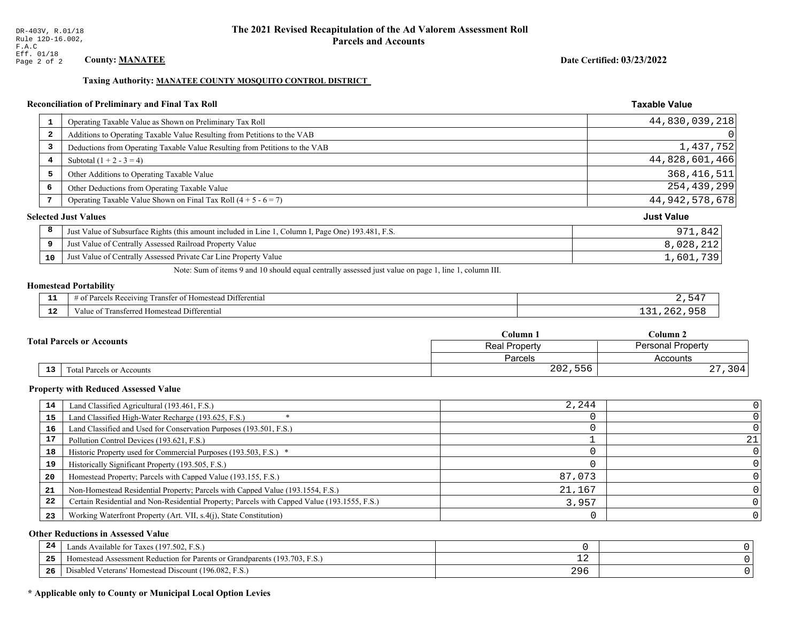#### Taxing Authority: MANATEE COUNTY MOSQUITO CONTROL DISTRICT

#### **Reconciliation of Preliminary and Final Tax Roll**

| 1  | Operating Taxable Value as Shown on Preliminary Tax Roll                                           | 44,830,039,218    |
|----|----------------------------------------------------------------------------------------------------|-------------------|
| 2  | Additions to Operating Taxable Value Resulting from Petitions to the VAB                           | 0                 |
| 3  | Deductions from Operating Taxable Value Resulting from Petitions to the VAB                        | 1,437,752         |
| 4  | Subtotal $(1 + 2 - 3 = 4)$                                                                         | 44,828,601,466    |
| 5  | Other Additions to Operating Taxable Value                                                         | 368, 416, 511     |
| 6  | Other Deductions from Operating Taxable Value                                                      | 254,439,299       |
| 7  | Operating Taxable Value Shown on Final Tax Roll $(4 + 5 - 6 = 7)$                                  | 44, 942, 578, 678 |
|    | <b>Selected Just Values</b>                                                                        | <b>Just Value</b> |
| 8  | Just Value of Subsurface Rights (this amount included in Line 1, Column I, Page One) 193.481, F.S. | 971,842           |
| 9  | Just Value of Centrally Assessed Railroad Property Value                                           | 8,028,212         |
| 10 | Just Value of Centrally Assessed Private Car Line Property Value                                   | 1,601,739         |

Note: Sum of items 9 and 10 should equal centrally assessed just value on page 1, line 1, column III.

#### **Homestead Portability**

| . | l Differential<br>$- -$<br>s Receiving<br>Transter of Homesteac<br>0T.<br>∽ягс⊾                     |  |
|---|-----------------------------------------------------------------------------------------------------|--|
|   | <br>l Differential<br>metarrar<br>0.522<br>esteac<br>aiue oi<br>. ansiericu <u>e</u><br>nnivsivau . |  |

| <b>Fotal Parcels or Accounts</b> |                           | Column 1      | Column <sub>2</sub>      |  |
|----------------------------------|---------------------------|---------------|--------------------------|--|
|                                  |                           | Real Property | <b>Personal Property</b> |  |
|                                  |                           | Parcels       | Accounts                 |  |
| 13                               | Total Parcels or Accounts | 202,556       |                          |  |

#### **Property with Reduced Assessed Value**

| 14 | Land Classified Agricultural (193.461, F.S.)                                                 | 2,244  |    |
|----|----------------------------------------------------------------------------------------------|--------|----|
| 15 | Land Classified High-Water Recharge (193.625, F.S.)                                          |        |    |
| 16 | Land Classified and Used for Conservation Purposes (193.501, F.S.)                           |        |    |
| 17 | Pollution Control Devices (193.621, F.S.)                                                    |        | 21 |
| 18 | Historic Property used for Commercial Purposes (193.503, F.S.) *                             |        |    |
| 19 | Historically Significant Property (193.505, F.S.)                                            |        |    |
| 20 | Homestead Property; Parcels with Capped Value (193.155, F.S.)                                | 87,073 |    |
| 21 | Non-Homestead Residential Property; Parcels with Capped Value (193.1554, F.S.)               | 21,167 |    |
| 22 | Certain Residential and Non-Residential Property; Parcels with Capped Value (193.1555, F.S.) | 3,957  |    |
| 23 | Working Waterfront Property (Art. VII, s.4(j), State Constitution)                           |        |    |

#### **Other Reductions in Assessed Value**

| 24    | (197.502, F.S.)<br>Lands Available for Taxes (                       |            |  |
|-------|----------------------------------------------------------------------|------------|--|
| - - - | Iomestead Assessment Reduction for Parents or Grandparents (193.703, | — <i>—</i> |  |
| -26   | I Veterans' Homestead Discount (196.082, F.S.)<br>Disabled           | 296        |  |

# \* Applicable only to County or Municipal Local Option Levies

Date Certified: 03/23/2022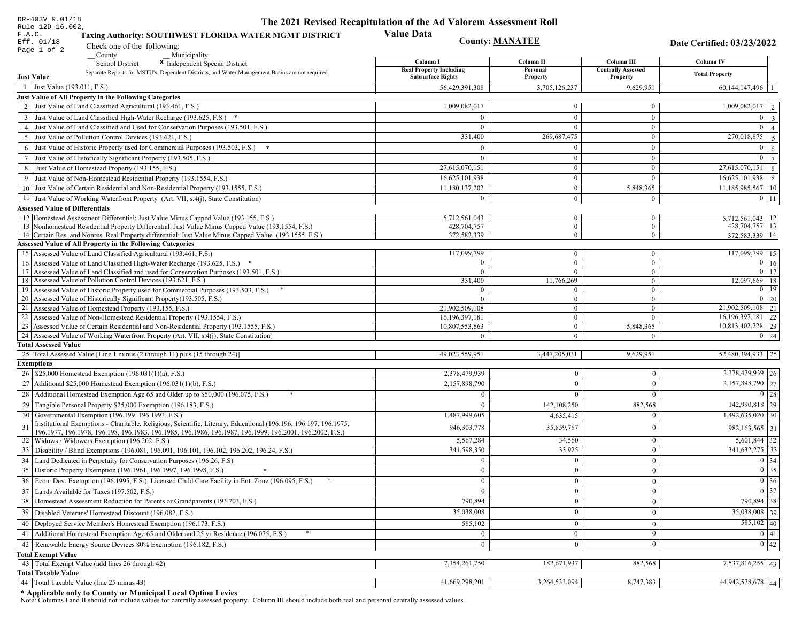| DR-403V R.01/18                                                                                                                                                                                             | The 2021 Revised Recapitulation of the Ad Valorem Assessment Roll |                                  |                                       |                                  |  |
|-------------------------------------------------------------------------------------------------------------------------------------------------------------------------------------------------------------|-------------------------------------------------------------------|----------------------------------|---------------------------------------|----------------------------------|--|
| Rule 12D-16.002,<br>Taxing Authority: SOUTHWEST FLORIDA WATER MGMT DISTRICT<br>F.A.C.<br>Eff. 01/18<br>Check one of the following:                                                                          | <b>Value Data</b>                                                 | <b>County: MANATEE</b>           |                                       | Date Certified: 03/23/2022       |  |
| Page 1 of 2<br>County<br>Municipality                                                                                                                                                                       |                                                                   |                                  |                                       |                                  |  |
| <b>School District</b><br>X Independent Special District                                                                                                                                                    | Column I<br><b>Real Property Including</b>                        | Column II                        | Column III                            | <b>Column IV</b>                 |  |
| Separate Reports for MSTU's, Dependent Districts, and Water Management Basins are not required<br><b>Just Value</b>                                                                                         | <b>Subsurface Rights</b>                                          | Personal<br>Property             | <b>Centrally Assessed</b><br>Property | <b>Total Property</b>            |  |
| 1 Just Value (193.011, F.S.)                                                                                                                                                                                | 56,429,391,308                                                    | 3,705,126,237                    | 9,629,951                             | $60,144,147,496$   1             |  |
| Just Value of All Property in the Following Categories                                                                                                                                                      |                                                                   |                                  |                                       |                                  |  |
| 2 Just Value of Land Classified Agricultural (193.461, F.S.)                                                                                                                                                | 1,009,082,017                                                     | $\bf{0}$                         | $\bf{0}$                              | $\overline{1,009,082,017}$   2   |  |
| 3 Just Value of Land Classified High-Water Recharge (193.625, F.S.) *                                                                                                                                       | $\Omega$                                                          | $\mathbf{0}$                     | $\bf{0}$                              | $0 \mid 3 \mid$                  |  |
| 4 Just Value of Land Classified and Used for Conservation Purposes (193.501, F.S.)                                                                                                                          | $\Omega$                                                          | $\mathbf{0}$                     | $\mathbf{0}$                          | $0 \mid 4 \mid$                  |  |
| 5 Just Value of Pollution Control Devices (193.621, F.S.)                                                                                                                                                   | 331,400                                                           | 269,687,475                      | $\bf{0}$                              | 270,018,875 5                    |  |
| 6 Just Value of Historic Property used for Commercial Purposes (193.503, F.S.) $*$                                                                                                                          | $\Omega$                                                          | $\Omega$                         | $\bf{0}$                              | $\mathbf{0}$<br>6                |  |
| 7 Just Value of Historically Significant Property (193.505, F.S.)                                                                                                                                           | $\bf{0}$                                                          | $\overline{0}$                   | $\mathbf{0}$                          | $0 \mid 7 \mid$                  |  |
| 8 Just Value of Homestead Property (193.155, F.S.)                                                                                                                                                          | 27,615,070,151                                                    | $\bf{0}$                         | $\overline{0}$                        | $\overline{27,615,070,151}$ 8    |  |
| 9 Just Value of Non-Homestead Residential Property (193.1554, F.S.)                                                                                                                                         | 16,625,101,938                                                    | $\overline{0}$                   | $\overline{0}$                        | 16,625,101,938<br>9              |  |
| 10 Just Value of Certain Residential and Non-Residential Property (193.1555, F.S.)                                                                                                                          | 11,180,137,202                                                    | $\mathbf{0}$                     | 5,848,365                             | 11,185,985,567 10                |  |
| 11 Just Value of Working Waterfront Property (Art. VII, s.4(j), State Constitution)                                                                                                                         | $\mathbf{0}$                                                      | $\mathbf{0}$                     | $\bf{0}$                              | $0 \;   \; 11$                   |  |
| <b>Assessed Value of Differentials</b>                                                                                                                                                                      |                                                                   |                                  |                                       |                                  |  |
| 12 Homestead Assessment Differential: Just Value Minus Capped Value (193.155, F.S.)                                                                                                                         | 5,712,561,043                                                     | $\bf{0}$                         | $\bf{0}$                              | $5,712,561,043$ 12               |  |
| 13 Nonhomestead Residential Property Differential: Just Value Minus Capped Value (193.1554, F.S.)<br>14 Certain Res. and Nonres. Real Property differential: Just Value Minus Capped Value (193.1555, F.S.) | 428,704,757<br>372,583,339                                        | $\mathbf{0}$<br>$\overline{0}$   | $\overline{0}$<br>$\mathbf{0}$        | 428,704,757 13<br>372.583.339 14 |  |
| Assessed Value of All Property in the Following Categories                                                                                                                                                  |                                                                   |                                  |                                       |                                  |  |
| 15 Assessed Value of Land Classified Agricultural (193.461, F.S.)                                                                                                                                           | 117,099,799                                                       | $\mathbf{0}$                     | $\bf{0}$                              | 117,099,799 15                   |  |
| 16 Assessed Value of Land Classified High-Water Recharge (193.625, F.S.) *                                                                                                                                  |                                                                   | $\overline{0}$                   | $\bf{0}$                              | $0 \mid 16$                      |  |
| Assessed Value of Land Classified and used for Conservation Purposes (193.501, F.S.)<br>17                                                                                                                  | $\Omega$                                                          | $\mathbf{0}$                     | $\mathbf{0}$                          | $0$   17                         |  |
| Assessed Value of Pollution Control Devices (193.621, F.S.)<br>18                                                                                                                                           | 331,400                                                           | 11,766,269                       | $\mathbf{0}$                          | 12,097,669 18                    |  |
| 19 Assessed Value of Historic Property used for Commercial Purposes (193.503, F.S.)                                                                                                                         | $\Omega$                                                          | $\bf{0}$                         | $\mathbf{0}$                          | $0$   19                         |  |
| 20 Assessed Value of Historically Significant Property (193.505, F.S.)<br>21 Assessed Value of Homestead Property (193.155, F.S.)                                                                           | $\Omega$                                                          | $\overline{0}$<br>$\overline{0}$ | $\overline{0}$<br>$\mathbf{0}$        | $0 \mid 20$<br>21,902,509,108 21 |  |
| 22 Assessed Value of Non-Homestead Residential Property (193.1554, F.S.)                                                                                                                                    | 21,902,509,108<br>16, 196, 397, 181                               | $\overline{0}$                   | $\mathbf{0}$                          | 16, 196, 397, 181 22             |  |
| 23 Assessed Value of Certain Residential and Non-Residential Property (193.1555, F.S.)                                                                                                                      | 10,807,553,863                                                    | $\overline{0}$                   | 5,848,365                             | 10,813,402,228 23                |  |
| 24 Assessed Value of Working Waterfront Property (Art. VII, s.4(j), State Constitution)                                                                                                                     |                                                                   | $\mathbf{0}$                     | $\theta$                              | $0 \mid 24$                      |  |
| <b>Total Assessed Value</b>                                                                                                                                                                                 |                                                                   |                                  |                                       |                                  |  |
| 25 Total Assessed Value [Line 1 minus (2 through 11) plus (15 through 24)]                                                                                                                                  | 49,023,559,951                                                    | 3,447,205,031                    | 9,629,951                             | 52,480,394,933 25                |  |
| <b>Exemptions</b>                                                                                                                                                                                           |                                                                   |                                  |                                       |                                  |  |
| 26   \$25,000 Homestead Exemption (196.031(1)(a), F.S.)                                                                                                                                                     | 2,378,479,939                                                     | $\theta$                         | $\mathbf{0}$                          | 2,378,479,939 26                 |  |
| 27   Additional \$25,000 Homestead Exemption (196.031(1)(b), F.S.)                                                                                                                                          | 2,157,898,790                                                     | $\Omega$                         | $\Omega$                              | 2,157,898,790 27                 |  |
| 28 Additional Homestead Exemption Age 65 and Older up to \$50,000 (196.075, F.S.)                                                                                                                           | $\Omega$                                                          | $\Omega$                         | $\Omega$                              | $0 \mid 28$                      |  |
| 29 Tangible Personal Property \$25,000 Exemption (196.183, F.S.)                                                                                                                                            |                                                                   | 142,108,250                      | 882,568                               | 142,990,818 29                   |  |
| 30 Governmental Exemption (196.199, 196.1993, F.S.)                                                                                                                                                         | 1,487,999,605                                                     | 4,635,415                        | $\Omega$                              | $1,492,635,020$ 30               |  |
| Institutional Exemptions - Charitable, Religious, Scientific, Literary, Educational (196.196, 196.197, 196.1975,                                                                                            | 946, 303, 778                                                     | 35,859,787                       | $\mathbf{0}$                          | 982, 163, 565 31                 |  |
| 196.1977, 196.1978, 196.198, 196.1983, 196.1985, 196.1986, 196.1987, 196.1999, 196.2001, 196.2002, F.S.)<br>32 Widows / Widowers Exemption (196.202, F.S.)                                                  | 5,567,284                                                         | 34,560                           | $\mathbf{0}$                          | $5,601,844$ 32                   |  |
| 33 Disability / Blind Exemptions (196.081, 196.091, 196.101, 196.102, 196.202, 196.24, F.S.)                                                                                                                | 341,598,350                                                       | 33,925                           | $\mathbf{0}$                          | 341,632,275 33                   |  |
| 34 Land Dedicated in Perpetuity for Conservation Purposes (196.26, F.S)                                                                                                                                     |                                                                   | $\theta$                         | $\theta$                              | $0 \mid 34$                      |  |
| 35 Historic Property Exemption (196.1961, 196.1997, 196.1998, F.S.)                                                                                                                                         | 0                                                                 | $\mathbf{U}$                     | $\mathbf{0}$                          | $\boxed{0}$ 35                   |  |
| 36 Econ. Dev. Exemption (196.1995, F.S.), Licensed Child Care Facility in Ent. Zone (196.095, F.S.)                                                                                                         | $\Omega$                                                          | $\Omega$                         | $\Omega$                              | $\boxed{0}$ 36                   |  |
| 37 Lands Available for Taxes (197.502, F.S.)                                                                                                                                                                |                                                                   | $\Omega$                         | $\mathbf{0}$                          | $0 \mid 37$                      |  |
| 38   Homestead Assessment Reduction for Parents or Grandparents (193.703, F.S.)                                                                                                                             | 790,894                                                           | $\bf{0}$                         | $\boldsymbol{0}$                      | 790,894 38                       |  |
| 39   Disabled Veterans' Homestead Discount (196.082, F.S.)                                                                                                                                                  | 35,038,008                                                        |                                  | $\mathbf{0}$                          | $35,038,008$ 39                  |  |
| 40 Deployed Service Member's Homestead Exemption (196.173, F.S.)                                                                                                                                            | 585,102                                                           | $\theta$                         | $\Omega$                              | $585,102$ 40                     |  |
| 41   Additional Homestead Exemption Age 65 and Older and 25 yr Residence (196.075, F.S.)                                                                                                                    | $\mathbf{0}$                                                      | $\mathbf{0}$                     | $\mathbf{0}$                          | $\boxed{0}$ 41                   |  |
| 42 Renewable Energy Source Devices 80% Exemption (196.182, F.S.)                                                                                                                                            | $\bf{0}$                                                          | $\theta$                         | $\mathbf{0}$                          | 0 42                             |  |
| <b>Total Exempt Value</b>                                                                                                                                                                                   |                                                                   |                                  |                                       |                                  |  |
| 43 Total Exempt Value (add lines 26 through 42)                                                                                                                                                             | 7,354,261,750                                                     | 182,671,937                      | 882,568                               | 7,537,816,255 43                 |  |
| <b>Total Taxable Value</b>                                                                                                                                                                                  |                                                                   |                                  |                                       |                                  |  |
| 44   Total Taxable Value (line 25 minus 43)                                                                                                                                                                 | 41,669,298,201                                                    | 3,264,533,094                    | 8,747,383                             | 44,942,578,678 44                |  |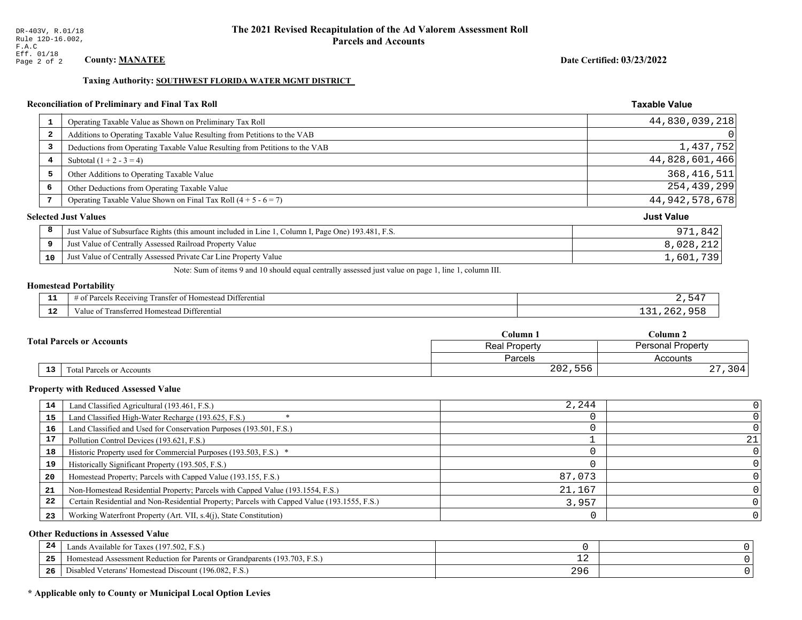#### Taxing Authority: SOUTHWEST FLORIDA WATER MGMT DISTRICT

#### **Reconciliation of Preliminary and Final Tax Roll**

| -1 | Operating Taxable Value as Shown on Preliminary Tax Roll                                           | 44,830,039,218    |
|----|----------------------------------------------------------------------------------------------------|-------------------|
| -2 | Additions to Operating Taxable Value Resulting from Petitions to the VAB                           | 0                 |
| 3  | Deductions from Operating Taxable Value Resulting from Petitions to the VAB                        | 1,437,752         |
| 4  | Subtotal $(1 + 2 - 3 = 4)$                                                                         | 44,828,601,466    |
| 5  | Other Additions to Operating Taxable Value                                                         | 368, 416, 511     |
| 6  | Other Deductions from Operating Taxable Value                                                      | 254, 439, 299     |
| 7  | Operating Taxable Value Shown on Final Tax Roll $(4 + 5 - 6 = 7)$                                  | 44, 942, 578, 678 |
|    | <b>Selected Just Values</b>                                                                        | <b>Just Value</b> |
| 8  | Just Value of Subsurface Rights (this amount included in Line 1, Column I, Page One) 193.481, F.S. | 971,842           |
| 9  | Just Value of Centrally Assessed Railroad Property Value                                           | 8,028,212         |
| 10 | Just Value of Centrally Assessed Private Car Line Property Value                                   | 1,601,739         |

Note: Sum of items 9 and 10 should equal centrally assessed just value on page 1, line 1, column III.

#### **Homestead Portability**

ł,

| --       | l Differential<br>f Dorealc<br>Receiving<br>' ∩†<br>anster<br>esteau<br>. Hom<br>ະດ† | ᄃᄼ |
|----------|--------------------------------------------------------------------------------------|----|
| . .<br>. | -<br>Transferred Homestead Differential<br>$Value$ .                                 |    |

| <b>Fotal Parcels or Accounts</b> |                           | Column 1      | Column <sub>2</sub>      |  |
|----------------------------------|---------------------------|---------------|--------------------------|--|
|                                  |                           | Real Property | <b>Personal Property</b> |  |
|                                  |                           | Parcels       | Accounts                 |  |
| 13                               | Total Parcels or Accounts | 202,556       |                          |  |

#### **Property with Reduced Assessed Value**

| 14 | Land Classified Agricultural (193.461, F.S.)                                                 | 2,244  |    |
|----|----------------------------------------------------------------------------------------------|--------|----|
| 15 | Land Classified High-Water Recharge (193.625, F.S.)                                          |        |    |
| 16 | Land Classified and Used for Conservation Purposes (193.501, F.S.)                           |        |    |
| 17 | Pollution Control Devices (193.621, F.S.)                                                    |        | 21 |
| 18 | Historic Property used for Commercial Purposes (193.503, F.S.) *                             |        |    |
| 19 | Historically Significant Property (193.505, F.S.)                                            |        |    |
| 20 | Homestead Property; Parcels with Capped Value (193.155, F.S.)                                | 87,073 |    |
| 21 | Non-Homestead Residential Property; Parcels with Capped Value (193.1554, F.S.)               | 21,167 |    |
| 22 | Certain Residential and Non-Residential Property; Parcels with Capped Value (193.1555, F.S.) | 3,957  |    |
| 23 | Working Waterfront Property (Art. VII, s.4(j), State Constitution)                           |        | 0  |

#### **Other Reductions in Assessed Value**

| 24    | Lands Available for Taxes (197.502, F.S.)                                  |     |  |
|-------|----------------------------------------------------------------------------|-----|--|
| - - - | Homestead Assessment Reduction for Parents or Grandparents (193.703, F.S.) | ᅩᅀ  |  |
| -26   | Disabled Veterans' Homestead Discount (196.082, F.S.)                      | 296 |  |

# \* Applicable only to County or Municipal Local Option Levies

**Taxable Value** 

Date Certified: 03/23/2022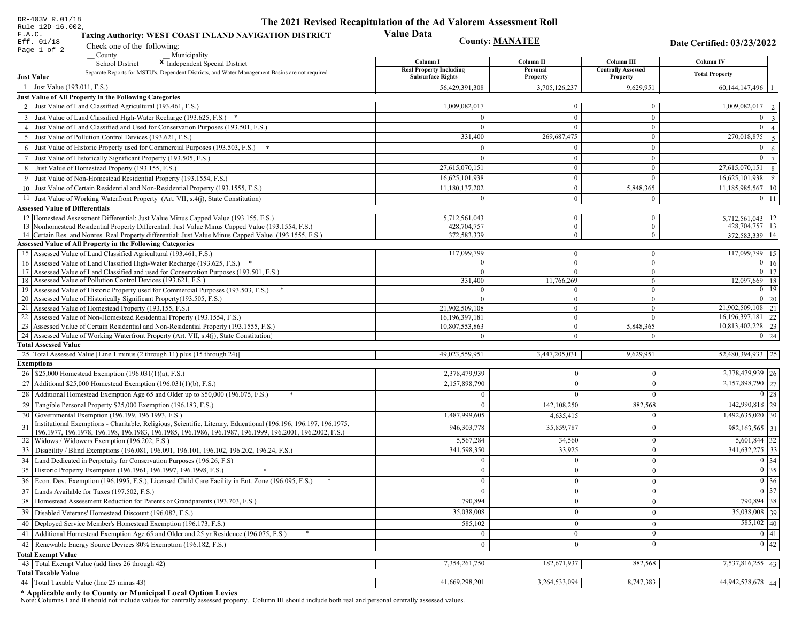| DR-403V R.01/18                                                                                                                                                                                             | The 2021 Revised Recapitulation of the Ad Valorem Assessment Roll |                                |                                         |                                  |  |
|-------------------------------------------------------------------------------------------------------------------------------------------------------------------------------------------------------------|-------------------------------------------------------------------|--------------------------------|-----------------------------------------|----------------------------------|--|
| Rule 12D-16.002,<br>F.A.C.<br>Taxing Authority: WEST COAST INLAND NAVIGATION DISTRICT                                                                                                                       | <b>Value Data</b>                                                 |                                |                                         |                                  |  |
| Eff. 01/18<br>Check one of the following:                                                                                                                                                                   | <b>County: MANATEE</b>                                            |                                |                                         | Date Certified: 03/23/2022       |  |
| Page 1 of 2<br>County<br>Municipality                                                                                                                                                                       |                                                                   |                                |                                         |                                  |  |
| <b>School District</b><br>X Independent Special District                                                                                                                                                    | Column I<br><b>Real Property Including</b>                        | Column II<br>Personal          | Column III<br><b>Centrally Assessed</b> | <b>Column IV</b>                 |  |
| Separate Reports for MSTU's, Dependent Districts, and Water Management Basins are not required<br><b>Just Value</b>                                                                                         | <b>Subsurface Rights</b>                                          | Property                       | Property                                | <b>Total Property</b>            |  |
| 1 Just Value (193.011, F.S.)                                                                                                                                                                                | 56,429,391,308                                                    | 3,705,126,237                  | 9,629,951                               | 60, 144, 147, 496                |  |
| Just Value of All Property in the Following Categories                                                                                                                                                      |                                                                   |                                |                                         |                                  |  |
| 2 Just Value of Land Classified Agricultural (193.461, F.S.)                                                                                                                                                | 1,009,082,017                                                     | $\mathbf{0}$                   | $\mathbf{0}$                            | $\overline{1,009,082,017}$   2   |  |
| 3 Just Value of Land Classified High-Water Recharge (193.625, F.S.) *                                                                                                                                       | $\Omega$                                                          | $\mathbf{0}$                   | $\mathbf{0}$                            | $0 \mid 3 \mid$                  |  |
| 4 Just Value of Land Classified and Used for Conservation Purposes (193.501, F.S.)                                                                                                                          | $\Omega$                                                          | $\mathbf{0}$                   | $\mathbf{0}$                            | $0 \mid 4 \mid$                  |  |
| 5 Just Value of Pollution Control Devices (193.621, F.S.)                                                                                                                                                   | 331,400                                                           | 269,687,475                    | $\overline{0}$                          | 270,018,875 5                    |  |
| 6 Just Value of Historic Property used for Commercial Purposes (193.503, F.S.) *                                                                                                                            | $\Omega$                                                          | $\Omega$                       | $\mathbf{0}$                            | $\overline{0}$<br>6 <sup>1</sup> |  |
| 7 Just Value of Historically Significant Property (193.505, F.S.)                                                                                                                                           | $\theta$                                                          | $\overline{0}$                 | $\mathbf{0}$                            | $0 \mid 7 \mid$                  |  |
| 8 Just Value of Homestead Property (193.155, F.S.)                                                                                                                                                          | 27,615,070,151                                                    | $\overline{0}$                 | $\mathbf{0}$                            | $27,615,070,151$ 8               |  |
| 9 Just Value of Non-Homestead Residential Property (193.1554, F.S.)                                                                                                                                         | 16,625,101,938                                                    | $\boldsymbol{0}$               | $\mathbf{0}$                            | 16,625,101,938<br>9              |  |
| 10 Just Value of Certain Residential and Non-Residential Property (193.1555, F.S.)                                                                                                                          | 11,180,137,202                                                    | $\mathbf{0}$                   | 5,848,365                               | $11,185,985,567$   10            |  |
| 11 Just Value of Working Waterfront Property (Art. VII, s.4(j), State Constitution)                                                                                                                         | $\Omega$                                                          | $\overline{0}$                 | $\bf{0}$                                | $0$   11                         |  |
| <b>Assessed Value of Differentials</b>                                                                                                                                                                      |                                                                   |                                |                                         |                                  |  |
| 12   Homestead Assessment Differential: Just Value Minus Capped Value (193.155, F.S.)                                                                                                                       | 5,712,561,043                                                     | $\mathbf{0}$                   | $\bf{0}$                                | 5,712,561,043   12               |  |
| 13 Nonhomestead Residential Property Differential: Just Value Minus Capped Value (193.1554, F.S.)<br>14 Certain Res. and Nonres. Real Property differential: Just Value Minus Capped Value (193.1555, F.S.) | 428,704,757<br>372,583,339                                        | $\overline{0}$<br>$\mathbf{0}$ | $\overline{0}$<br>$\mathbf{0}$          | 428,704,757 13<br>372,583,339 14 |  |
| <b>Assessed Value of All Property in the Following Categories</b>                                                                                                                                           |                                                                   |                                |                                         |                                  |  |
| 15 Assessed Value of Land Classified Agricultural (193.461, F.S.)                                                                                                                                           | 117,099,799                                                       | $\mathbf{0}$                   | $\mathbf{0}$                            | 117,099,799 15                   |  |
| 16 Assessed Value of Land Classified High-Water Recharge (193.625, F.S.)                                                                                                                                    |                                                                   | $\overline{0}$                 | $\overline{0}$                          | $0 \mid 16$                      |  |
| 17 Assessed Value of Land Classified and used for Conservation Purposes (193.501, F.S.)                                                                                                                     | $\Omega$                                                          | $\overline{0}$                 | $\mathbf{0}$                            | $\boxed{0}$ 17                   |  |
| 18 Assessed Value of Pollution Control Devices (193.621, F.S.)                                                                                                                                              | 331,400                                                           | 11,766,269                     | $\overline{0}$                          | 12,097,669   18                  |  |
| 19 Assessed Value of Historic Property used for Commercial Purposes (193.503, F.S.)                                                                                                                         | $\Omega$                                                          | $\mathbf{0}$                   | $\mathbf{0}$                            | $0$   19                         |  |
| 20 Assessed Value of Historically Significant Property (193.505, F.S.)                                                                                                                                      | $\Omega$                                                          | $\overline{0}$                 | $\overline{0}$                          | $0 \mid 20$<br>21,902,509,108 21 |  |
| 21 Assessed Value of Homestead Property (193.155, F.S.)<br>22 Assessed Value of Non-Homestead Residential Property (193.1554, F.S.)                                                                         | 21,902,509,108<br>16, 196, 397, 181                               | $\mathbf{0}$<br>$\mathbf{0}$   | $\overline{0}$<br>$\mathbf{0}$          | 16, 196, 397, 181 22             |  |
| 23 Assessed Value of Certain Residential and Non-Residential Property (193.1555, F.S.)                                                                                                                      | 10,807,553,863                                                    | $\mathbf{0}$                   | 5,848,365                               | 10,813,402,228 23                |  |
| 24 Assessed Value of Working Waterfront Property (Art. VII, s.4(j), State Constitution)                                                                                                                     |                                                                   | $\overline{0}$                 | $\Omega$                                | $0 \mid 24$                      |  |
| <b>Total Assessed Value</b>                                                                                                                                                                                 |                                                                   |                                |                                         |                                  |  |
| 25 Total Assessed Value [Line 1 minus (2 through 11) plus (15 through 24)]                                                                                                                                  | 49,023,559,951                                                    | 3,447,205,031                  | 9,629,951                               | 52,480,394,933 25                |  |
| <b>Exemptions</b>                                                                                                                                                                                           |                                                                   |                                |                                         |                                  |  |
| 26   \$25,000 Homestead Exemption (196.031(1)(a), F.S.)                                                                                                                                                     | 2,378,479,939                                                     | 0                              | $\mathbf{0}$                            | 2,378,479,939 26                 |  |
| 27   Additional \$25,000 Homestead Exemption $(196.031(1)(b), F.S.)$                                                                                                                                        | 2,157,898,790                                                     | $\Omega$                       | $\theta$                                | 2,157,898,790 27                 |  |
| 28 Additional Homestead Exemption Age 65 and Older up to \$50,000 (196.075, F.S.)                                                                                                                           | $\Omega$                                                          | $\Omega$                       | $\Omega$                                | $0 \mid 28$                      |  |
| 29 Tangible Personal Property \$25,000 Exemption (196.183, F.S.)                                                                                                                                            |                                                                   | 142,108,250                    | 882,568                                 | 142,990,818 29                   |  |
| 30 Governmental Exemption (196.199, 196.1993, F.S.)                                                                                                                                                         | 1,487,999,605                                                     | 4,635,415                      | $\Omega$                                | $1,492,635,020$ 30               |  |
| Institutional Exemptions - Charitable, Religious, Scientific, Literary, Educational (196.196, 196.197, 196.1975,<br>31                                                                                      | 946, 303, 778                                                     | 35,859,787                     | $\theta$                                | 982, 163, 565 31                 |  |
| 196.1977, 196.1978, 196.198, 196.1983, 196.1985, 196.1986, 196.1987, 196.1999, 196.2001, 196.2002, F.S.)<br>32   Widows / Widowers Exemption (196.202, F.S.)                                                | 5,567,284                                                         | 34,560                         | $\bf{0}$                                | $5,601,844$ 32                   |  |
| 33 Disability / Blind Exemptions (196.081, 196.091, 196.101, 196.102, 196.202, 196.24, F.S.)                                                                                                                | 341,598,350                                                       | 33,925                         | $\mathbf{0}$                            | 341,632,275 33                   |  |
| 34 Land Dedicated in Perpetuity for Conservation Purposes (196.26, F.S)                                                                                                                                     | $\Omega$                                                          | $\theta$                       | $\theta$                                | $0 \mid 34$                      |  |
| 35 Historic Property Exemption (196.1961, 196.1997, 196.1998, F.S.)                                                                                                                                         | 0                                                                 | $\mathbf{0}$                   | $\mathbf{0}$                            | $\boxed{0}$ 35                   |  |
| 36 Econ. Dev. Exemption (196.1995, F.S.), Licensed Child Care Facility in Ent. Zone (196.095, F.S.)                                                                                                         | $\Omega$                                                          | $\Omega$                       | $\theta$                                | $\boxed{0}$ 36                   |  |
| 37 Lands Available for Taxes (197.502, F.S.)                                                                                                                                                                |                                                                   | $\theta$                       | $\mathbf{0}$                            | $0 \mid 37$                      |  |
| 38   Homestead Assessment Reduction for Parents or Grandparents (193.703, F.S.)                                                                                                                             | 790,894                                                           | 0                              | $\boldsymbol{0}$                        | 790,894 38                       |  |
| 39 Disabled Veterans' Homestead Discount (196.082, F.S.)                                                                                                                                                    | 35,038,008                                                        |                                | $\mathbf{0}$                            | $35,038,008$ 39                  |  |
| 40   Deployed Service Member's Homestead Exemption (196.173, F.S.)                                                                                                                                          | 585,102                                                           | $\Omega$                       | $\mathbf{0}$                            | $\overline{585,102}$ 40          |  |
| 41 Additional Homestead Exemption Age 65 and Older and 25 yr Residence (196.075, F.S.)                                                                                                                      |                                                                   | $\overline{0}$                 | $\mathbf{0}$                            | $\boxed{0}$ 41                   |  |
| 42 Renewable Energy Source Devices 80% Exemption (196.182, F.S.)                                                                                                                                            | $\overline{0}$                                                    | 0                              | $\mathbf{0}$                            | 0 42                             |  |
| <b>Total Exempt Value</b>                                                                                                                                                                                   |                                                                   |                                |                                         |                                  |  |
| 43 Total Exempt Value (add lines 26 through 42)                                                                                                                                                             | 7,354,261,750                                                     | 182,671,937                    | 882,568                                 | 7,537,816,255 43                 |  |
| <b>Total Taxable Value</b>                                                                                                                                                                                  |                                                                   |                                |                                         |                                  |  |
| 44 Total Taxable Value (line 25 minus 43)                                                                                                                                                                   | 41,669,298,201                                                    | 3,264,533,094                  | 8,747,383                               | 44,942,578,678 44                |  |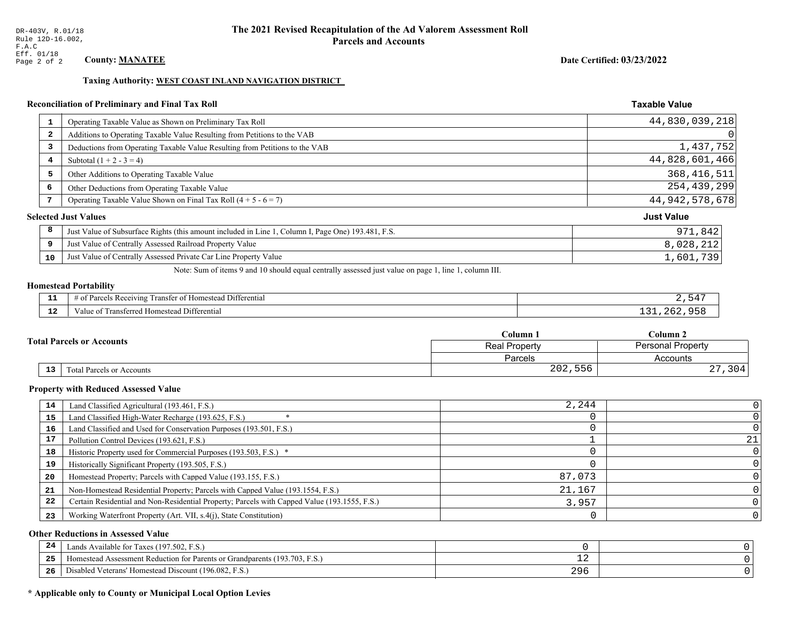Date Certified: 03/23/2022

**Taxable Value** 

#### Taxing Authority: WEST COAST INLAND NAVIGATION DISTRICT

### Reconciliation of Preliminary and Final Tax Roll

| 1  | Operating Taxable Value as Shown on Preliminary Tax Roll                                           | 44,830,039,218    |
|----|----------------------------------------------------------------------------------------------------|-------------------|
| 2  | Additions to Operating Taxable Value Resulting from Petitions to the VAB                           | 0                 |
| 3  | Deductions from Operating Taxable Value Resulting from Petitions to the VAB                        | 1,437,752         |
| 4  | Subtotal $(1 + 2 - 3 = 4)$                                                                         | 44,828,601,466    |
| 5  | Other Additions to Operating Taxable Value                                                         | 368, 416, 511     |
| 6  | Other Deductions from Operating Taxable Value                                                      | 254,439,299       |
| 7  | Operating Taxable Value Shown on Final Tax Roll $(4 + 5 - 6 = 7)$                                  | 44, 942, 578, 678 |
|    | <b>Selected Just Values</b>                                                                        | <b>Just Value</b> |
| 8  | Just Value of Subsurface Rights (this amount included in Line 1, Column I, Page One) 193.481, F.S. | 971,842           |
| 9  | Just Value of Centrally Assessed Railroad Property Value                                           | 8,028,212         |
| 10 | Just Value of Centrally Assessed Private Car Line Property Value                                   | 1,601,739         |

Note: Sum of items 9 and 10 should equal centrally assessed just value on page 1, line 1, column III.

# **Homestead Portability**

| - -          | <b>THE PART</b><br>.<br>l Differential<br>ranster of<br>us Receiving.<br>* Homestead<br>'arcels<br>. . | <u>571</u> |
|--------------|--------------------------------------------------------------------------------------------------------|------------|
| $\sim$<br>-- | Transferred<br>Differential<br>Homestead i<br>Value of                                                 |            |

|            |                                  | Column 1                                         | Column 2  |  |
|------------|----------------------------------|--------------------------------------------------|-----------|--|
|            | <b>Total Parcels or Accounts</b> | <b>Personal Property</b><br><b>Real Property</b> |           |  |
|            |                                  | Parcels                                          | Accounts  |  |
| ${\bf 13}$ | <b>Fotal Parcels or Accounts</b> | 202,556                                          | 304<br>4. |  |

#### **Property with Reduced Assessed Value**

| 14 | Land Classified Agricultural (193.461, F.S.)                                                 | 2,244  |    |
|----|----------------------------------------------------------------------------------------------|--------|----|
| 15 | Land Classified High-Water Recharge (193.625, F.S.)                                          |        |    |
| 16 | Land Classified and Used for Conservation Purposes (193.501, F.S.)                           |        |    |
|    | Pollution Control Devices (193.621, F.S.)                                                    |        | 21 |
| 18 | Historic Property used for Commercial Purposes (193.503, F.S.) *                             |        |    |
| 19 | Historically Significant Property (193.505, F.S.)                                            |        |    |
| 20 | Homestead Property; Parcels with Capped Value (193.155, F.S.)                                | 87.073 |    |
| 21 | Non-Homestead Residential Property; Parcels with Capped Value (193.1554, F.S.)               | 21,167 |    |
| 22 | Certain Residential and Non-Residential Property; Parcels with Capped Value (193.1555, F.S.) | 3,957  |    |
| 23 | Working Waterfront Property (Art. VII, s.4(j), State Constitution)                           |        |    |

#### **Other Reductions in Assessed Value**

| 24    | (197.502, F.S.)<br>Lands Available for Taxes (                       |            |  |
|-------|----------------------------------------------------------------------|------------|--|
| - - - | Iomestead Assessment Reduction for Parents or Grandparents (193.703, | — <i>—</i> |  |
| -26   | I Veterans' Homestead Discount (196.082, F.S.)<br>Disabled           | 296        |  |

# \* Applicable only to County or Municipal Local Option Levies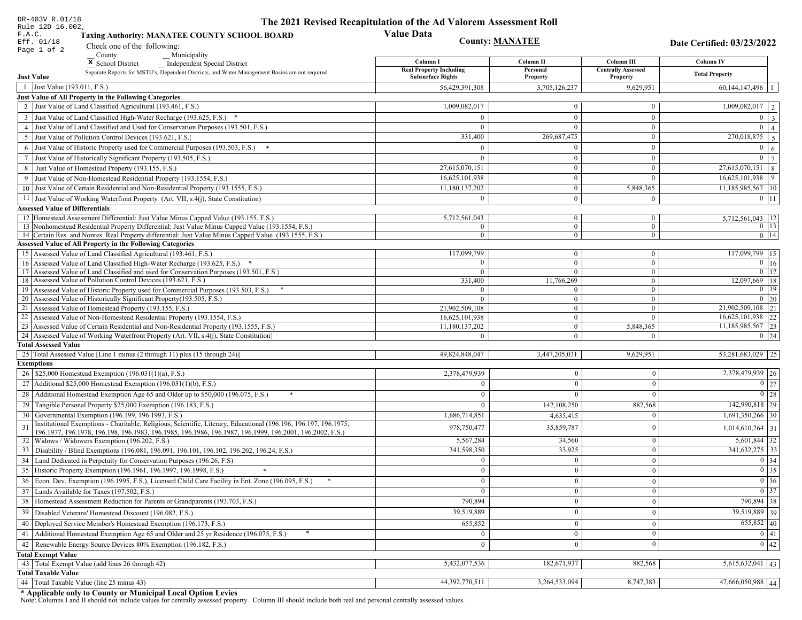| DR-403V R.01/18                                                                                                                                                                                                                    | The 2021 Revised Recapitulation of the Ad Valorem Assessment Roll |                                |                           |                                |
|------------------------------------------------------------------------------------------------------------------------------------------------------------------------------------------------------------------------------------|-------------------------------------------------------------------|--------------------------------|---------------------------|--------------------------------|
| Rule 12D-16.002,<br>F.A.C.<br><b>Taxing Authority: MANATEE COUNTY SCHOOL BOARD</b><br>Eff. 01/18                                                                                                                                   | <b>Value Data</b>                                                 | <b>County: MANATEE</b>         |                           |                                |
| Check one of the following:<br>Page 1 of 2                                                                                                                                                                                         |                                                                   |                                |                           | Date Certified: 03/23/2022     |
| County<br>Municipality                                                                                                                                                                                                             | Column I                                                          | Column II                      | Column III                | <b>Column IV</b>               |
| <sup>x</sup> School District<br>Independent Special District<br>Separate Reports for MSTU's, Dependent Districts, and Water Management Basins are not required                                                                     | <b>Real Property Including</b>                                    | Personal                       | <b>Centrally Assessed</b> | <b>Total Property</b>          |
| <b>Just Value</b>                                                                                                                                                                                                                  | <b>Subsurface Rights</b>                                          | Property                       | Property                  |                                |
| 1 Just Value (193.011, F.S.)                                                                                                                                                                                                       | 56,429,391,308                                                    | 3,705,126,237                  | 9,629,951                 | $60,144,147,496$   1           |
| Just Value of All Property in the Following Categories                                                                                                                                                                             |                                                                   |                                |                           |                                |
| 2 Just Value of Land Classified Agricultural (193.461, F.S.)                                                                                                                                                                       | 1,009,082,017                                                     | $\bf{0}$                       | $\bf{0}$                  | $1,009,082,017$   2            |
| 3 Just Value of Land Classified High-Water Recharge (193.625, F.S.) *                                                                                                                                                              |                                                                   | $\mathbf{0}$                   | $\theta$                  | $0 \mid 3$                     |
| 4 Just Value of Land Classified and Used for Conservation Purposes (193.501, F.S.)                                                                                                                                                 | $\Omega$                                                          | $\overline{0}$                 | $\boldsymbol{0}$          | $\overline{0}$<br>$\vert$ 4    |
| 5 Just Value of Pollution Control Devices (193.621, F.S.)                                                                                                                                                                          | 331,400                                                           | 269,687,475                    | $\bf{0}$                  | $\boxed{270,018,875}$ 5        |
| 6 Just Value of Historic Property used for Commercial Purposes (193.503, F.S.) $*$                                                                                                                                                 |                                                                   | $\Omega$                       | $\mathbf{0}$              | $\mathbf{0}$<br>6              |
| 7 Just Value of Historically Significant Property (193.505, F.S.)                                                                                                                                                                  | $\Omega$                                                          | $\bf{0}$                       | $\overline{0}$            | $0 \mid 7$                     |
| 8 Just Value of Homestead Property (193.155, F.S.)                                                                                                                                                                                 | 27,615,070,151                                                    | $\bf{0}$                       | $\boldsymbol{0}$          | $27,615,070,151$ 8             |
| 9 Just Value of Non-Homestead Residential Property (193.1554, F.S.)                                                                                                                                                                | 16,625,101,938                                                    | $\bf{0}$                       | $\Omega$                  | 16,625,101,938<br>$ 9\rangle$  |
| 10 Just Value of Certain Residential and Non-Residential Property (193.1555, F.S.)                                                                                                                                                 | 11,180,137,202                                                    | $\mathbf{0}$                   | 5,848,365                 | 11,185,985,567   10            |
| 11 Just Value of Working Waterfront Property (Art. VII, s.4(j), State Constitution)                                                                                                                                                | $\Omega$                                                          | $\mathbf{0}$                   | $\mathbf{0}$              | $0$   11                       |
| <b>Assessed Value of Differentials</b><br>12 Homestead Assessment Differential: Just Value Minus Capped Value (193.155, F.S.)                                                                                                      |                                                                   |                                |                           |                                |
| 13 Nonhomestead Residential Property Differential: Just Value Minus Capped Value (193.1554, F.S.)                                                                                                                                  | 5,712,561,043<br>$\overline{0}$                                   | $\mathbf{0}$<br>$\overline{0}$ | $\bf{0}$<br>$\mathbf{0}$  | 5,712,561,043   12<br>$0$   13 |
| 14 Certain Res. and Nonres. Real Property differential: Just Value Minus Capped Value (193.1555, F.S.)                                                                                                                             | $\overline{0}$                                                    | $\overline{0}$                 | $\overline{0}$            | $0$   14                       |
| <b>Assessed Value of All Property in the Following Categories</b>                                                                                                                                                                  |                                                                   |                                |                           |                                |
| 15 Assessed Value of Land Classified Agricultural (193.461, F.S.)                                                                                                                                                                  | 117,099,799                                                       | $\mathbf{0}$                   | $\bf{0}$                  | 117,099,799 15                 |
| 16 Assessed Value of Land Classified High-Water Recharge (193.625, F.S.) *                                                                                                                                                         | $\Omega$                                                          | $\overline{0}$                 | $\mathbf{0}$              | $\overline{0}$ 16              |
| 17 Assessed Value of Land Classified and used for Conservation Purposes (193.501, F.S.)                                                                                                                                            | $\Omega$                                                          | $\overline{0}$                 | $\bf{0}$                  | $0$   17                       |
| 18 Assessed Value of Pollution Control Devices (193.621, F.S.)<br>19 Assessed Value of Historic Property used for Commercial Purposes (193.503, F.S.)                                                                              | 331,400<br>$\Omega$                                               | 11,766,269<br>$\mathbf{0}$     | $\mathbf{0}$<br>$\bf{0}$  | $12,097,669$ 18<br>$0 \mid 19$ |
| 20 Assessed Value of Historically Significant Property (193.505, F.S.)                                                                                                                                                             | $\Omega$                                                          | $\overline{0}$                 | $\mathbf{0}$              | $0\vert 20$                    |
| 21 Assessed Value of Homestead Property (193.155, F.S.)                                                                                                                                                                            | 21,902,509,108                                                    | $\mathbf{0}$                   | $\boldsymbol{0}$          | 21,902,509,108 21              |
| 22 Assessed Value of Non-Homestead Residential Property (193.1554, F.S.)                                                                                                                                                           | 16,625,101,938                                                    | $\overline{0}$                 | $\mathbf{0}$              | 16,625,101,938 22              |
| 23 Assessed Value of Certain Residential and Non-Residential Property (193.1555, F.S.)                                                                                                                                             | 11,180,137,202                                                    | $\overline{0}$                 | 5,848,365                 | 11,185,985,567 23              |
| 24 Assessed Value of Working Waterfront Property (Art. VII, s.4(j), State Constitution)                                                                                                                                            | $\Omega$                                                          | $\overline{0}$                 | $\mathbf{0}$              | $0 \mid 24$                    |
| <b>Total Assessed Value</b>                                                                                                                                                                                                        |                                                                   |                                |                           |                                |
| 25 Total Assessed Value [Line 1 minus (2 through 11) plus (15 through 24)]                                                                                                                                                         | 49,824,848,047                                                    | 3,447,205,031                  | 9,629,951                 | 53,281,683,029 25              |
| <b>Exemptions</b>                                                                                                                                                                                                                  |                                                                   |                                |                           |                                |
| 26   \$25,000 Homestead Exemption (196.031(1)(a), F.S.)                                                                                                                                                                            | 2,378,479,939                                                     | $\bf{0}$                       | $\mathbf{0}$              | 2,378,479,939 26               |
| 27   Additional \$25,000 Homestead Exemption (196.031(1)(b), F.S.)                                                                                                                                                                 | $\Omega$                                                          | $\overline{0}$                 | $\Omega$                  | $\boxed{0}$ 27                 |
| 28 Additional Homestead Exemption Age 65 and Older up to \$50,000 (196.075, F.S.)                                                                                                                                                  | $\Omega$                                                          | $\mathbf{0}$                   | $\Omega$                  | $\boxed{0}$ 28                 |
| 29 Tangible Personal Property \$25,000 Exemption (196.183, F.S.)                                                                                                                                                                   | $\Omega$                                                          | 142, 108, 250                  | 882,568                   | 142,990,818 29                 |
| 30 Governmental Exemption (196.199, 196.1993, F.S.)                                                                                                                                                                                | 1,686,714,851                                                     | 4,635,415                      | $\Omega$                  | 1,691,350,266   30             |
| Institutional Exemptions - Charitable, Religious, Scientific, Literary, Educational (196.196, 196.197, 196.1975,<br>31<br>196.1977, 196.1978, 196.198, 196.1983, 196.1985, 196.1986, 196.1987, 196.1999, 196.2001, 196.2002, F.S.) | 978,750,477                                                       | 35,859,787                     | $\Omega$                  | $1,014,610,264$ 31             |
| 32   Widows / Widowers Exemption (196.202, F.S.)                                                                                                                                                                                   | 5,567,284                                                         | 34,560                         | $\mathbf{0}$              | $5,601,844$ 32                 |
| 33<br>Disability / Blind Exemptions (196.081, 196.091, 196.101, 196.102, 196.202, 196.24, F.S.)                                                                                                                                    | 341,598,350                                                       | 33,925                         | $\Omega$                  | 341,632,275 33                 |
| Land Dedicated in Perpetuity for Conservation Purposes (196.26, F.S)                                                                                                                                                               | $\Omega$                                                          | $\mathbf{0}$                   | $\Omega$                  | 0 34                           |
| 35 Historic Property Exemption (196.1961, 196.1997, 196.1998, F.S.)                                                                                                                                                                | 0.                                                                | $\mathbf{0}$                   | $\mathbf{0}$              | $\boxed{0}$ 35                 |
| 36 Econ. Dev. Exemption (196.1995, F.S.), Licensed Child Care Facility in Ent. Zone (196.095, F.S.)                                                                                                                                | $\Omega$                                                          | $\boldsymbol{0}$               | $\Omega$                  | $\boxed{0}$ 36                 |
| 37 Lands Available for Taxes $(197.502, F.S.)$                                                                                                                                                                                     |                                                                   | $\mathbf{0}$                   | $\Omega$                  | 0 37                           |
| 38   Homestead Assessment Reduction for Parents or Grandparents (193.703, F.S.)                                                                                                                                                    | 790,894                                                           | $\bf{0}$                       | $\mathbf{0}$              | 790,894 38                     |
| Disabled Veterans' Homestead Discount (196.082, F.S.)<br>39                                                                                                                                                                        | 39,519,889                                                        | $\mathbf{0}$                   | $\overline{0}$            | 39,519,889 39                  |
| Deployed Service Member's Homestead Exemption (196.173, F.S.)<br>40                                                                                                                                                                | 655,852                                                           | $\mathbf{0}$                   | $\Omega$                  | $655,852$ 40                   |
| 41   Additional Homestead Exemption Age 65 and Older and 25 yr Residence (196.075, F.S.)                                                                                                                                           | $\overline{0}$                                                    | $\overline{0}$                 | $\mathbf{0}$              | 0 41                           |
| 42 Renewable Energy Source Devices 80% Exemption (196.182, F.S.)                                                                                                                                                                   | $\mathbf{0}$                                                      | $\bf{0}$                       | $\Omega$                  | 0 42                           |
| <b>Total Exempt Value</b>                                                                                                                                                                                                          |                                                                   |                                |                           |                                |
| 43 Total Exempt Value (add lines 26 through 42)                                                                                                                                                                                    | 5,432,077,536                                                     | 182,671,937                    | 882,568                   | $5,615,632,041$ 43             |
| <b>Total Taxable Value</b>                                                                                                                                                                                                         |                                                                   |                                |                           |                                |
| 44   Total Taxable Value (line 25 minus 43)                                                                                                                                                                                        | 44,392,770,511                                                    | 3,264,533,094                  | 8,747,383                 | 47,666,050,988 44              |